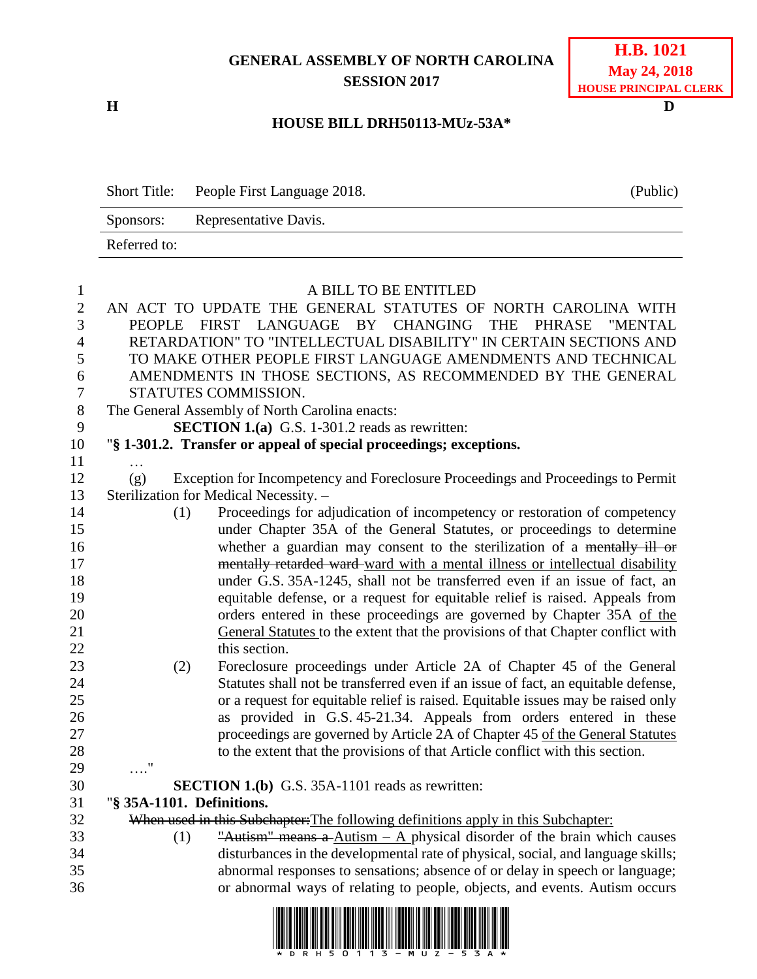# **GENERAL ASSEMBLY OF NORTH CAROLINA SESSION 2017**

**H D**

# **H.B. 1021 May 24, 2018 HOUSE PRINCIPAL CLERK**

#### **HOUSE BILL DRH50113-MUz-53A\***

Short Title: People First Language 2018. (Public) Sponsors: Representative Davis. Referred to:

| $\mathbf{1}$   |                           | A BILL TO BE ENTITLED                                                                               |
|----------------|---------------------------|-----------------------------------------------------------------------------------------------------|
| $\overline{2}$ |                           | AN ACT TO UPDATE THE GENERAL STATUTES OF NORTH CAROLINA WITH                                        |
| 3              |                           | PEOPLE FIRST LANGUAGE BY CHANGING<br><b>THE</b><br>PHRASE<br>"MENTAL                                |
| $\overline{4}$ |                           | RETARDATION" TO "INTELLECTUAL DISABILITY" IN CERTAIN SECTIONS AND                                   |
| 5              |                           | TO MAKE OTHER PEOPLE FIRST LANGUAGE AMENDMENTS AND TECHNICAL                                        |
| 6              |                           | AMENDMENTS IN THOSE SECTIONS, AS RECOMMENDED BY THE GENERAL                                         |
| $\overline{7}$ |                           | STATUTES COMMISSION.                                                                                |
| $8\,$          |                           | The General Assembly of North Carolina enacts:                                                      |
| 9              |                           | <b>SECTION 1.(a)</b> G.S. 1-301.2 reads as rewritten:                                               |
| 10             |                           | "§ 1-301.2. Transfer or appeal of special proceedings; exceptions.                                  |
| 11             |                           |                                                                                                     |
| 12             | (g)                       | Exception for Incompetency and Foreclosure Proceedings and Proceedings to Permit                    |
| 13             |                           | Sterilization for Medical Necessity. -                                                              |
| 14             | (1)                       | Proceedings for adjudication of incompetency or restoration of competency                           |
| 15             |                           | under Chapter 35A of the General Statutes, or proceedings to determine                              |
| 16             |                           | whether a guardian may consent to the sterilization of a mentally ill or                            |
| 17             |                           | mentally retarded ward-ward with a mental illness or intellectual disability                        |
| 18             |                           | under G.S. 35A-1245, shall not be transferred even if an issue of fact, an                          |
| 19             |                           | equitable defense, or a request for equitable relief is raised. Appeals from                        |
| 20             |                           | orders entered in these proceedings are governed by Chapter 35A of the                              |
| 21             |                           | General Statutes to the extent that the provisions of that Chapter conflict with                    |
| 22             |                           | this section.                                                                                       |
| 23             | (2)                       | Foreclosure proceedings under Article 2A of Chapter 45 of the General                               |
| 24             |                           | Statutes shall not be transferred even if an issue of fact, an equitable defense,                   |
| 25             |                           | or a request for equitable relief is raised. Equitable issues may be raised only                    |
| 26             |                           | as provided in G.S. 45-21.34. Appeals from orders entered in these                                  |
| 27             |                           | proceedings are governed by Article 2A of Chapter 45 of the General Statutes                        |
| 28             |                           | to the extent that the provisions of that Article conflict with this section.                       |
| 29             | $\ldots$ "                |                                                                                                     |
| 30             |                           | <b>SECTION 1.(b)</b> G.S. 35A-1101 reads as rewritten:                                              |
| 31             | "§ 35A-1101. Definitions. |                                                                                                     |
| 32             |                           | When used in this Subchapter: The following definitions apply in this Subchapter:                   |
| 33             | (1)                       | "Autism" means a $\Delta$ utism – $\Delta$ physical disorder of the brain which causes              |
| 34             |                           | disturbances in the developmental rate of physical, social, and language skills;                    |
| 35             |                           | abnormal responses to sensations; absence of or delay in speech or language;                        |
| 36             |                           | or abnormal ways of relating to people, objects, and events. Autism occurs                          |
|                |                           | . The same teams tem and term agreement measures the measure of man series measures and simple term |

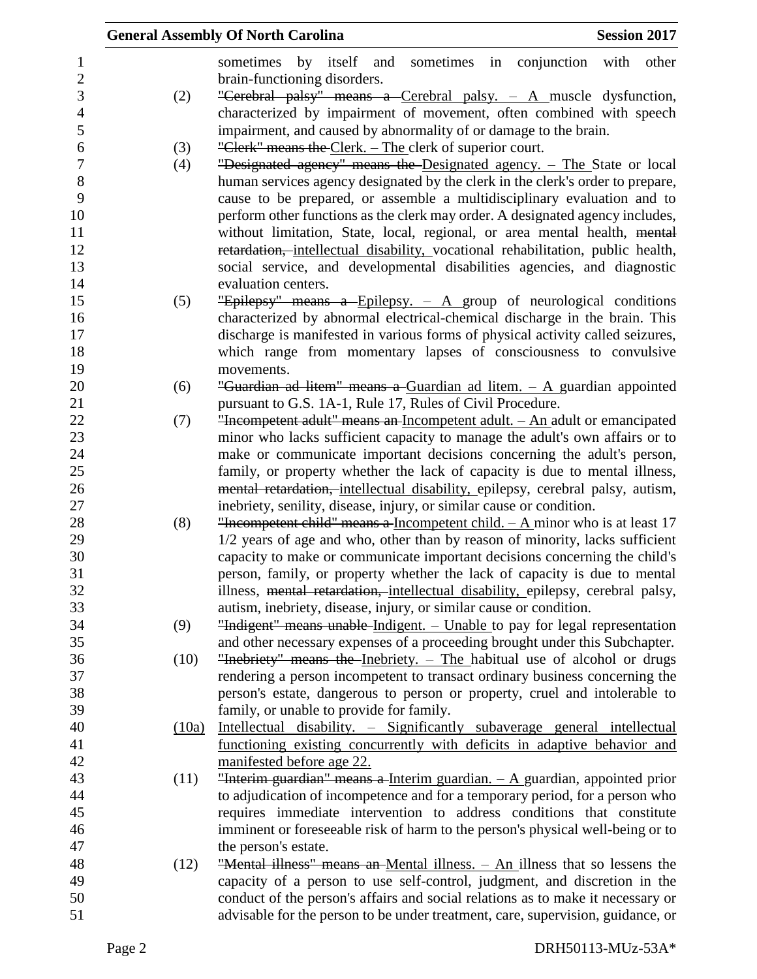|       | <b>Session 2017</b><br><b>General Assembly Of North Carolina</b>                                                                                           |
|-------|------------------------------------------------------------------------------------------------------------------------------------------------------------|
|       | sometimes by itself<br>and sometimes in conjunction with<br>other                                                                                          |
|       | brain-functioning disorders.                                                                                                                               |
| (2)   | "Cerebral palsy" means a Cerebral palsy. $-$ A muscle dysfunction,                                                                                         |
|       | characterized by impairment of movement, often combined with speech                                                                                        |
|       | impairment, and caused by abnormality of or damage to the brain.                                                                                           |
| (3)   | "Clerk" means the Clerk. – The clerk of superior court.                                                                                                    |
| (4)   | "Designated agency" means the Designated agency. - The State or local                                                                                      |
|       | human services agency designated by the clerk in the clerk's order to prepare,                                                                             |
|       | cause to be prepared, or assemble a multidisciplinary evaluation and to                                                                                    |
|       | perform other functions as the clerk may order. A designated agency includes,                                                                              |
|       | without limitation, State, local, regional, or area mental health, mental                                                                                  |
|       | retardation, intellectual disability, vocational rehabilitation, public health,                                                                            |
|       | social service, and developmental disabilities agencies, and diagnostic                                                                                    |
|       | evaluation centers.                                                                                                                                        |
| (5)   | "Epilepsy" means a Epilepsy. $-$ A group of neurological conditions                                                                                        |
|       | characterized by abnormal electrical-chemical discharge in the brain. This                                                                                 |
|       | discharge is manifested in various forms of physical activity called seizures,                                                                             |
|       | which range from momentary lapses of consciousness to convulsive                                                                                           |
|       | movements.                                                                                                                                                 |
| (6)   | "Guardian ad litem" means a Guardian ad litem. $-$ A guardian appointed                                                                                    |
|       | pursuant to G.S. 1A-1, Rule 17, Rules of Civil Procedure.                                                                                                  |
| (7)   | "Incompetent adult" means an Incompetent adult. - An adult or emancipated                                                                                  |
|       | minor who lacks sufficient capacity to manage the adult's own affairs or to                                                                                |
|       | make or communicate important decisions concerning the adult's person,                                                                                     |
|       | family, or property whether the lack of capacity is due to mental illness,                                                                                 |
|       | mental retardation, intellectual disability, epilepsy, cerebral palsy, autism,                                                                             |
|       | inebriety, senility, disease, injury, or similar cause or condition.                                                                                       |
| (8)   | "Incompetent child" means a Incompetent child. $- A$ minor who is at least 17                                                                              |
|       | 1/2 years of age and who, other than by reason of minority, lacks sufficient<br>capacity to make or communicate important decisions concerning the child's |
|       | person, family, or property whether the lack of capacity is due to mental                                                                                  |
|       | illness, mental retardation, intellectual disability, epilepsy, cerebral palsy,                                                                            |
|       | autism, inebriety, disease, injury, or similar cause or condition.                                                                                         |
| (9)   | "Indigent" means unable Indigent. - Unable to pay for legal representation                                                                                 |
|       | and other necessary expenses of a proceeding brought under this Subchapter.                                                                                |
| (10)  | "Inebriety" means the Inebriety. - The habitual use of alcohol or drugs                                                                                    |
|       | rendering a person incompetent to transact ordinary business concerning the                                                                                |
|       | person's estate, dangerous to person or property, cruel and intolerable to                                                                                 |
|       | family, or unable to provide for family.                                                                                                                   |
| (10a) | Intellectual disability. - Significantly subaverage general intellectual                                                                                   |
|       | functioning existing concurrently with deficits in adaptive behavior and                                                                                   |
|       | manifested before age 22.                                                                                                                                  |
| (11)  | "Interim guardian" means a Interim guardian. $-$ A guardian, appointed prior                                                                               |
|       | to adjudication of incompetence and for a temporary period, for a person who                                                                               |
|       | requires immediate intervention to address conditions that constitute                                                                                      |
|       | imminent or foreseeable risk of harm to the person's physical well-being or to                                                                             |
|       | the person's estate.                                                                                                                                       |
| (12)  | "Mental illness" means an Mental illness. - An illness that so lessens the                                                                                 |
|       | capacity of a person to use self-control, judgment, and discretion in the                                                                                  |
|       | conduct of the person's affairs and social relations as to make it necessary or                                                                            |
|       | advisable for the person to be under treatment, care, supervision, guidance, or                                                                            |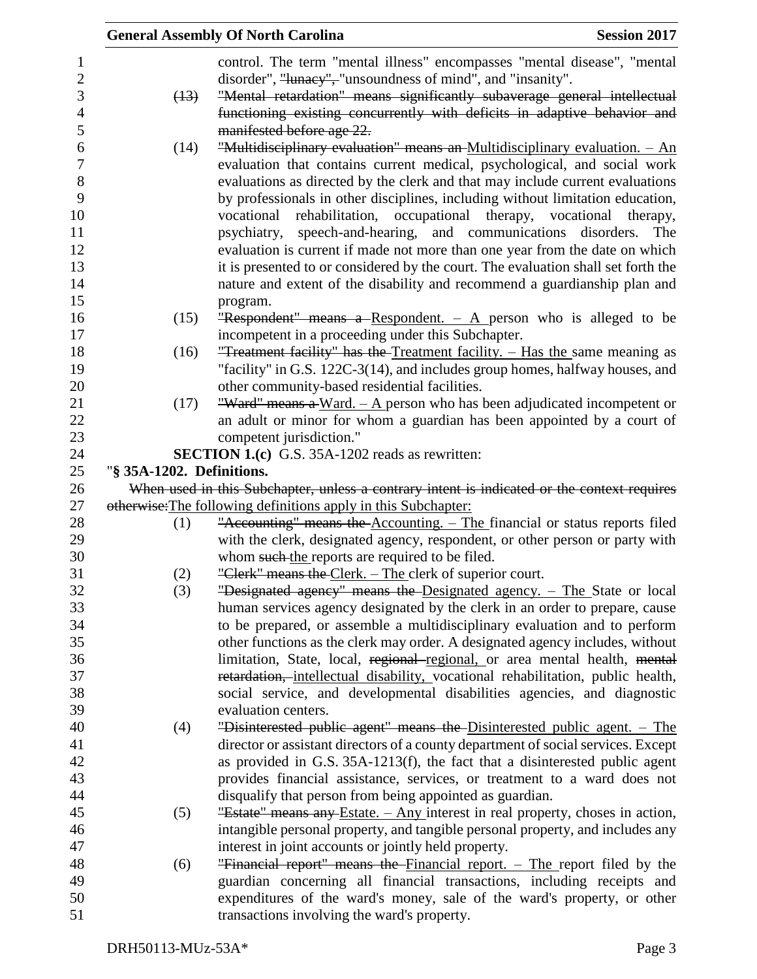|                           | <b>General Assembly Of North Carolina</b>                                                   | <b>Session 2017</b> |
|---------------------------|---------------------------------------------------------------------------------------------|---------------------|
|                           | control. The term "mental illness" encompasses "mental disease", "mental                    |                     |
|                           | disorder", "lunacy", "unsoundness of mind", and "insanity".                                 |                     |
| (13)                      | "Mental retardation" means significantly subaverage general intellectual                    |                     |
|                           | functioning existing concurrently with deficits in adaptive behavior and                    |                     |
|                           | manifested before age 22.                                                                   |                     |
| (14)                      | "Multidisciplinary evaluation" means an Multidisciplinary evaluation. - An                  |                     |
|                           | evaluation that contains current medical, psychological, and social work                    |                     |
|                           | evaluations as directed by the clerk and that may include current evaluations               |                     |
|                           | by professionals in other disciplines, including without limitation education,              |                     |
|                           | vocational rehabilitation, occupational therapy, vocational therapy,                        |                     |
|                           | psychiatry, speech-and-hearing, and communications disorders.                               | The                 |
|                           | evaluation is current if made not more than one year from the date on which                 |                     |
|                           | it is presented to or considered by the court. The evaluation shall set forth the           |                     |
|                           | nature and extent of the disability and recommend a guardianship plan and                   |                     |
|                           | program.                                                                                    |                     |
| (15)                      | "Respondent" means a Respondent. $-$ A person who is alleged to be                          |                     |
|                           | incompetent in a proceeding under this Subchapter.                                          |                     |
| (16)                      | "Treatment facility" has the Treatment facility. - Has the same meaning as                  |                     |
|                           | "facility" in G.S. 122C-3(14), and includes group homes, halfway houses, and                |                     |
|                           | other community-based residential facilities.                                               |                     |
| (17)                      | "Ward" means a Ward. $- A$ person who has been adjudicated incompetent or                   |                     |
|                           | an adult or minor for whom a guardian has been appointed by a court of                      |                     |
|                           | competent jurisdiction."                                                                    |                     |
|                           | <b>SECTION 1.(c)</b> G.S. 35A-1202 reads as rewritten:                                      |                     |
| "§ 35A-1202. Definitions. |                                                                                             |                     |
|                           | When used in this Subchapter, unless a contrary intent is indicated or the context requires |                     |
|                           | otherwise: The following definitions apply in this Subchapter:                              |                     |
| (1)                       | "Accounting" means the Accounting. - The financial or status reports filed                  |                     |
|                           | with the clerk, designated agency, respondent, or other person or party with                |                     |
|                           | whom such the reports are required to be filed.                                             |                     |
| (2)                       | "Clerk" means the Clerk. – The clerk of superior court.                                     |                     |
| (3)                       | "Designated agency" means the Designated agency. - The State or local                       |                     |
|                           | human services agency designated by the clerk in an order to prepare, cause                 |                     |
|                           | to be prepared, or assemble a multidisciplinary evaluation and to perform                   |                     |
|                           | other functions as the clerk may order. A designated agency includes, without               |                     |
|                           | limitation, State, local, regional-regional, or area mental health, mental                  |                     |
|                           | retardation, intellectual disability, vocational rehabilitation, public health,             |                     |
|                           | social service, and developmental disabilities agencies, and diagnostic                     |                     |
|                           | evaluation centers.                                                                         |                     |
| (4)                       | "Disinterested public agent" means the Disinterested public agent. - The                    |                     |
|                           | director or assistant directors of a county department of social services. Except           |                     |
|                           | as provided in G.S. 35A-1213(f), the fact that a disinterested public agent                 |                     |
|                           | provides financial assistance, services, or treatment to a ward does not                    |                     |
|                           | disqualify that person from being appointed as guardian.                                    |                     |
| (5)                       | "Estate" means any Estate. - Any interest in real property, choses in action,               |                     |
|                           | intangible personal property, and tangible personal property, and includes any              |                     |
|                           | interest in joint accounts or jointly held property.                                        |                     |
| (6)                       | "Financial report" means the Financial report. - The report filed by the                    |                     |
|                           | guardian concerning all financial transactions, including receipts and                      |                     |
|                           | expenditures of the ward's money, sale of the ward's property, or other                     |                     |
|                           | transactions involving the ward's property.                                                 |                     |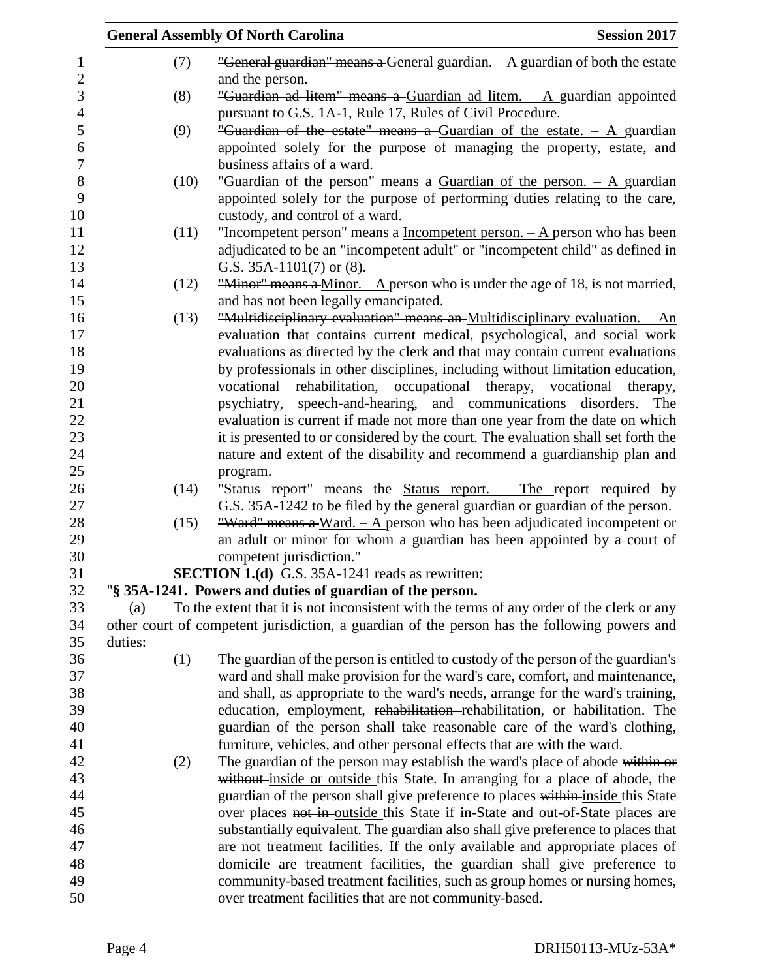|         |      | <b>General Assembly Of North Carolina</b>                                                                           | <b>Session 2017</b> |
|---------|------|---------------------------------------------------------------------------------------------------------------------|---------------------|
|         | (7)  | "General guardian" means a General guardian. $-A$ guardian of both the estate                                       |                     |
|         | (8)  | and the person.<br>"Guardian ad litem" means a Guardian ad litem. $-$ A guardian appointed                          |                     |
|         |      | pursuant to G.S. 1A-1, Rule 17, Rules of Civil Procedure.                                                           |                     |
|         | (9)  | "Guardian of the estate" means a Guardian of the estate. $-$ A guardian                                             |                     |
|         |      | appointed solely for the purpose of managing the property, estate, and                                              |                     |
|         |      | business affairs of a ward.                                                                                         |                     |
|         | (10) | "Guardian of the person" means a Guardian of the person. $-$ A guardian                                             |                     |
|         |      | appointed solely for the purpose of performing duties relating to the care,                                         |                     |
|         |      | custody, and control of a ward.                                                                                     |                     |
|         | (11) | "Incompetent person" means a Incompetent person. $- A$ person who has been                                          |                     |
|         |      | adjudicated to be an "incompetent adult" or "incompetent child" as defined in                                       |                     |
|         |      | G.S. $35A-1101(7)$ or $(8)$ .                                                                                       |                     |
|         | (12) | "Minor" means a Minor. $- A$ person who is under the age of 18, is not married,                                     |                     |
|         |      | and has not been legally emancipated.<br>"Multidisciplinary evaluation" means an-Multidisciplinary evaluation. - An |                     |
|         | (13) | evaluation that contains current medical, psychological, and social work                                            |                     |
|         |      | evaluations as directed by the clerk and that may contain current evaluations                                       |                     |
|         |      | by professionals in other disciplines, including without limitation education,                                      |                     |
|         |      | vocational rehabilitation, occupational therapy, vocational therapy,                                                |                     |
|         |      | psychiatry, speech-and-hearing, and communications disorders.                                                       | The                 |
|         |      | evaluation is current if made not more than one year from the date on which                                         |                     |
|         |      | it is presented to or considered by the court. The evaluation shall set forth the                                   |                     |
|         |      | nature and extent of the disability and recommend a guardianship plan and                                           |                     |
|         |      | program.                                                                                                            |                     |
|         | (14) | "Status report" means the Status report. - The report required by                                                   |                     |
|         |      | G.S. 35A-1242 to be filed by the general guardian or guardian of the person.                                        |                     |
|         | (15) | "Ward" means a Ward. $-$ A person who has been adjudicated incompetent or                                           |                     |
|         |      | an adult or minor for whom a guardian has been appointed by a court of                                              |                     |
|         |      | competent jurisdiction."                                                                                            |                     |
|         |      | <b>SECTION 1.(d)</b> G.S. 35A-1241 reads as rewritten:                                                              |                     |
|         |      | "§ 35A-1241. Powers and duties of guardian of the person.                                                           |                     |
| (a)     |      | To the extent that it is not inconsistent with the terms of any order of the clerk or any                           |                     |
|         |      | other court of competent jurisdiction, a guardian of the person has the following powers and                        |                     |
| duties: |      |                                                                                                                     |                     |
|         | (1)  | The guardian of the person is entitled to custody of the person of the guardian's                                   |                     |
|         |      | ward and shall make provision for the ward's care, comfort, and maintenance,                                        |                     |
|         |      | and shall, as appropriate to the ward's needs, arrange for the ward's training,                                     |                     |
|         |      | education, employment, rehabilitation-rehabilitation, or habilitation. The                                          |                     |
|         |      | guardian of the person shall take reasonable care of the ward's clothing,                                           |                     |
|         |      | furniture, vehicles, and other personal effects that are with the ward.                                             |                     |
|         | (2)  | The guardian of the person may establish the ward's place of abode within or                                        |                     |
|         |      | without inside or outside this State. In arranging for a place of abode, the                                        |                     |
|         |      | guardian of the person shall give preference to places within inside this State                                     |                     |
|         |      | over places not in outside this State if in-State and out-of-State places are                                       |                     |
|         |      | substantially equivalent. The guardian also shall give preference to places that                                    |                     |
|         |      | are not treatment facilities. If the only available and appropriate places of                                       |                     |
|         |      | domicile are treatment facilities, the guardian shall give preference to                                            |                     |
|         |      | community-based treatment facilities, such as group homes or nursing homes,                                         |                     |
|         |      | over treatment facilities that are not community-based.                                                             |                     |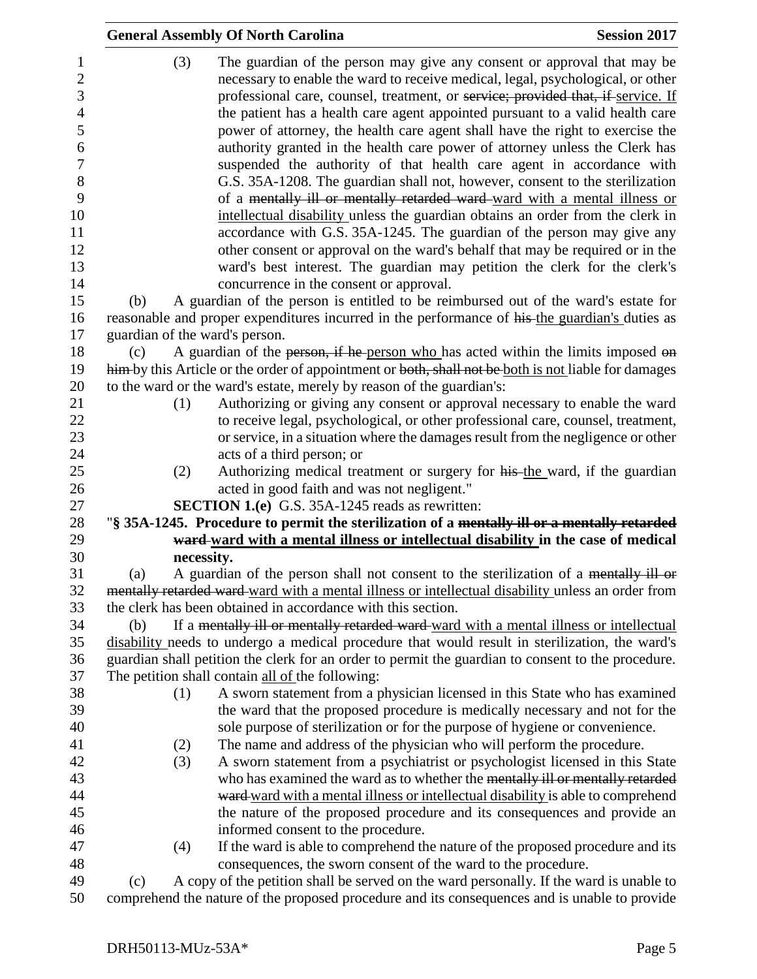|                                                                                                                             |                                | <b>General Assembly Of North Carolina</b>                                                                                                                                                                                                                                                                                                                                                                                                                                                                                                                                                                                                                                                                                                                                                                                                                                                                                                                                                                                                                                                                 | <b>Session 2017</b> |
|-----------------------------------------------------------------------------------------------------------------------------|--------------------------------|-----------------------------------------------------------------------------------------------------------------------------------------------------------------------------------------------------------------------------------------------------------------------------------------------------------------------------------------------------------------------------------------------------------------------------------------------------------------------------------------------------------------------------------------------------------------------------------------------------------------------------------------------------------------------------------------------------------------------------------------------------------------------------------------------------------------------------------------------------------------------------------------------------------------------------------------------------------------------------------------------------------------------------------------------------------------------------------------------------------|---------------------|
| $\mathbf{1}$<br>$\overline{2}$<br>3<br>$\overline{4}$<br>5<br>6<br>$\boldsymbol{7}$<br>8<br>9<br>10<br>11<br>12<br>13<br>14 | (3)                            | The guardian of the person may give any consent or approval that may be<br>necessary to enable the ward to receive medical, legal, psychological, or other<br>professional care, counsel, treatment, or service; provided that, if service. If<br>the patient has a health care agent appointed pursuant to a valid health care<br>power of attorney, the health care agent shall have the right to exercise the<br>authority granted in the health care power of attorney unless the Clerk has<br>suspended the authority of that health care agent in accordance with<br>G.S. 35A-1208. The guardian shall not, however, consent to the sterilization<br>of a mentally ill or mentally retarded ward-ward with a mental illness or<br>intellectual disability unless the guardian obtains an order from the clerk in<br>accordance with G.S. 35A-1245. The guardian of the person may give any<br>other consent or approval on the ward's behalf that may be required or in the<br>ward's best interest. The guardian may petition the clerk for the clerk's<br>concurrence in the consent or approval. |                     |
| 15                                                                                                                          | (b)                            | A guardian of the person is entitled to be reimbursed out of the ward's estate for                                                                                                                                                                                                                                                                                                                                                                                                                                                                                                                                                                                                                                                                                                                                                                                                                                                                                                                                                                                                                        |                     |
| 16                                                                                                                          |                                | reasonable and proper expenditures incurred in the performance of his the guardian's duties as                                                                                                                                                                                                                                                                                                                                                                                                                                                                                                                                                                                                                                                                                                                                                                                                                                                                                                                                                                                                            |                     |
| 17                                                                                                                          | guardian of the ward's person. |                                                                                                                                                                                                                                                                                                                                                                                                                                                                                                                                                                                                                                                                                                                                                                                                                                                                                                                                                                                                                                                                                                           |                     |
| 18                                                                                                                          | (c)                            | A guardian of the person, if he person who has acted within the limits imposed on                                                                                                                                                                                                                                                                                                                                                                                                                                                                                                                                                                                                                                                                                                                                                                                                                                                                                                                                                                                                                         |                     |
| 19                                                                                                                          |                                | him-by this Article or the order of appointment or both, shall not be both is not liable for damages                                                                                                                                                                                                                                                                                                                                                                                                                                                                                                                                                                                                                                                                                                                                                                                                                                                                                                                                                                                                      |                     |
| 20                                                                                                                          |                                | to the ward or the ward's estate, merely by reason of the guardian's:                                                                                                                                                                                                                                                                                                                                                                                                                                                                                                                                                                                                                                                                                                                                                                                                                                                                                                                                                                                                                                     |                     |
| 21                                                                                                                          | (1)                            | Authorizing or giving any consent or approval necessary to enable the ward                                                                                                                                                                                                                                                                                                                                                                                                                                                                                                                                                                                                                                                                                                                                                                                                                                                                                                                                                                                                                                |                     |
| 22                                                                                                                          |                                | to receive legal, psychological, or other professional care, counsel, treatment,                                                                                                                                                                                                                                                                                                                                                                                                                                                                                                                                                                                                                                                                                                                                                                                                                                                                                                                                                                                                                          |                     |
| 23                                                                                                                          |                                | or service, in a situation where the damages result from the negligence or other                                                                                                                                                                                                                                                                                                                                                                                                                                                                                                                                                                                                                                                                                                                                                                                                                                                                                                                                                                                                                          |                     |
| 24                                                                                                                          |                                | acts of a third person; or                                                                                                                                                                                                                                                                                                                                                                                                                                                                                                                                                                                                                                                                                                                                                                                                                                                                                                                                                                                                                                                                                |                     |
| 25                                                                                                                          | (2)                            | Authorizing medical treatment or surgery for his the ward, if the guardian                                                                                                                                                                                                                                                                                                                                                                                                                                                                                                                                                                                                                                                                                                                                                                                                                                                                                                                                                                                                                                |                     |
| 26                                                                                                                          |                                | acted in good faith and was not negligent."                                                                                                                                                                                                                                                                                                                                                                                                                                                                                                                                                                                                                                                                                                                                                                                                                                                                                                                                                                                                                                                               |                     |
| 27<br>28                                                                                                                    |                                | SECTION 1.(e) G.S. 35A-1245 reads as rewritten:<br>"§ 35A-1245. Procedure to permit the sterilization of a mentally ill or a mentally retarded                                                                                                                                                                                                                                                                                                                                                                                                                                                                                                                                                                                                                                                                                                                                                                                                                                                                                                                                                            |                     |
| 29                                                                                                                          |                                | ward-ward with a mental illness or intellectual disability in the case of medical                                                                                                                                                                                                                                                                                                                                                                                                                                                                                                                                                                                                                                                                                                                                                                                                                                                                                                                                                                                                                         |                     |
| 30                                                                                                                          | necessity.                     |                                                                                                                                                                                                                                                                                                                                                                                                                                                                                                                                                                                                                                                                                                                                                                                                                                                                                                                                                                                                                                                                                                           |                     |
| 31                                                                                                                          | (a)                            | A guardian of the person shall not consent to the sterilization of a mentally ill or                                                                                                                                                                                                                                                                                                                                                                                                                                                                                                                                                                                                                                                                                                                                                                                                                                                                                                                                                                                                                      |                     |
| 32                                                                                                                          |                                | mentally retarded ward-ward with a mental illness or intellectual disability unless an order from                                                                                                                                                                                                                                                                                                                                                                                                                                                                                                                                                                                                                                                                                                                                                                                                                                                                                                                                                                                                         |                     |
| 33                                                                                                                          |                                | the clerk has been obtained in accordance with this section.                                                                                                                                                                                                                                                                                                                                                                                                                                                                                                                                                                                                                                                                                                                                                                                                                                                                                                                                                                                                                                              |                     |
| 34                                                                                                                          | (b)                            | If a mentally ill or mentally retarded ward-ward with a mental illness or intellectual                                                                                                                                                                                                                                                                                                                                                                                                                                                                                                                                                                                                                                                                                                                                                                                                                                                                                                                                                                                                                    |                     |
| 35                                                                                                                          |                                | disability needs to undergo a medical procedure that would result in sterilization, the ward's                                                                                                                                                                                                                                                                                                                                                                                                                                                                                                                                                                                                                                                                                                                                                                                                                                                                                                                                                                                                            |                     |
| 36                                                                                                                          |                                | guardian shall petition the clerk for an order to permit the guardian to consent to the procedure.                                                                                                                                                                                                                                                                                                                                                                                                                                                                                                                                                                                                                                                                                                                                                                                                                                                                                                                                                                                                        |                     |
| 37                                                                                                                          |                                | The petition shall contain all of the following:                                                                                                                                                                                                                                                                                                                                                                                                                                                                                                                                                                                                                                                                                                                                                                                                                                                                                                                                                                                                                                                          |                     |
| 38                                                                                                                          | (1)                            | A sworn statement from a physician licensed in this State who has examined                                                                                                                                                                                                                                                                                                                                                                                                                                                                                                                                                                                                                                                                                                                                                                                                                                                                                                                                                                                                                                |                     |
| 39                                                                                                                          |                                | the ward that the proposed procedure is medically necessary and not for the                                                                                                                                                                                                                                                                                                                                                                                                                                                                                                                                                                                                                                                                                                                                                                                                                                                                                                                                                                                                                               |                     |
| 40                                                                                                                          |                                | sole purpose of sterilization or for the purpose of hygiene or convenience.                                                                                                                                                                                                                                                                                                                                                                                                                                                                                                                                                                                                                                                                                                                                                                                                                                                                                                                                                                                                                               |                     |
| 41                                                                                                                          | (2)                            | The name and address of the physician who will perform the procedure.                                                                                                                                                                                                                                                                                                                                                                                                                                                                                                                                                                                                                                                                                                                                                                                                                                                                                                                                                                                                                                     |                     |
| 42<br>43                                                                                                                    | (3)                            | A sworn statement from a psychiatrist or psychologist licensed in this State<br>who has examined the ward as to whether the mentally ill or mentally retarded                                                                                                                                                                                                                                                                                                                                                                                                                                                                                                                                                                                                                                                                                                                                                                                                                                                                                                                                             |                     |
| 44                                                                                                                          |                                | ward ward with a mental illness or intellectual disability is able to comprehend                                                                                                                                                                                                                                                                                                                                                                                                                                                                                                                                                                                                                                                                                                                                                                                                                                                                                                                                                                                                                          |                     |
| 45                                                                                                                          |                                | the nature of the proposed procedure and its consequences and provide an                                                                                                                                                                                                                                                                                                                                                                                                                                                                                                                                                                                                                                                                                                                                                                                                                                                                                                                                                                                                                                  |                     |
| 46                                                                                                                          |                                | informed consent to the procedure.                                                                                                                                                                                                                                                                                                                                                                                                                                                                                                                                                                                                                                                                                                                                                                                                                                                                                                                                                                                                                                                                        |                     |
| 47                                                                                                                          | (4)                            | If the ward is able to comprehend the nature of the proposed procedure and its                                                                                                                                                                                                                                                                                                                                                                                                                                                                                                                                                                                                                                                                                                                                                                                                                                                                                                                                                                                                                            |                     |
| 48                                                                                                                          |                                | consequences, the sworn consent of the ward to the procedure.                                                                                                                                                                                                                                                                                                                                                                                                                                                                                                                                                                                                                                                                                                                                                                                                                                                                                                                                                                                                                                             |                     |
| 49                                                                                                                          | (c)                            | A copy of the petition shall be served on the ward personally. If the ward is unable to                                                                                                                                                                                                                                                                                                                                                                                                                                                                                                                                                                                                                                                                                                                                                                                                                                                                                                                                                                                                                   |                     |
| 50                                                                                                                          |                                | comprehend the nature of the proposed procedure and its consequences and is unable to provide                                                                                                                                                                                                                                                                                                                                                                                                                                                                                                                                                                                                                                                                                                                                                                                                                                                                                                                                                                                                             |                     |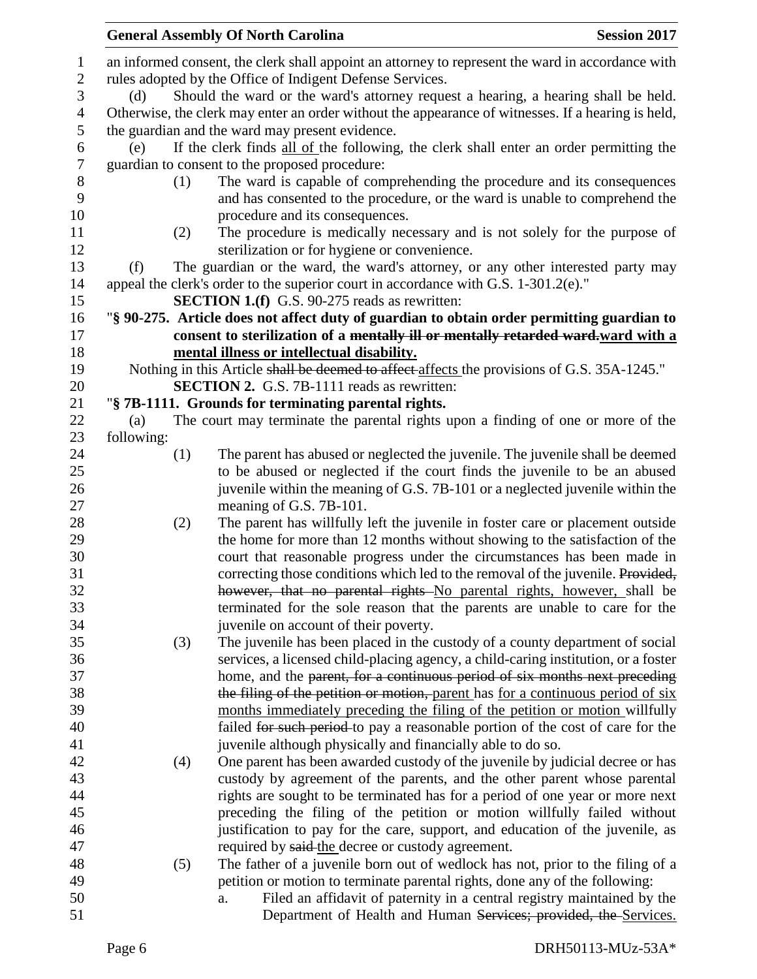|                |            | <b>General Assembly Of North Carolina</b>                                                                                                                  | <b>Session 2017</b> |
|----------------|------------|------------------------------------------------------------------------------------------------------------------------------------------------------------|---------------------|
| $\mathbf{1}$   |            | an informed consent, the clerk shall appoint an attorney to represent the ward in accordance with                                                          |                     |
| $\mathbf{2}$   |            | rules adopted by the Office of Indigent Defense Services.                                                                                                  |                     |
| $\mathfrak{Z}$ | (d)        | Should the ward or the ward's attorney request a hearing, a hearing shall be held.                                                                         |                     |
| $\overline{4}$ |            | Otherwise, the clerk may enter an order without the appearance of witnesses. If a hearing is held,                                                         |                     |
| 5              |            | the guardian and the ward may present evidence.                                                                                                            |                     |
| 6              | (e)        | If the clerk finds all of the following, the clerk shall enter an order permitting the                                                                     |                     |
| $\tau$         |            | guardian to consent to the proposed procedure:                                                                                                             |                     |
| 8              | (1)        | The ward is capable of comprehending the procedure and its consequences                                                                                    |                     |
| 9              |            | and has consented to the procedure, or the ward is unable to comprehend the                                                                                |                     |
| 10             |            | procedure and its consequences.                                                                                                                            |                     |
| 11             | (2)        | The procedure is medically necessary and is not solely for the purpose of                                                                                  |                     |
| 12             |            | sterilization or for hygiene or convenience.                                                                                                               |                     |
| 13             | (f)        | The guardian or the ward, the ward's attorney, or any other interested party may                                                                           |                     |
| 14             |            | appeal the clerk's order to the superior court in accordance with G.S. 1-301.2(e)."                                                                        |                     |
| 15             |            | <b>SECTION 1.(f)</b> G.S. 90-275 reads as rewritten:                                                                                                       |                     |
| 16             |            | "§ 90-275. Article does not affect duty of guardian to obtain order permitting guardian to                                                                 |                     |
| 17             |            | consent to sterilization of a mentally ill or mentally retarded ward-ward with a                                                                           |                     |
| 18             |            | mental illness or intellectual disability.                                                                                                                 |                     |
| 19             |            | Nothing in this Article shall be deemed to affect affects the provisions of G.S. 35A-1245."                                                                |                     |
| 20             |            | <b>SECTION 2.</b> G.S. 7B-1111 reads as rewritten:                                                                                                         |                     |
| 21             |            | "§ 7B-1111. Grounds for terminating parental rights.                                                                                                       |                     |
| 22             | (a)        | The court may terminate the parental rights upon a finding of one or more of the                                                                           |                     |
| 23             | following: |                                                                                                                                                            |                     |
| 24             | (1)        | The parent has abused or neglected the juvenile. The juvenile shall be deemed                                                                              |                     |
| 25             |            | to be abused or neglected if the court finds the juvenile to be an abused                                                                                  |                     |
| 26             |            | juvenile within the meaning of G.S. 7B-101 or a neglected juvenile within the                                                                              |                     |
| 27             |            | meaning of G.S. 7B-101.                                                                                                                                    |                     |
| 28             | (2)        | The parent has willfully left the juvenile in foster care or placement outside                                                                             |                     |
| 29<br>30       |            | the home for more than 12 months without showing to the satisfaction of the                                                                                |                     |
| 31             |            | court that reasonable progress under the circumstances has been made in<br>correcting those conditions which led to the removal of the juvenile. Provided, |                     |
| 32             |            | however, that no parental rights No parental rights, however, shall be                                                                                     |                     |
| 33             |            | terminated for the sole reason that the parents are unable to care for the                                                                                 |                     |
| 34             |            | juvenile on account of their poverty.                                                                                                                      |                     |
| 35             | (3)        | The juvenile has been placed in the custody of a county department of social                                                                               |                     |
| 36             |            | services, a licensed child-placing agency, a child-caring institution, or a foster                                                                         |                     |
| 37             |            | home, and the parent, for a continuous period of six months next preceding                                                                                 |                     |
| 38             |            | the filing of the petition or motion, parent has for a continuous period of six                                                                            |                     |
| 39             |            | months immediately preceding the filing of the petition or motion willfully                                                                                |                     |
| 40             |            | failed for such period to pay a reasonable portion of the cost of care for the                                                                             |                     |
| 41             |            | juvenile although physically and financially able to do so.                                                                                                |                     |
| 42             | (4)        | One parent has been awarded custody of the juvenile by judicial decree or has                                                                              |                     |
| 43             |            | custody by agreement of the parents, and the other parent whose parental                                                                                   |                     |
| 44             |            | rights are sought to be terminated has for a period of one year or more next                                                                               |                     |
| 45             |            | preceding the filing of the petition or motion willfully failed without                                                                                    |                     |
| 46             |            | justification to pay for the care, support, and education of the juvenile, as                                                                              |                     |
| 47             |            | required by said-the decree or custody agreement.                                                                                                          |                     |
| 48             | (5)        | The father of a juvenile born out of wedlock has not, prior to the filing of a                                                                             |                     |
| 49             |            | petition or motion to terminate parental rights, done any of the following:                                                                                |                     |
| 50             |            | Filed an affidavit of paternity in a central registry maintained by the<br>a.                                                                              |                     |
| 51             |            | Department of Health and Human Services; provided, the Services.                                                                                           |                     |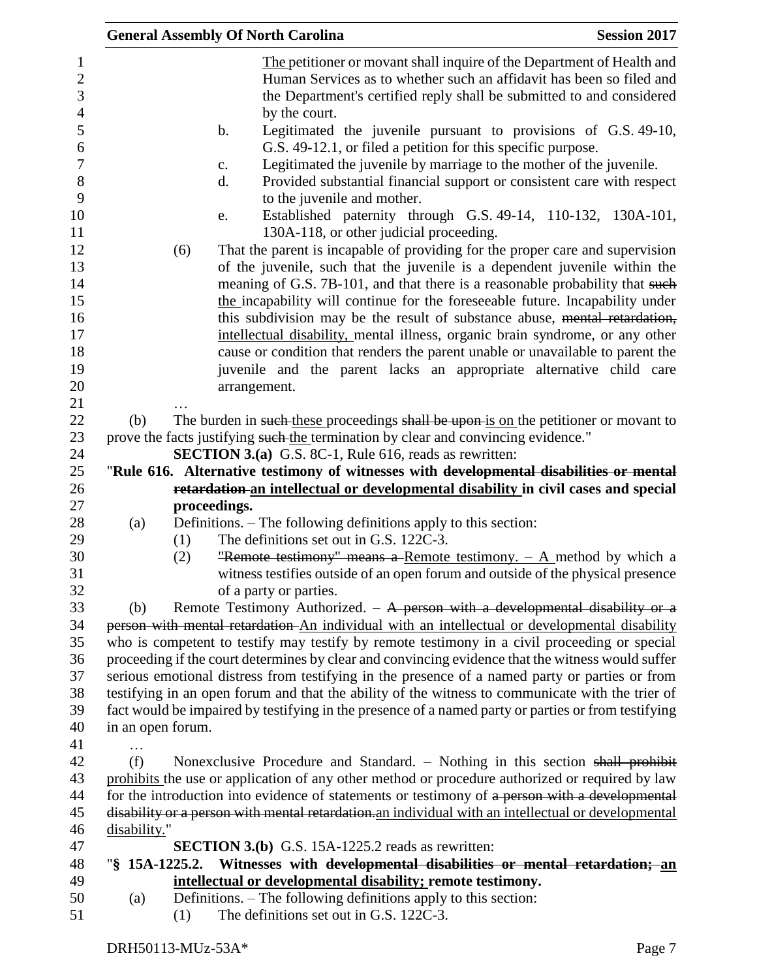|                                                                                                                          |                   | <b>General Assembly Of North Carolina</b>                                                                                                                                                                                                                                                                                                                                                                                                                                                                                                                                                                                                                                                                                                                                                                                                                                                                                                                                                                                            | <b>Session 2017</b> |
|--------------------------------------------------------------------------------------------------------------------------|-------------------|--------------------------------------------------------------------------------------------------------------------------------------------------------------------------------------------------------------------------------------------------------------------------------------------------------------------------------------------------------------------------------------------------------------------------------------------------------------------------------------------------------------------------------------------------------------------------------------------------------------------------------------------------------------------------------------------------------------------------------------------------------------------------------------------------------------------------------------------------------------------------------------------------------------------------------------------------------------------------------------------------------------------------------------|---------------------|
| 1<br>$\overline{c}$<br>3<br>$\overline{4}$<br>5<br>6<br>$\overline{7}$<br>$8\,$<br>9<br>10<br>11<br>12<br>13<br>14<br>15 |                   | The petitioner or movant shall inquire of the Department of Health and<br>Human Services as to whether such an affidavit has been so filed and<br>the Department's certified reply shall be submitted to and considered<br>by the court.<br>Legitimated the juvenile pursuant to provisions of G.S. 49-10,<br>b.<br>G.S. 49-12.1, or filed a petition for this specific purpose.<br>Legitimated the juvenile by marriage to the mother of the juvenile.<br>c.<br>Provided substantial financial support or consistent care with respect<br>d.<br>to the juvenile and mother.<br>Established paternity through G.S. 49-14, 110-132, 130A-101,<br>e.<br>130A-118, or other judicial proceeding.<br>That the parent is incapable of providing for the proper care and supervision<br>(6)<br>of the juvenile, such that the juvenile is a dependent juvenile within the<br>meaning of G.S. 7B-101, and that there is a reasonable probability that such<br>the incapability will continue for the foreseeable future. Incapability under |                     |
| 16                                                                                                                       |                   | this subdivision may be the result of substance abuse, mental retardation,                                                                                                                                                                                                                                                                                                                                                                                                                                                                                                                                                                                                                                                                                                                                                                                                                                                                                                                                                           |                     |
| 17                                                                                                                       |                   | intellectual disability, mental illness, organic brain syndrome, or any other                                                                                                                                                                                                                                                                                                                                                                                                                                                                                                                                                                                                                                                                                                                                                                                                                                                                                                                                                        |                     |
| 18                                                                                                                       |                   | cause or condition that renders the parent unable or unavailable to parent the                                                                                                                                                                                                                                                                                                                                                                                                                                                                                                                                                                                                                                                                                                                                                                                                                                                                                                                                                       |                     |
| 19<br>20                                                                                                                 |                   | juvenile and the parent lacks an appropriate alternative child care                                                                                                                                                                                                                                                                                                                                                                                                                                                                                                                                                                                                                                                                                                                                                                                                                                                                                                                                                                  |                     |
| 21                                                                                                                       |                   | arrangement.                                                                                                                                                                                                                                                                                                                                                                                                                                                                                                                                                                                                                                                                                                                                                                                                                                                                                                                                                                                                                         |                     |
| 22                                                                                                                       | (b)               | The burden in such these proceedings shall be upon is on the petitioner or movant to                                                                                                                                                                                                                                                                                                                                                                                                                                                                                                                                                                                                                                                                                                                                                                                                                                                                                                                                                 |                     |
| 23                                                                                                                       |                   | prove the facts justifying such the termination by clear and convincing evidence."                                                                                                                                                                                                                                                                                                                                                                                                                                                                                                                                                                                                                                                                                                                                                                                                                                                                                                                                                   |                     |
| 24                                                                                                                       |                   | <b>SECTION 3.(a)</b> G.S. 8C-1, Rule 616, reads as rewritten:                                                                                                                                                                                                                                                                                                                                                                                                                                                                                                                                                                                                                                                                                                                                                                                                                                                                                                                                                                        |                     |
| 25                                                                                                                       |                   | "Rule 616. Alternative testimony of witnesses with developmental disabilities or mental                                                                                                                                                                                                                                                                                                                                                                                                                                                                                                                                                                                                                                                                                                                                                                                                                                                                                                                                              |                     |
| 26                                                                                                                       |                   | retardation an intellectual or developmental disability in civil cases and special                                                                                                                                                                                                                                                                                                                                                                                                                                                                                                                                                                                                                                                                                                                                                                                                                                                                                                                                                   |                     |
| 27                                                                                                                       |                   | proceedings.                                                                                                                                                                                                                                                                                                                                                                                                                                                                                                                                                                                                                                                                                                                                                                                                                                                                                                                                                                                                                         |                     |
| 28                                                                                                                       | (a)               | Definitions. – The following definitions apply to this section:                                                                                                                                                                                                                                                                                                                                                                                                                                                                                                                                                                                                                                                                                                                                                                                                                                                                                                                                                                      |                     |
| 29                                                                                                                       |                   | The definitions set out in G.S. 122C-3.<br>(1)                                                                                                                                                                                                                                                                                                                                                                                                                                                                                                                                                                                                                                                                                                                                                                                                                                                                                                                                                                                       |                     |
| 30                                                                                                                       |                   | "Remote testimony" means a Remote testimony. $-$ A method by which a<br>(2)                                                                                                                                                                                                                                                                                                                                                                                                                                                                                                                                                                                                                                                                                                                                                                                                                                                                                                                                                          |                     |
| 31                                                                                                                       |                   | witness testifies outside of an open forum and outside of the physical presence                                                                                                                                                                                                                                                                                                                                                                                                                                                                                                                                                                                                                                                                                                                                                                                                                                                                                                                                                      |                     |
| 32                                                                                                                       |                   | of a party or parties.                                                                                                                                                                                                                                                                                                                                                                                                                                                                                                                                                                                                                                                                                                                                                                                                                                                                                                                                                                                                               |                     |
| 33                                                                                                                       | (b)               | Remote Testimony Authorized. $-$ A person with a developmental disability or a                                                                                                                                                                                                                                                                                                                                                                                                                                                                                                                                                                                                                                                                                                                                                                                                                                                                                                                                                       |                     |
| 34                                                                                                                       |                   | person with mental retardation An individual with an intellectual or developmental disability                                                                                                                                                                                                                                                                                                                                                                                                                                                                                                                                                                                                                                                                                                                                                                                                                                                                                                                                        |                     |
| 35                                                                                                                       |                   | who is competent to testify may testify by remote testimony in a civil proceeding or special                                                                                                                                                                                                                                                                                                                                                                                                                                                                                                                                                                                                                                                                                                                                                                                                                                                                                                                                         |                     |
| 36                                                                                                                       |                   | proceeding if the court determines by clear and convincing evidence that the witness would suffer                                                                                                                                                                                                                                                                                                                                                                                                                                                                                                                                                                                                                                                                                                                                                                                                                                                                                                                                    |                     |
| 37                                                                                                                       |                   | serious emotional distress from testifying in the presence of a named party or parties or from                                                                                                                                                                                                                                                                                                                                                                                                                                                                                                                                                                                                                                                                                                                                                                                                                                                                                                                                       |                     |
| 38<br>39                                                                                                                 |                   | testifying in an open forum and that the ability of the witness to communicate with the trier of                                                                                                                                                                                                                                                                                                                                                                                                                                                                                                                                                                                                                                                                                                                                                                                                                                                                                                                                     |                     |
| 40                                                                                                                       | in an open forum. | fact would be impaired by testifying in the presence of a named party or parties or from testifying                                                                                                                                                                                                                                                                                                                                                                                                                                                                                                                                                                                                                                                                                                                                                                                                                                                                                                                                  |                     |
| 41                                                                                                                       |                   |                                                                                                                                                                                                                                                                                                                                                                                                                                                                                                                                                                                                                                                                                                                                                                                                                                                                                                                                                                                                                                      |                     |
| 42                                                                                                                       | (f)               | Nonexclusive Procedure and Standard. $-$ Nothing in this section shall prohibit                                                                                                                                                                                                                                                                                                                                                                                                                                                                                                                                                                                                                                                                                                                                                                                                                                                                                                                                                      |                     |
| 43                                                                                                                       |                   | prohibits the use or application of any other method or procedure authorized or required by law                                                                                                                                                                                                                                                                                                                                                                                                                                                                                                                                                                                                                                                                                                                                                                                                                                                                                                                                      |                     |
| 44                                                                                                                       |                   | for the introduction into evidence of statements or testimony of a person with a developmental                                                                                                                                                                                                                                                                                                                                                                                                                                                                                                                                                                                                                                                                                                                                                                                                                                                                                                                                       |                     |
| 45                                                                                                                       |                   | disability or a person with mental retardation an individual with an intellectual or developmental                                                                                                                                                                                                                                                                                                                                                                                                                                                                                                                                                                                                                                                                                                                                                                                                                                                                                                                                   |                     |
| 46                                                                                                                       | disability."      |                                                                                                                                                                                                                                                                                                                                                                                                                                                                                                                                                                                                                                                                                                                                                                                                                                                                                                                                                                                                                                      |                     |
| 47                                                                                                                       |                   | <b>SECTION 3.(b)</b> G.S. 15A-1225.2 reads as rewritten:                                                                                                                                                                                                                                                                                                                                                                                                                                                                                                                                                                                                                                                                                                                                                                                                                                                                                                                                                                             |                     |
| 48                                                                                                                       | "§ 15A-1225.2.    | Witnesses with developmental disabilities or mental retardation; an                                                                                                                                                                                                                                                                                                                                                                                                                                                                                                                                                                                                                                                                                                                                                                                                                                                                                                                                                                  |                     |
| 49                                                                                                                       |                   | intellectual or developmental disability; remote testimony.                                                                                                                                                                                                                                                                                                                                                                                                                                                                                                                                                                                                                                                                                                                                                                                                                                                                                                                                                                          |                     |
| 50                                                                                                                       | (a)               | Definitions. - The following definitions apply to this section:                                                                                                                                                                                                                                                                                                                                                                                                                                                                                                                                                                                                                                                                                                                                                                                                                                                                                                                                                                      |                     |
| 51                                                                                                                       |                   | The definitions set out in G.S. 122C-3.<br>(1)                                                                                                                                                                                                                                                                                                                                                                                                                                                                                                                                                                                                                                                                                                                                                                                                                                                                                                                                                                                       |                     |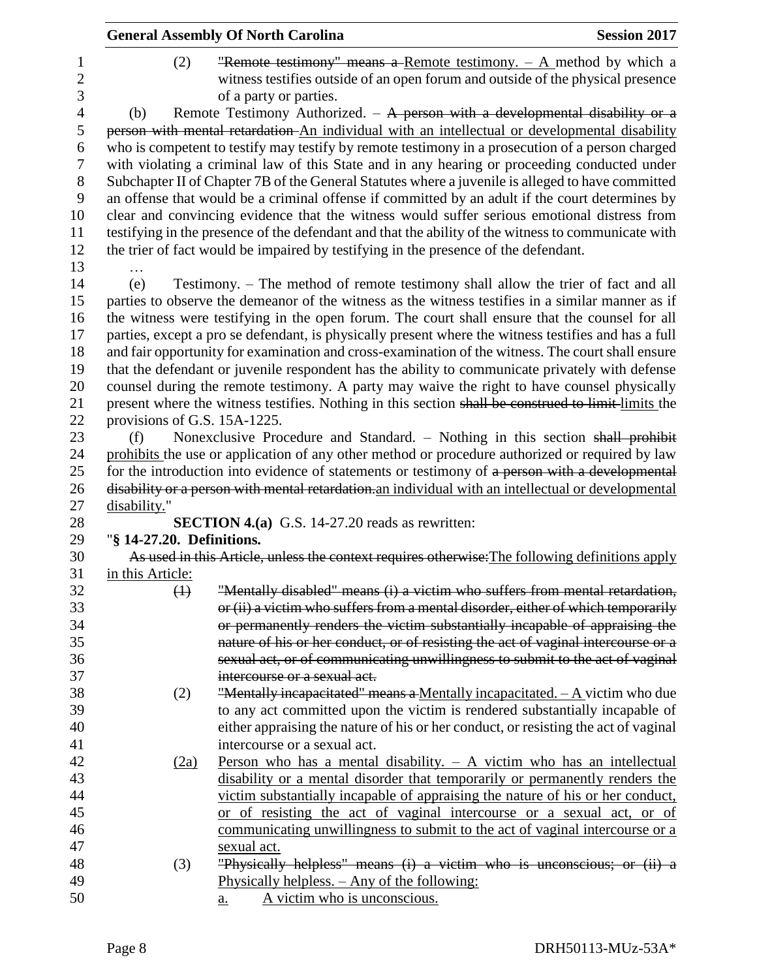|                          |                              | <b>General Assembly Of North Carolina</b>                                                                                                                                         | <b>Session 2017</b> |
|--------------------------|------------------------------|-----------------------------------------------------------------------------------------------------------------------------------------------------------------------------------|---------------------|
| 1<br>$\overline{c}$<br>3 | (2)                          | "Remote testimony" means a Remote testimony. $-$ A method by which a<br>witness testifies outside of an open forum and outside of the physical presence<br>of a party or parties. |                     |
| $\overline{4}$           | (b)                          | Remote Testimony Authorized. $-$ A person with a developmental disability or a                                                                                                    |                     |
| 5                        |                              | person with mental retardation An individual with an intellectual or developmental disability                                                                                     |                     |
| 6                        |                              | who is competent to testify may testify by remote testimony in a prosecution of a person charged                                                                                  |                     |
| $\tau$                   |                              | with violating a criminal law of this State and in any hearing or proceeding conducted under                                                                                      |                     |
| 8                        |                              | Subchapter II of Chapter 7B of the General Statutes where a juvenile is alleged to have committed                                                                                 |                     |
| 9                        |                              | an offense that would be a criminal offense if committed by an adult if the court determines by                                                                                   |                     |
| 10                       |                              | clear and convincing evidence that the witness would suffer serious emotional distress from                                                                                       |                     |
| 11                       |                              | testifying in the presence of the defendant and that the ability of the witness to communicate with                                                                               |                     |
| 12                       |                              | the trier of fact would be impaired by testifying in the presence of the defendant.                                                                                               |                     |
| 13                       |                              |                                                                                                                                                                                   |                     |
| 14                       | (e)                          | Testimony. – The method of remote testimony shall allow the trier of fact and all                                                                                                 |                     |
| 15                       |                              | parties to observe the demeanor of the witness as the witness testifies in a similar manner as if                                                                                 |                     |
| 16                       |                              | the witness were testifying in the open forum. The court shall ensure that the counsel for all                                                                                    |                     |
| 17                       |                              | parties, except a pro se defendant, is physically present where the witness testifies and has a full                                                                              |                     |
| 18                       |                              | and fair opportunity for examination and cross-examination of the witness. The court shall ensure                                                                                 |                     |
| 19                       |                              | that the defendant or juvenile respondent has the ability to communicate privately with defense                                                                                   |                     |
| 20                       |                              | counsel during the remote testimony. A party may waive the right to have counsel physically                                                                                       |                     |
| 21                       |                              | present where the witness testifies. Nothing in this section shall be construed to limit-limits the                                                                               |                     |
| 22                       | provisions of G.S. 15A-1225. |                                                                                                                                                                                   |                     |
| 23                       | (f)                          | Nonexclusive Procedure and Standard. - Nothing in this section shall prohibit                                                                                                     |                     |
| 24                       |                              | prohibits the use or application of any other method or procedure authorized or required by law                                                                                   |                     |
| 25                       |                              | for the introduction into evidence of statements or testimony of a person with a developmental                                                                                    |                     |
| 26                       |                              | disability or a person with mental retardation. an individual with an intellectual or developmental                                                                               |                     |
| 27<br>28                 | disability."                 | <b>SECTION 4.(a)</b> G.S. 14-27.20 reads as rewritten:                                                                                                                            |                     |
| 29                       | "§ 14-27.20. Definitions.    |                                                                                                                                                                                   |                     |
| 30                       |                              | As used in this Article, unless the context requires otherwise. The following definitions apply                                                                                   |                     |
| 31                       | in this Article:             |                                                                                                                                                                                   |                     |
| 32                       | $\bigoplus$                  | "Mentally disabled" means (i) a victim who suffers from mental retardation,                                                                                                       |                     |
| 33                       |                              | or (ii) a victim who suffers from a mental disorder, either of which temporarily                                                                                                  |                     |
| 34                       |                              | or permanently renders the victim substantially incapable of appraising the                                                                                                       |                     |
| 35                       |                              | nature of his or her conduct, or of resisting the act of vaginal intercourse or a                                                                                                 |                     |
| 36                       |                              | sexual act, or of communicating unwillingness to submit to the act of vaginal                                                                                                     |                     |
| 37                       |                              | intercourse or a sexual act.                                                                                                                                                      |                     |
| 38                       | (2)                          | "Mentally incapacitated" means a Mentally incapacitated. $-A$ victim who due                                                                                                      |                     |
| 39                       |                              | to any act committed upon the victim is rendered substantially incapable of                                                                                                       |                     |
| 40                       |                              | either appraising the nature of his or her conduct, or resisting the act of vaginal                                                                                               |                     |
| 41                       |                              | intercourse or a sexual act.                                                                                                                                                      |                     |
| 42                       | (2a)                         | Person who has a mental disability. $-$ A victim who has an intellectual                                                                                                          |                     |
| 43                       |                              | disability or a mental disorder that temporarily or permanently renders the                                                                                                       |                     |
| 44                       |                              | victim substantially incapable of appraising the nature of his or her conduct,                                                                                                    |                     |
| 45                       |                              | or of resisting the act of vaginal intercourse or a sexual act, or of                                                                                                             |                     |
| 46                       |                              | communicating unwillingness to submit to the act of vaginal intercourse or a                                                                                                      |                     |
| 47                       |                              | sexual act.                                                                                                                                                                       |                     |
| 48                       | (3)                          | "Physically helpless" means (i) a victim who is unconscious; or (ii) a                                                                                                            |                     |
| 49                       |                              | Physically helpless. - Any of the following:                                                                                                                                      |                     |
| 50                       |                              | A victim who is unconscious.<br>$\underline{a}$ .                                                                                                                                 |                     |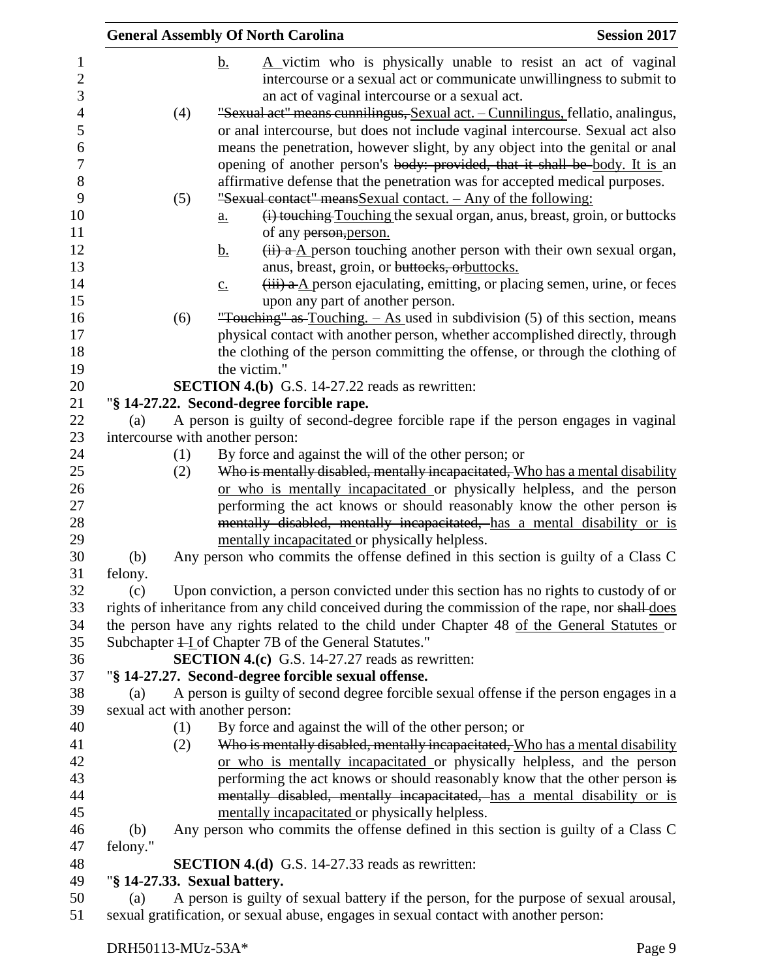|                                     |                                  | <b>General Assembly Of North Carolina</b>                                                                                                                                                                                                      | <b>Session 2017</b> |
|-------------------------------------|----------------------------------|------------------------------------------------------------------------------------------------------------------------------------------------------------------------------------------------------------------------------------------------|---------------------|
| $\mathbf{1}$<br>$\overline{2}$<br>3 |                                  | A victim who is physically unable to resist an act of vaginal<br><u>b.</u><br>intercourse or a sexual act or communicate unwillingness to submit to<br>an act of vaginal intercourse or a sexual act.                                          |                     |
| $\overline{4}$                      | (4)                              | "Sexual act" means cunnilingus, Sexual act. - Cunnilingus, fellatio, analingus,                                                                                                                                                                |                     |
| 5<br>6<br>7                         |                                  | or anal intercourse, but does not include vaginal intercourse. Sexual act also<br>means the penetration, however slight, by any object into the genital or anal<br>opening of another person's body: provided, that it shall be body. It is an |                     |
| 8                                   |                                  | affirmative defense that the penetration was for accepted medical purposes.                                                                                                                                                                    |                     |
| 9                                   | (5)                              | "Sexual contact" means Sexual contact. - Any of the following:                                                                                                                                                                                 |                     |
| 10                                  |                                  | (i) touching Touching the sexual organ, anus, breast, groin, or buttocks<br>$\underline{a}$ .                                                                                                                                                  |                     |
| 11                                  |                                  | of any person, person.                                                                                                                                                                                                                         |                     |
| 12                                  |                                  | $(ii)$ a- $A$ person touching another person with their own sexual organ,<br><u>b.</u>                                                                                                                                                         |                     |
| 13                                  |                                  | anus, breast, groin, or buttocks, orbuttocks.                                                                                                                                                                                                  |                     |
| 14                                  |                                  | $\overline{f}$ a $\underline{A}$ person ejaculating, emitting, or placing semen, urine, or feces<br>$\underline{c}$ .                                                                                                                          |                     |
| 15                                  |                                  | upon any part of another person.                                                                                                                                                                                                               |                     |
| 16                                  | (6)                              | "Touching" as Touching. $-$ As used in subdivision (5) of this section, means                                                                                                                                                                  |                     |
| 17                                  |                                  | physical contact with another person, whether accomplished directly, through                                                                                                                                                                   |                     |
| 18                                  |                                  | the clothing of the person committing the offense, or through the clothing of                                                                                                                                                                  |                     |
| 19                                  |                                  | the victim."                                                                                                                                                                                                                                   |                     |
| 20                                  |                                  | <b>SECTION 4.(b)</b> G.S. 14-27.22 reads as rewritten:                                                                                                                                                                                         |                     |
| 21                                  |                                  | "§ 14-27.22. Second-degree forcible rape.                                                                                                                                                                                                      |                     |
| 22                                  | (a)                              | A person is guilty of second-degree forcible rape if the person engages in vaginal                                                                                                                                                             |                     |
| 23                                  | intercourse with another person: |                                                                                                                                                                                                                                                |                     |
| 24                                  | (1)                              | By force and against the will of the other person; or                                                                                                                                                                                          |                     |
| 25                                  | (2)                              | Who is mentally disabled, mentally incapacitated, Who has a mental disability                                                                                                                                                                  |                     |
| 26                                  |                                  | or who is mentally incapacitated or physically helpless, and the person                                                                                                                                                                        |                     |
| 27                                  |                                  | performing the act knows or should reasonably know the other person is                                                                                                                                                                         |                     |
| 28                                  |                                  | mentally disabled, mentally incapacitated, has a mental disability or is                                                                                                                                                                       |                     |
| 29                                  |                                  | mentally incapacitated or physically helpless.                                                                                                                                                                                                 |                     |
| 30                                  | (b)                              | Any person who commits the offense defined in this section is guilty of a Class C                                                                                                                                                              |                     |
| 31                                  | felony.                          |                                                                                                                                                                                                                                                |                     |
| 32                                  | (c)                              | Upon conviction, a person convicted under this section has no rights to custody of or                                                                                                                                                          |                     |
| 33                                  |                                  | rights of inheritance from any child conceived during the commission of the rape, nor shall does                                                                                                                                               |                     |
| 34                                  |                                  | the person have any rights related to the child under Chapter 48 of the General Statutes or                                                                                                                                                    |                     |
| 35                                  |                                  | Subchapter + Lof Chapter 7B of the General Statutes."                                                                                                                                                                                          |                     |
| 36                                  |                                  | <b>SECTION 4.(c)</b> G.S. 14-27.27 reads as rewritten:                                                                                                                                                                                         |                     |
| 37                                  |                                  | "§ 14-27.27. Second-degree forcible sexual offense.                                                                                                                                                                                            |                     |
| 38                                  | (a)                              | A person is guilty of second degree forcible sexual offense if the person engages in a                                                                                                                                                         |                     |
| 39                                  | sexual act with another person:  |                                                                                                                                                                                                                                                |                     |
| 40                                  | (1)                              | By force and against the will of the other person; or                                                                                                                                                                                          |                     |
| 41                                  | (2)                              | Who is mentally disabled, mentally incapacitated, Who has a mental disability                                                                                                                                                                  |                     |
| 42                                  |                                  | or who is mentally incapacitated or physically helpless, and the person                                                                                                                                                                        |                     |
| 43                                  |                                  | performing the act knows or should reasonably know that the other person is                                                                                                                                                                    |                     |
| 44                                  |                                  | mentally disabled, mentally incapacitated, has a mental disability or is                                                                                                                                                                       |                     |
| 45                                  |                                  | mentally incapacitated or physically helpless.                                                                                                                                                                                                 |                     |
| 46                                  | (b)                              | Any person who commits the offense defined in this section is guilty of a Class C                                                                                                                                                              |                     |
| 47                                  | felony."                         |                                                                                                                                                                                                                                                |                     |
| 48                                  |                                  | <b>SECTION 4.(d)</b> G.S. 14-27.33 reads as rewritten:                                                                                                                                                                                         |                     |
| 49                                  | "§ 14-27.33. Sexual battery.     |                                                                                                                                                                                                                                                |                     |
| 50                                  | (a)                              | A person is guilty of sexual battery if the person, for the purpose of sexual arousal,                                                                                                                                                         |                     |
| 51                                  |                                  | sexual gratification, or sexual abuse, engages in sexual contact with another person:                                                                                                                                                          |                     |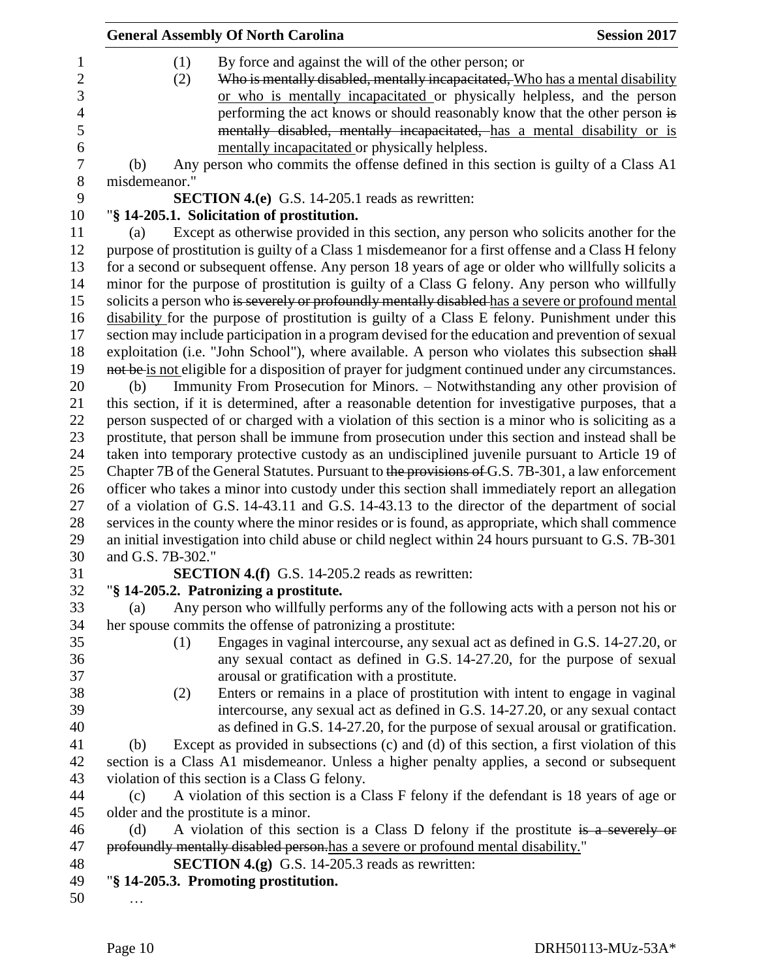| (1)<br>By force and against the will of the other person; or<br>Who is mentally disabled, mentally incapacitated, Who has a mental disability<br>(2)<br>or who is mentally incapacitated or physically helpless, and the person<br>performing the act knows or should reasonably know that the other person is<br>mentally disabled, mentally incapacitated, has a mental disability or is<br>mentally incapacitated or physically helpless. |  |
|----------------------------------------------------------------------------------------------------------------------------------------------------------------------------------------------------------------------------------------------------------------------------------------------------------------------------------------------------------------------------------------------------------------------------------------------|--|
|                                                                                                                                                                                                                                                                                                                                                                                                                                              |  |
| Any person who commits the offense defined in this section is guilty of a Class A1<br>(b)                                                                                                                                                                                                                                                                                                                                                    |  |
| misdemeanor."                                                                                                                                                                                                                                                                                                                                                                                                                                |  |
| <b>SECTION 4.(e)</b> G.S. 14-205.1 reads as rewritten:                                                                                                                                                                                                                                                                                                                                                                                       |  |
| "§ 14-205.1. Solicitation of prostitution.                                                                                                                                                                                                                                                                                                                                                                                                   |  |
| Except as otherwise provided in this section, any person who solicits another for the<br>(a)                                                                                                                                                                                                                                                                                                                                                 |  |
| purpose of prostitution is guilty of a Class 1 misdemeanor for a first offense and a Class H felony                                                                                                                                                                                                                                                                                                                                          |  |
| for a second or subsequent offense. Any person 18 years of age or older who willfully solicits a                                                                                                                                                                                                                                                                                                                                             |  |
| minor for the purpose of prostitution is guilty of a Class G felony. Any person who willfully                                                                                                                                                                                                                                                                                                                                                |  |
| solicits a person who is severely or profoundly mentally disabled has a severe or profound mental                                                                                                                                                                                                                                                                                                                                            |  |
| disability for the purpose of prostitution is guilty of a Class E felony. Punishment under this                                                                                                                                                                                                                                                                                                                                              |  |
| section may include participation in a program devised for the education and prevention of sexual                                                                                                                                                                                                                                                                                                                                            |  |
| exploitation (i.e. "John School"), where available. A person who violates this subsection shall                                                                                                                                                                                                                                                                                                                                              |  |
| not be is not eligible for a disposition of prayer for judgment continued under any circumstances.                                                                                                                                                                                                                                                                                                                                           |  |
| Immunity From Prosecution for Minors. - Notwithstanding any other provision of<br>(b)                                                                                                                                                                                                                                                                                                                                                        |  |
| this section, if it is determined, after a reasonable detention for investigative purposes, that a                                                                                                                                                                                                                                                                                                                                           |  |
| person suspected of or charged with a violation of this section is a minor who is soliciting as a                                                                                                                                                                                                                                                                                                                                            |  |
| prostitute, that person shall be immune from prosecution under this section and instead shall be                                                                                                                                                                                                                                                                                                                                             |  |
| taken into temporary protective custody as an undisciplined juvenile pursuant to Article 19 of                                                                                                                                                                                                                                                                                                                                               |  |
| Chapter 7B of the General Statutes. Pursuant to the provisions of G.S. 7B-301, a law enforcement                                                                                                                                                                                                                                                                                                                                             |  |
| officer who takes a minor into custody under this section shall immediately report an allegation                                                                                                                                                                                                                                                                                                                                             |  |
| of a violation of G.S. 14-43.11 and G.S. 14-43.13 to the director of the department of social                                                                                                                                                                                                                                                                                                                                                |  |
| services in the county where the minor resides or is found, as appropriate, which shall commence                                                                                                                                                                                                                                                                                                                                             |  |
| an initial investigation into child abuse or child neglect within 24 hours pursuant to G.S. 7B-301                                                                                                                                                                                                                                                                                                                                           |  |
| and G.S. 7B-302."                                                                                                                                                                                                                                                                                                                                                                                                                            |  |
| <b>SECTION 4.(f)</b> G.S. 14-205.2 reads as rewritten:                                                                                                                                                                                                                                                                                                                                                                                       |  |
| "§ 14-205.2. Patronizing a prostitute.                                                                                                                                                                                                                                                                                                                                                                                                       |  |
| Any person who willfully performs any of the following acts with a person not his or<br>(a)                                                                                                                                                                                                                                                                                                                                                  |  |
| her spouse commits the offense of patronizing a prostitute:                                                                                                                                                                                                                                                                                                                                                                                  |  |
| Engages in vaginal intercourse, any sexual act as defined in G.S. 14-27.20, or<br>(1)                                                                                                                                                                                                                                                                                                                                                        |  |
| any sexual contact as defined in G.S. 14-27.20, for the purpose of sexual                                                                                                                                                                                                                                                                                                                                                                    |  |
| arousal or gratification with a prostitute.                                                                                                                                                                                                                                                                                                                                                                                                  |  |
| Enters or remains in a place of prostitution with intent to engage in vaginal<br>(2)                                                                                                                                                                                                                                                                                                                                                         |  |
| intercourse, any sexual act as defined in G.S. 14-27.20, or any sexual contact                                                                                                                                                                                                                                                                                                                                                               |  |
| as defined in G.S. 14-27.20, for the purpose of sexual arousal or gratification.                                                                                                                                                                                                                                                                                                                                                             |  |
| Except as provided in subsections (c) and (d) of this section, a first violation of this<br>(b)                                                                                                                                                                                                                                                                                                                                              |  |
| section is a Class A1 misdemeanor. Unless a higher penalty applies, a second or subsequent                                                                                                                                                                                                                                                                                                                                                   |  |
| violation of this section is a Class G felony.                                                                                                                                                                                                                                                                                                                                                                                               |  |
| A violation of this section is a Class F felony if the defendant is 18 years of age or<br>(c)                                                                                                                                                                                                                                                                                                                                                |  |
| older and the prostitute is a minor.                                                                                                                                                                                                                                                                                                                                                                                                         |  |
| A violation of this section is a Class D felony if the prostitute is a severely or<br>(d)                                                                                                                                                                                                                                                                                                                                                    |  |
| profoundly mentally disabled person.has a severe or profound mental disability."                                                                                                                                                                                                                                                                                                                                                             |  |
| <b>SECTION 4.(g)</b> G.S. 14-205.3 reads as rewritten:                                                                                                                                                                                                                                                                                                                                                                                       |  |
| "§ 14-205.3. Promoting prostitution.                                                                                                                                                                                                                                                                                                                                                                                                         |  |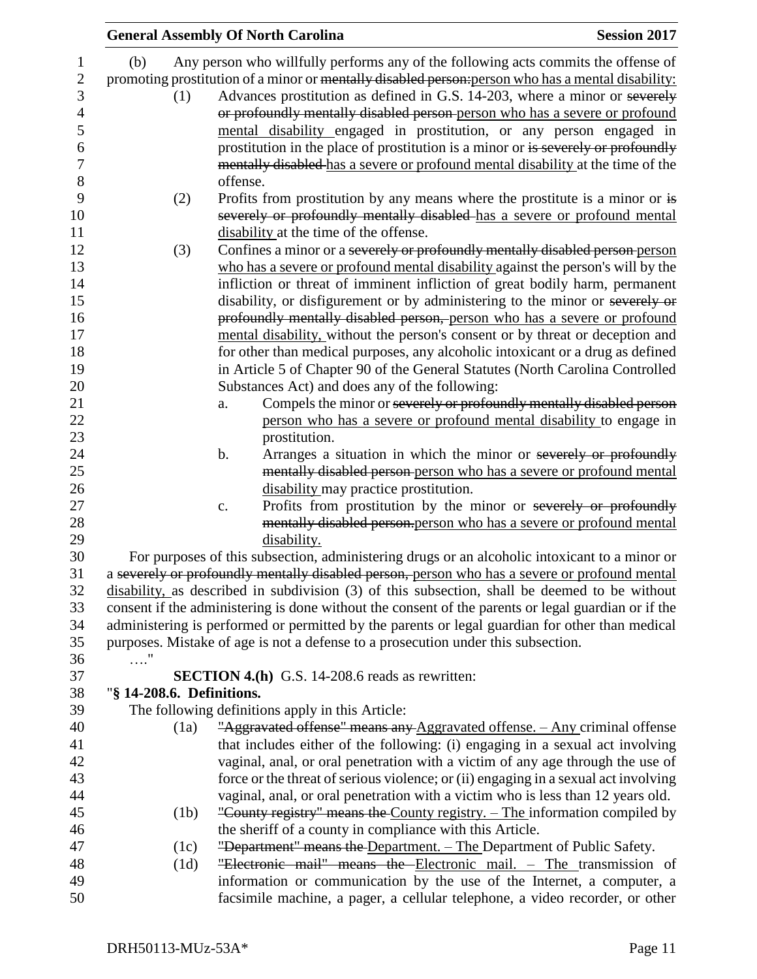|                           | <b>General Assembly Of North Carolina</b>                                                                                       | <b>Session 2017</b> |
|---------------------------|---------------------------------------------------------------------------------------------------------------------------------|---------------------|
| (b)                       | Any person who willfully performs any of the following acts commits the offense of                                              |                     |
|                           | promoting prostitution of a minor or mentally disabled person-person who has a mental disability:                               |                     |
| (1)                       | Advances prostitution as defined in G.S. 14-203, where a minor or severely                                                      |                     |
|                           | or profoundly mentally disabled person-person who has a severe or profound                                                      |                     |
|                           | mental disability engaged in prostitution, or any person engaged in                                                             |                     |
|                           | prostitution in the place of prostitution is a minor or is severely or profoundly                                               |                     |
|                           | mentally disabled has a severe or profound mental disability at the time of the                                                 |                     |
|                           | offense.                                                                                                                        |                     |
|                           |                                                                                                                                 |                     |
| (2)                       | Profits from prostitution by any means where the prostitute is a minor or is                                                    |                     |
|                           | severely or profoundly mentally disabled-has a severe or profound mental                                                        |                     |
|                           | disability at the time of the offense.                                                                                          |                     |
| (3)                       | Confines a minor or a severely or profoundly mentally disabled person-person                                                    |                     |
|                           | who has a severe or profound mental disability against the person's will by the                                                 |                     |
|                           | infliction or threat of imminent infliction of great bodily harm, permanent                                                     |                     |
|                           | disability, or disfigurement or by administering to the minor or severely or                                                    |                     |
|                           | profoundly mentally disabled person, person who has a severe or profound                                                        |                     |
|                           | mental disability, without the person's consent or by threat or deception and                                                   |                     |
|                           | for other than medical purposes, any alcoholic intoxicant or a drug as defined                                                  |                     |
|                           | in Article 5 of Chapter 90 of the General Statutes (North Carolina Controlled<br>Substances Act) and does any of the following: |                     |
|                           | Compels the minor or severely or profoundly mentally disabled person<br>a.                                                      |                     |
|                           | person who has a severe or profound mental disability to engage in                                                              |                     |
|                           | prostitution.                                                                                                                   |                     |
|                           | Arranges a situation in which the minor or severely or profoundly<br>$\mathbf b$ .                                              |                     |
|                           | mentally disabled person-person who has a severe or profound mental                                                             |                     |
|                           | disability may practice prostitution.                                                                                           |                     |
|                           | Profits from prostitution by the minor or severely or profoundly<br>c.                                                          |                     |
|                           | mentally disabled person.person who has a severe or profound mental                                                             |                     |
|                           | disability.                                                                                                                     |                     |
|                           | For purposes of this subsection, administering drugs or an alcoholic intoxicant to a minor or                                   |                     |
|                           | a severely or profoundly mentally disabled person, person who has a severe or profound mental                                   |                     |
|                           | disability, as described in subdivision (3) of this subsection, shall be deemed to be without                                   |                     |
|                           | consent if the administering is done without the consent of the parents or legal guardian or if the                             |                     |
|                           | administering is performed or permitted by the parents or legal guardian for other than medical                                 |                     |
|                           | purposes. Mistake of age is not a defense to a prosecution under this subsection.                                               |                     |
| $\ldots$ "                |                                                                                                                                 |                     |
|                           | <b>SECTION 4.(h)</b> G.S. 14-208.6 reads as rewritten:                                                                          |                     |
| "§ 14-208.6. Definitions. |                                                                                                                                 |                     |
|                           | The following definitions apply in this Article:                                                                                |                     |
| (1a)                      | "Aggravated offense" means any Aggravated offense. - Any criminal offense                                                       |                     |
|                           | that includes either of the following: (i) engaging in a sexual act involving                                                   |                     |
|                           | vaginal, anal, or oral penetration with a victim of any age through the use of                                                  |                     |
|                           | force or the threat of serious violence; or (ii) engaging in a sexual act involving                                             |                     |
|                           | vaginal, anal, or oral penetration with a victim who is less than 12 years old.                                                 |                     |
| (1b)                      | "County registry" means the County registry. – The information compiled by                                                      |                     |
|                           | the sheriff of a county in compliance with this Article.                                                                        |                     |
| (1c)                      | "Department" means the Department. - The Department of Public Safety.                                                           |                     |
| (1d)                      | "Electronic mail" means the Electronic mail. - The transmission of                                                              |                     |
|                           | information or communication by the use of the Internet, a computer, a                                                          |                     |
|                           | facsimile machine, a pager, a cellular telephone, a video recorder, or other                                                    |                     |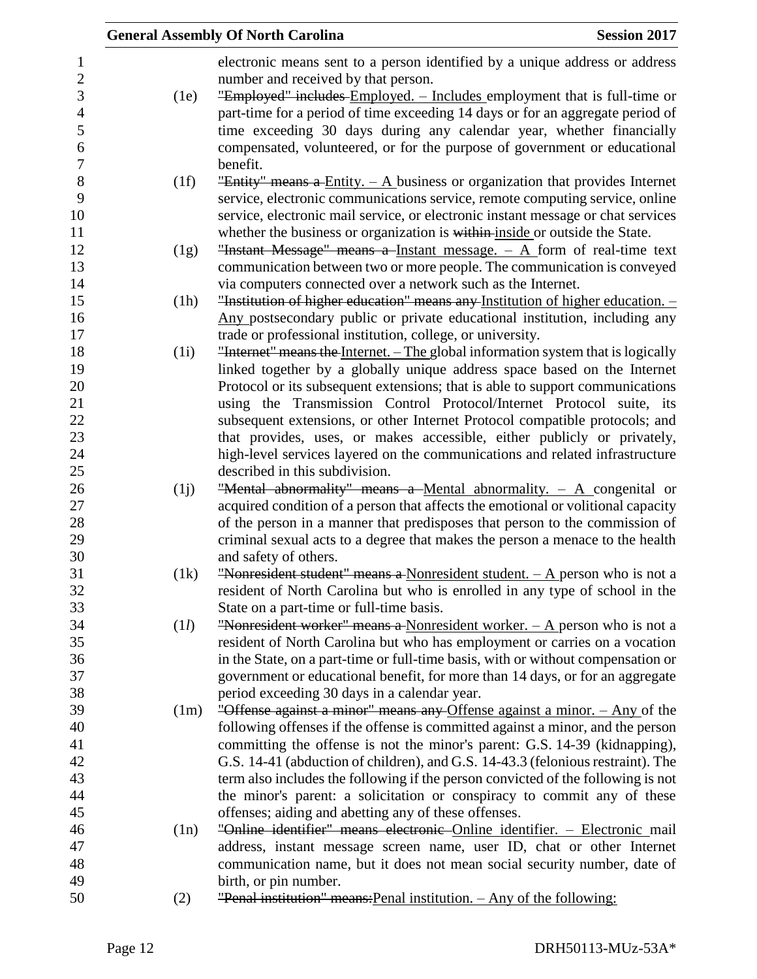|      | <b>Session 2017</b><br><b>General Assembly Of North Carolina</b>                                                       |
|------|------------------------------------------------------------------------------------------------------------------------|
|      | electronic means sent to a person identified by a unique address or address                                            |
|      | number and received by that person.                                                                                    |
| (1e) | "Employed" includes Employed. - Includes employment that is full-time or                                               |
|      | part-time for a period of time exceeding 14 days or for an aggregate period of                                         |
|      | time exceeding 30 days during any calendar year, whether financially                                                   |
|      | compensated, volunteered, or for the purpose of government or educational                                              |
|      | benefit.                                                                                                               |
| (1f) | "Entity" means a Entity. $- A$ business or organization that provides Internet                                         |
|      | service, electronic communications service, remote computing service, online                                           |
|      | service, electronic mail service, or electronic instant message or chat services                                       |
|      | whether the business or organization is within inside or outside the State.                                            |
| (1g) | "Instant Message" means a Instant message. $-$ A form of real-time text                                                |
|      | communication between two or more people. The communication is conveyed                                                |
|      | via computers connected over a network such as the Internet.                                                           |
| (1h) | "Institution of higher education" means any Institution of higher education. -                                         |
|      | Any postsecondary public or private educational institution, including any                                             |
|      | trade or professional institution, college, or university.                                                             |
| (1i) | "Internet" means the Internet. - The global information system that is logically                                       |
|      | linked together by a globally unique address space based on the Internet                                               |
|      | Protocol or its subsequent extensions; that is able to support communications                                          |
|      | using the Transmission Control Protocol/Internet Protocol suite, its                                                   |
|      | subsequent extensions, or other Internet Protocol compatible protocols; and                                            |
|      | that provides, uses, or makes accessible, either publicly or privately,                                                |
|      | high-level services layered on the communications and related infrastructure                                           |
|      | described in this subdivision.                                                                                         |
| (i)  | "Mental abnormality" means a Mental abnormality. $- A$ congenital or                                                   |
|      | acquired condition of a person that affects the emotional or volitional capacity                                       |
|      | of the person in a manner that predisposes that person to the commission of                                            |
|      | criminal sexual acts to a degree that makes the person a menace to the health                                          |
|      | and safety of others.                                                                                                  |
| (1k) | "Nonresident student" means a Nonresident student. $- A$ person who is not a                                           |
|      | resident of North Carolina but who is enrolled in any type of school in the                                            |
| (1l) | State on a part-time or full-time basis.<br>"Nonresident worker" means a Nonresident worker. $- A$ person who is not a |
|      | resident of North Carolina but who has employment or carries on a vocation                                             |
|      | in the State, on a part-time or full-time basis, with or without compensation or                                       |
|      | government or educational benefit, for more than 14 days, or for an aggregate                                          |
|      | period exceeding 30 days in a calendar year.                                                                           |
| (1m) | "Offense against a minor" means any Offense against a minor. - Any of the                                              |
|      | following offenses if the offense is committed against a minor, and the person                                         |
|      | committing the offense is not the minor's parent: G.S. 14-39 (kidnapping),                                             |
|      | G.S. 14-41 (abduction of children), and G.S. 14-43.3 (felonious restraint). The                                        |
|      | term also includes the following if the person convicted of the following is not                                       |
|      | the minor's parent: a solicitation or conspiracy to commit any of these                                                |
|      | offenses; aiding and abetting any of these offenses.                                                                   |
| (1n) | "Online identifier" means electronic Online identifier. - Electronic mail                                              |
|      | address, instant message screen name, user ID, chat or other Internet                                                  |
|      | communication name, but it does not mean social security number, date of                                               |
|      | birth, or pin number.                                                                                                  |
| (2)  | "Penal institution" means: Penal institution. - Any of the following:                                                  |
|      |                                                                                                                        |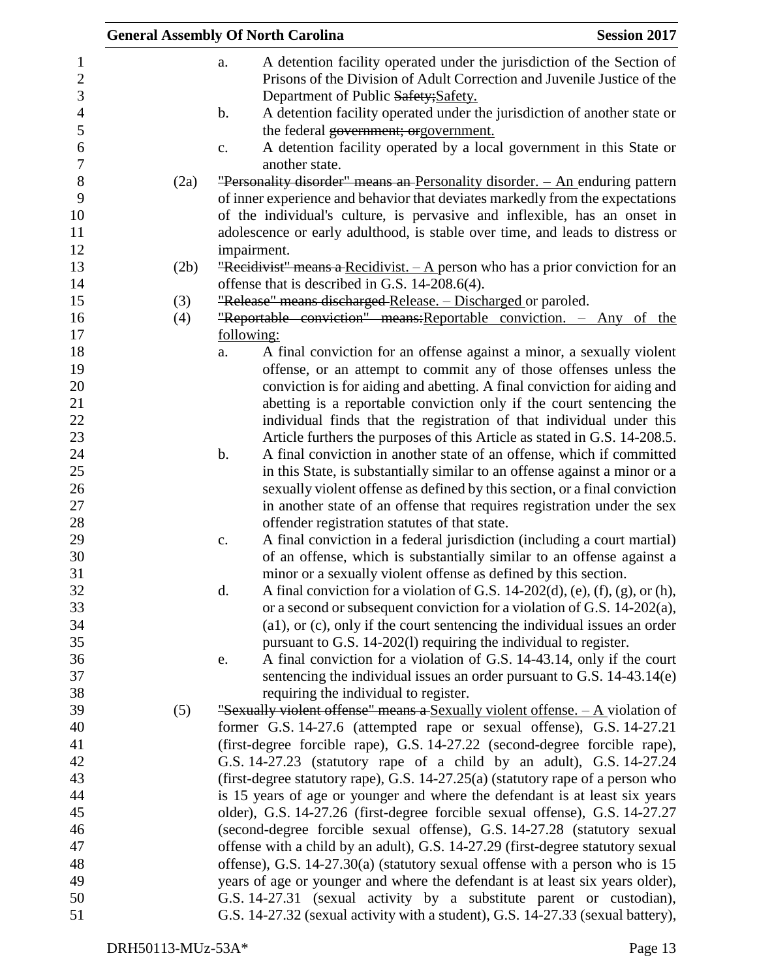|      | <b>General Assembly Of North Carolina</b><br><b>Session 2017</b>                                                                                                |
|------|-----------------------------------------------------------------------------------------------------------------------------------------------------------------|
|      | A detention facility operated under the jurisdiction of the Section of<br>a.                                                                                    |
|      | Prisons of the Division of Adult Correction and Juvenile Justice of the                                                                                         |
|      | Department of Public Safety; Safety.                                                                                                                            |
|      | A detention facility operated under the jurisdiction of another state or<br>b.                                                                                  |
|      | the federal government; orgovernment.                                                                                                                           |
|      | A detention facility operated by a local government in this State or<br>c.                                                                                      |
|      | another state.                                                                                                                                                  |
| (2a) | "Personality disorder" means an Personality disorder. - An enduring pattern                                                                                     |
|      | of inner experience and behavior that deviates markedly from the expectations                                                                                   |
|      | of the individual's culture, is pervasive and inflexible, has an onset in                                                                                       |
|      | adolescence or early adulthood, is stable over time, and leads to distress or                                                                                   |
|      | impairment.                                                                                                                                                     |
| (2b) | "Recidivist" means a Recidivist. $-$ A person who has a prior conviction for an                                                                                 |
|      | offense that is described in G.S. 14-208.6(4).                                                                                                                  |
| (3)  | "Release" means discharged-Release. - Discharged or paroled.                                                                                                    |
| (4)  | "Reportable conviction" means: Reportable conviction. - Any of the                                                                                              |
|      | following:                                                                                                                                                      |
|      | A final conviction for an offense against a minor, a sexually violent<br>a.                                                                                     |
|      | offense, or an attempt to commit any of those offenses unless the                                                                                               |
|      | conviction is for aiding and abetting. A final conviction for aiding and                                                                                        |
|      | abetting is a reportable conviction only if the court sentencing the                                                                                            |
|      | individual finds that the registration of that individual under this                                                                                            |
|      | Article furthers the purposes of this Article as stated in G.S. 14-208.5.                                                                                       |
|      | A final conviction in another state of an offense, which if committed<br>$\mathbf b$ .                                                                          |
|      | in this State, is substantially similar to an offense against a minor or a                                                                                      |
|      | sexually violent offense as defined by this section, or a final conviction                                                                                      |
|      | in another state of an offense that requires registration under the sex                                                                                         |
|      | offender registration statutes of that state.                                                                                                                   |
|      | A final conviction in a federal jurisdiction (including a court martial)<br>c.                                                                                  |
|      | of an offense, which is substantially similar to an offense against a                                                                                           |
|      | minor or a sexually violent offense as defined by this section.                                                                                                 |
|      | d.<br>A final conviction for a violation of G.S. 14-202(d), (e), (f), (g), or (h),                                                                              |
|      | or a second or subsequent conviction for a violation of G.S. 14-202(a),                                                                                         |
|      | (a1), or (c), only if the court sentencing the individual issues an order                                                                                       |
|      | pursuant to G.S. 14-202(l) requiring the individual to register.                                                                                                |
|      | A final conviction for a violation of G.S. 14-43.14, only if the court<br>e.                                                                                    |
|      | sentencing the individual issues an order pursuant to G.S. $14-43.14(e)$                                                                                        |
|      | requiring the individual to register.                                                                                                                           |
| (5)  | "Sexually violent offense" means a Sexually violent offense. $- A$ violation of                                                                                 |
|      | former G.S. 14-27.6 (attempted rape or sexual offense), G.S. 14-27.21                                                                                           |
|      | (first-degree forcible rape), G.S. 14-27.22 (second-degree forcible rape),                                                                                      |
|      | G.S. 14-27.23 (statutory rape of a child by an adult), G.S. 14-27.24                                                                                            |
|      | (first-degree statutory rape), G.S. 14-27.25(a) (statutory rape of a person who                                                                                 |
|      | is 15 years of age or younger and where the defendant is at least six years                                                                                     |
|      | older), G.S. 14-27.26 (first-degree forcible sexual offense), G.S. 14-27.27                                                                                     |
|      | (second-degree forcible sexual offense), G.S. 14-27.28 (statutory sexual                                                                                        |
|      | offense with a child by an adult), G.S. 14-27.29 (first-degree statutory sexual                                                                                 |
|      | offense), G.S. $14-27.30(a)$ (statutory sexual offense with a person who is 15<br>years of age or younger and where the defendant is at least six years older), |
|      | G.S. 14-27.31 (sexual activity by a substitute parent or custodian),                                                                                            |
|      | G.S. 14-27.32 (sexual activity with a student), G.S. 14-27.33 (sexual battery),                                                                                 |
|      |                                                                                                                                                                 |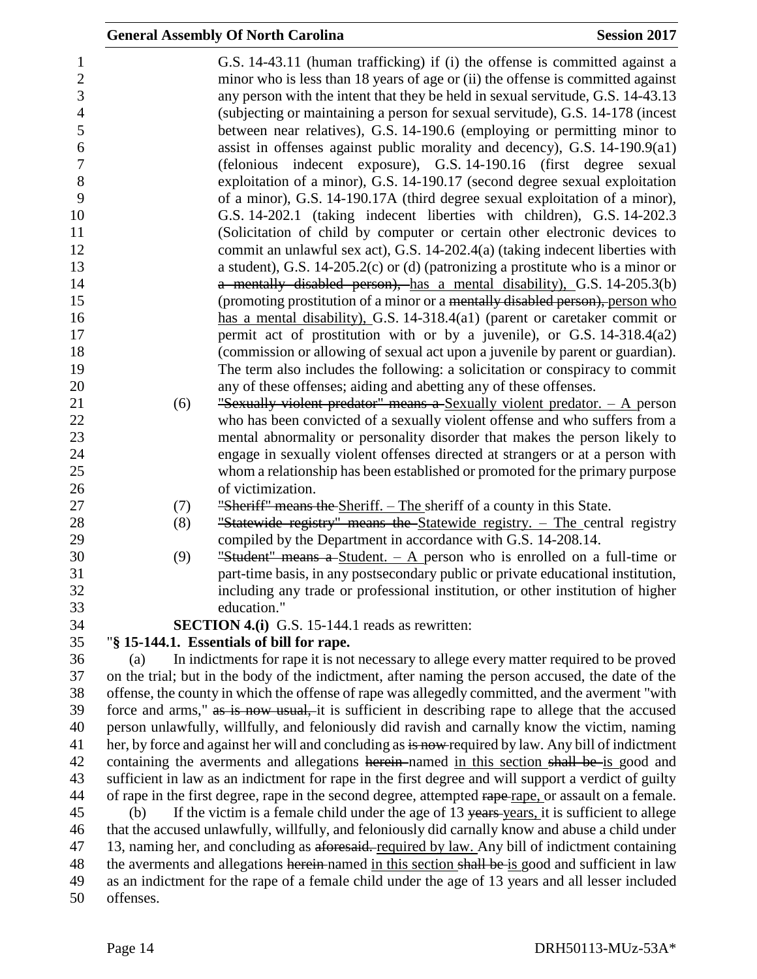|           | <b>General Assembly Of North Carolina</b>                                                                                                                                                                                                                                                                                                                                                                                                                                                                                                                                                                                                                                                                                                                                                                     | <b>Session 2017</b> |
|-----------|---------------------------------------------------------------------------------------------------------------------------------------------------------------------------------------------------------------------------------------------------------------------------------------------------------------------------------------------------------------------------------------------------------------------------------------------------------------------------------------------------------------------------------------------------------------------------------------------------------------------------------------------------------------------------------------------------------------------------------------------------------------------------------------------------------------|---------------------|
|           | G.S. 14-43.11 (human trafficking) if (i) the offense is committed against a<br>minor who is less than 18 years of age or (ii) the offense is committed against<br>any person with the intent that they be held in sexual servitude, G.S. 14-43.13<br>(subjecting or maintaining a person for sexual servitude), G.S. 14-178 (incest<br>between near relatives), G.S. 14-190.6 (employing or permitting minor to<br>assist in offenses against public morality and decency), G.S. $14-190.9(a1)$<br>(felonious indecent exposure), G.S. 14-190.16 (first degree sexual<br>exploitation of a minor), G.S. 14-190.17 (second degree sexual exploitation<br>of a minor), G.S. 14-190.17A (third degree sexual exploitation of a minor),<br>G.S. 14-202.1 (taking indecent liberties with children), G.S. 14-202.3 |                     |
|           | (Solicitation of child by computer or certain other electronic devices to                                                                                                                                                                                                                                                                                                                                                                                                                                                                                                                                                                                                                                                                                                                                     |                     |
|           | commit an unlawful sex act), G.S. 14-202.4(a) (taking indecent liberties with                                                                                                                                                                                                                                                                                                                                                                                                                                                                                                                                                                                                                                                                                                                                 |                     |
|           | a student), G.S. 14-205.2(c) or (d) (patronizing a prostitute who is a minor or                                                                                                                                                                                                                                                                                                                                                                                                                                                                                                                                                                                                                                                                                                                               |                     |
|           | a mentally disabled person), has a mental disability), G.S. 14-205.3(b)                                                                                                                                                                                                                                                                                                                                                                                                                                                                                                                                                                                                                                                                                                                                       |                     |
|           | (promoting prostitution of a minor or a mentally disabled person), person who<br>has a mental disability), G.S. 14-318.4(a1) (parent or caretaker commit or                                                                                                                                                                                                                                                                                                                                                                                                                                                                                                                                                                                                                                                   |                     |
|           | permit act of prostitution with or by a juvenile), or G.S. 14-318.4(a2)                                                                                                                                                                                                                                                                                                                                                                                                                                                                                                                                                                                                                                                                                                                                       |                     |
|           | (commission or allowing of sexual act upon a juvenile by parent or guardian).                                                                                                                                                                                                                                                                                                                                                                                                                                                                                                                                                                                                                                                                                                                                 |                     |
|           | The term also includes the following: a solicitation or conspiracy to commit                                                                                                                                                                                                                                                                                                                                                                                                                                                                                                                                                                                                                                                                                                                                  |                     |
|           | any of these offenses; aiding and abetting any of these offenses.                                                                                                                                                                                                                                                                                                                                                                                                                                                                                                                                                                                                                                                                                                                                             |                     |
| (6)       | "Sexually violent predator" means a Sexually violent predator. $-$ A person                                                                                                                                                                                                                                                                                                                                                                                                                                                                                                                                                                                                                                                                                                                                   |                     |
|           | who has been convicted of a sexually violent offense and who suffers from a                                                                                                                                                                                                                                                                                                                                                                                                                                                                                                                                                                                                                                                                                                                                   |                     |
|           | mental abnormality or personality disorder that makes the person likely to                                                                                                                                                                                                                                                                                                                                                                                                                                                                                                                                                                                                                                                                                                                                    |                     |
|           | engage in sexually violent offenses directed at strangers or at a person with                                                                                                                                                                                                                                                                                                                                                                                                                                                                                                                                                                                                                                                                                                                                 |                     |
|           | whom a relationship has been established or promoted for the primary purpose<br>of victimization.                                                                                                                                                                                                                                                                                                                                                                                                                                                                                                                                                                                                                                                                                                             |                     |
| (7)       | "Sheriff" means the Sheriff. – The sheriff of a county in this State.                                                                                                                                                                                                                                                                                                                                                                                                                                                                                                                                                                                                                                                                                                                                         |                     |
| (8)       | "Statewide registry" means the Statewide registry. - The central registry                                                                                                                                                                                                                                                                                                                                                                                                                                                                                                                                                                                                                                                                                                                                     |                     |
|           | compiled by the Department in accordance with G.S. 14-208.14.                                                                                                                                                                                                                                                                                                                                                                                                                                                                                                                                                                                                                                                                                                                                                 |                     |
| (9)       | "Student" means a Student. $-$ A person who is enrolled on a full-time or                                                                                                                                                                                                                                                                                                                                                                                                                                                                                                                                                                                                                                                                                                                                     |                     |
|           | part-time basis, in any postsecondary public or private educational institution,<br>including any trade or professional institution, or other institution of higher                                                                                                                                                                                                                                                                                                                                                                                                                                                                                                                                                                                                                                           |                     |
|           | education."                                                                                                                                                                                                                                                                                                                                                                                                                                                                                                                                                                                                                                                                                                                                                                                                   |                     |
|           | <b>SECTION 4.(i)</b> G.S. 15-144.1 reads as rewritten:                                                                                                                                                                                                                                                                                                                                                                                                                                                                                                                                                                                                                                                                                                                                                        |                     |
| (a)       | "§ 15-144.1. Essentials of bill for rape.<br>In indictments for rape it is not necessary to allege every matter required to be proved                                                                                                                                                                                                                                                                                                                                                                                                                                                                                                                                                                                                                                                                         |                     |
|           | on the trial; but in the body of the indictment, after naming the person accused, the date of the                                                                                                                                                                                                                                                                                                                                                                                                                                                                                                                                                                                                                                                                                                             |                     |
|           | offense, the county in which the offense of rape was allegedly committed, and the averment "with                                                                                                                                                                                                                                                                                                                                                                                                                                                                                                                                                                                                                                                                                                              |                     |
|           | force and arms," as is now usual, it is sufficient in describing rape to allege that the accused                                                                                                                                                                                                                                                                                                                                                                                                                                                                                                                                                                                                                                                                                                              |                     |
|           | person unlawfully, willfully, and feloniously did ravish and carnally know the victim, naming                                                                                                                                                                                                                                                                                                                                                                                                                                                                                                                                                                                                                                                                                                                 |                     |
|           | her, by force and against her will and concluding as is now required by law. Any bill of indictment                                                                                                                                                                                                                                                                                                                                                                                                                                                                                                                                                                                                                                                                                                           |                     |
|           | containing the averments and allegations herein-named in this section shall be is good and                                                                                                                                                                                                                                                                                                                                                                                                                                                                                                                                                                                                                                                                                                                    |                     |
|           | sufficient in law as an indictment for rape in the first degree and will support a verdict of guilty                                                                                                                                                                                                                                                                                                                                                                                                                                                                                                                                                                                                                                                                                                          |                     |
|           | of rape in the first degree, rape in the second degree, attempted rape rape, or assault on a female.                                                                                                                                                                                                                                                                                                                                                                                                                                                                                                                                                                                                                                                                                                          |                     |
| (b)       | If the victim is a female child under the age of 13 years years, it is sufficient to allege                                                                                                                                                                                                                                                                                                                                                                                                                                                                                                                                                                                                                                                                                                                   |                     |
|           | that the accused unlawfully, willfully, and feloniously did carnally know and abuse a child under                                                                                                                                                                                                                                                                                                                                                                                                                                                                                                                                                                                                                                                                                                             |                     |
|           | 13, naming her, and concluding as aforesaid. required by law. Any bill of indictment containing<br>the averments and allegations herein named in this section shall be is good and sufficient in law                                                                                                                                                                                                                                                                                                                                                                                                                                                                                                                                                                                                          |                     |
| offenses. | as an indictment for the rape of a female child under the age of 13 years and all lesser included                                                                                                                                                                                                                                                                                                                                                                                                                                                                                                                                                                                                                                                                                                             |                     |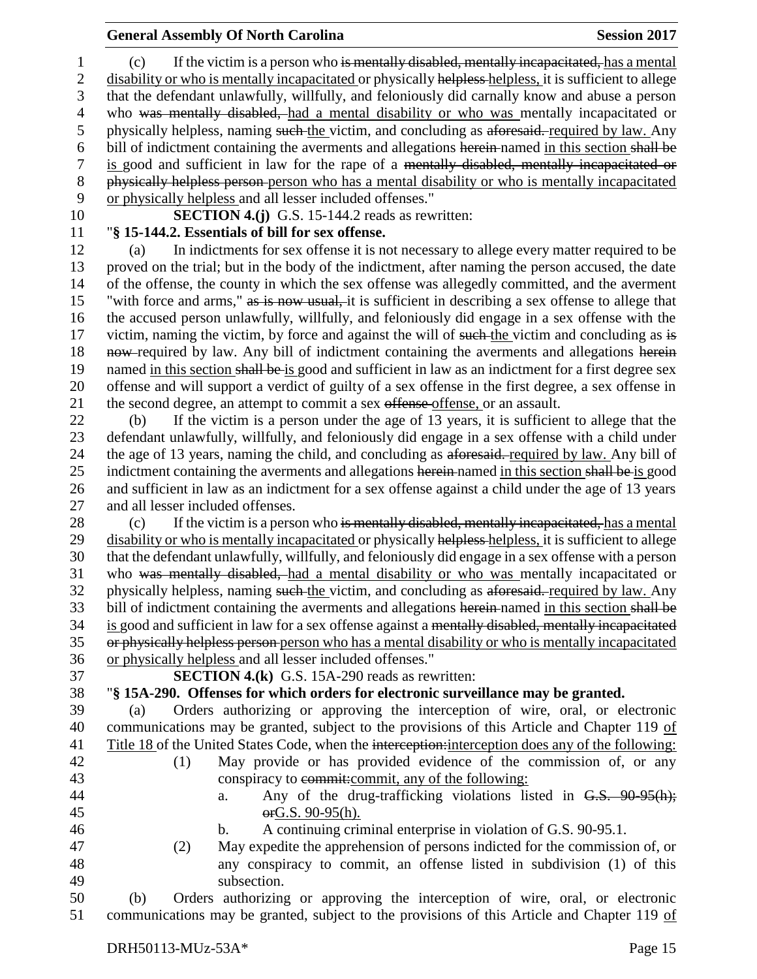(c) If the victim is a person who is mentally disabled, mentally incapacitated, has a mental 2 disability or who is mentally incapacitated or physically helpless helpless, it is sufficient to allege that the defendant unlawfully, willfully, and feloniously did carnally know and abuse a person who was mentally disabled, had a mental disability or who was mentally incapacitated or 5 physically helpless, naming such the victim, and concluding as aforesaid. required by law. Any bill of indictment containing the averments and allegations herein named in this section shall be is good and sufficient in law for the rape of a mentally disabled, mentally incapacitated or physically helpless person person who has a mental disability or who is mentally incapacitated or physically helpless and all lesser included offenses."

# **SECTION 4.(j)** G.S. 15-144.2 reads as rewritten:

#### "**§ 15-144.2. Essentials of bill for sex offense.**

 (a) In indictments for sex offense it is not necessary to allege every matter required to be proved on the trial; but in the body of the indictment, after naming the person accused, the date of the offense, the county in which the sex offense was allegedly committed, and the averment "with force and arms," as is now usual, it is sufficient in describing a sex offense to allege that the accused person unlawfully, willfully, and feloniously did engage in a sex offense with the 17 victim, naming the victim, by force and against the will of such the victim and concluding as is 18 now-required by law. Any bill of indictment containing the averments and allegations herein 19 named in this section shall be is good and sufficient in law as an indictment for a first degree sex offense and will support a verdict of guilty of a sex offense in the first degree, a sex offense in 21 the second degree, an attempt to commit a sex offense offense, or an assault.

 (b) If the victim is a person under the age of 13 years, it is sufficient to allege that the defendant unlawfully, willfully, and feloniously did engage in a sex offense with a child under the age of 13 years, naming the child, and concluding as aforesaid. required by law. Any bill of 25 indictment containing the averments and allegations herein named in this section shall be is good and sufficient in law as an indictment for a sex offense against a child under the age of 13 years and all lesser included offenses.

28 (c) If the victim is a person who is mentally disabled, mentally incapacitated, has a mental 29 disability or who is mentally incapacitated or physically helpless-helpless, it is sufficient to allege that the defendant unlawfully, willfully, and feloniously did engage in a sex offense with a person who was mentally disabled, had a mental disability or who was mentally incapacitated or physically helpless, naming such the victim, and concluding as aforesaid. required by law. Any 33 bill of indictment containing the averments and allegations herein-named in this section shall be is good and sufficient in law for a sex offense against a mentally disabled, mentally incapacitated or physically helpless person person who has a mental disability or who is mentally incapacitated or physically helpless and all lesser included offenses."

**SECTION 4.(k)** G.S. 15A-290 reads as rewritten:

"**§ 15A-290. Offenses for which orders for electronic surveillance may be granted.**

 (a) Orders authorizing or approving the interception of wire, oral, or electronic communications may be granted, subject to the provisions of this Article and Chapter 119 of Title 18 of the United States Code, when the interception:interception does any of the following:

- (1) May provide or has provided evidence of the commission of, or any conspiracy to commit:commit, any of the following:
- 44 a. Any of the drug-trafficking violations listed in G.S. 90-95(h);
	-
- orG.S. 90-95(h). b. A continuing criminal enterprise in violation of G.S. 90-95.1.
- (2) May expedite the apprehension of persons indicted for the commission of, or any conspiracy to commit, an offense listed in subdivision (1) of this subsection.

 (b) Orders authorizing or approving the interception of wire, oral, or electronic communications may be granted, subject to the provisions of this Article and Chapter 119 of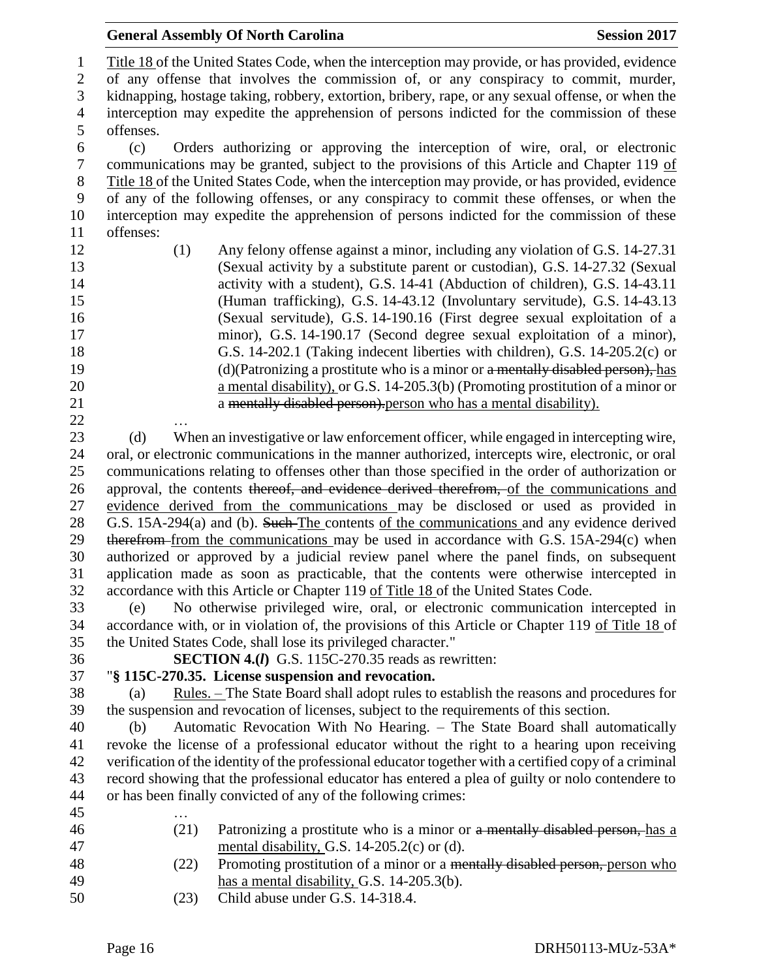| <b>General Assembly Of North Carolina</b><br><b>Session 2017</b>                                                                                                              |
|-------------------------------------------------------------------------------------------------------------------------------------------------------------------------------|
| Title 18 of the United States Code, when the interception may provide, or has provided, evidence                                                                              |
| of any offense that involves the commission of, or any conspiracy to commit, murder,                                                                                          |
| kidnapping, hostage taking, robbery, extortion, bribery, rape, or any sexual offense, or when the                                                                             |
| interception may expedite the apprehension of persons indicted for the commission of these                                                                                    |
| offenses.                                                                                                                                                                     |
| Orders authorizing or approving the interception of wire, oral, or electronic<br>(c)                                                                                          |
| communications may be granted, subject to the provisions of this Article and Chapter 119 of                                                                                   |
|                                                                                                                                                                               |
| Title 18 of the United States Code, when the interception may provide, or has provided, evidence                                                                              |
| of any of the following offenses, or any conspiracy to commit these offenses, or when the                                                                                     |
| interception may expedite the apprehension of persons indicted for the commission of these                                                                                    |
| offenses:                                                                                                                                                                     |
| Any felony offense against a minor, including any violation of G.S. 14-27.31<br>(1)                                                                                           |
| (Sexual activity by a substitute parent or custodian), G.S. 14-27.32 (Sexual                                                                                                  |
| activity with a student), G.S. 14-41 (Abduction of children), G.S. 14-43.11                                                                                                   |
| (Human trafficking), G.S. 14-43.12 (Involuntary servitude), G.S. 14-43.13                                                                                                     |
| (Sexual servitude), G.S. 14-190.16 (First degree sexual exploitation of a                                                                                                     |
| minor), G.S. 14-190.17 (Second degree sexual exploitation of a minor),                                                                                                        |
| G.S. 14-202.1 (Taking indecent liberties with children), G.S. 14-205.2(c) or                                                                                                  |
| (d)(Patronizing a prostitute who is a minor or a mentally disabled person), has                                                                                               |
| a mental disability), or G.S. 14-205.3(b) (Promoting prostitution of a minor or                                                                                               |
| a mentally disabled person). person who has a mental disability).                                                                                                             |
|                                                                                                                                                                               |
| When an investigative or law enforcement officer, while engaged in intercepting wire,<br>(d)                                                                                  |
| oral, or electronic communications in the manner authorized, intercepts wire, electronic, or oral                                                                             |
| communications relating to offenses other than those specified in the order of authorization or                                                                               |
| approval, the contents thereof, and evidence derived therefrom, of the communications and                                                                                     |
| evidence derived from the communications may be disclosed or used as provided in<br>G.S. 15A-294(a) and (b). Such The contents of the communications and any evidence derived |
| therefrom from the communications may be used in accordance with G.S. 15A-294(c) when                                                                                         |
| authorized or approved by a judicial review panel where the panel finds, on subsequent                                                                                        |
| application made as soon as practicable, that the contents were otherwise intercepted in                                                                                      |
| accordance with this Article or Chapter 119 of Title 18 of the United States Code.                                                                                            |
| No otherwise privileged wire, oral, or electronic communication intercepted in<br>(e)                                                                                         |
| accordance with, or in violation of, the provisions of this Article or Chapter 119 of Title 18 of                                                                             |
| the United States Code, shall lose its privileged character."                                                                                                                 |
| <b>SECTION 4.(I)</b> G.S. 115C-270.35 reads as rewritten:                                                                                                                     |
| "§ 115C-270.35. License suspension and revocation.                                                                                                                            |
| <u>Rules. – The State Board shall adopt rules to establish the reasons and procedures for</u><br>(a)                                                                          |
| the suspension and revocation of licenses, subject to the requirements of this section.                                                                                       |
| Automatic Revocation With No Hearing. - The State Board shall automatically<br>(b)                                                                                            |
| revoke the license of a professional educator without the right to a hearing upon receiving                                                                                   |
| verification of the identity of the professional educator together with a certified copy of a criminal                                                                        |
| record showing that the professional educator has entered a plea of guilty or nolo contendere to                                                                              |
| or has been finally convicted of any of the following crimes:                                                                                                                 |
|                                                                                                                                                                               |
| (21)<br>Patronizing a prostitute who is a minor or a mentally disabled person, has a                                                                                          |
| mental disability, G.S. 14-205.2(c) or (d).                                                                                                                                   |
| Promoting prostitution of a minor or a mentally disabled person, person who<br>(22)                                                                                           |
| has a mental disability, G.S. $14-205.3(b)$ .                                                                                                                                 |
| Child abuse under G.S. 14-318.4.<br>(23)                                                                                                                                      |
|                                                                                                                                                                               |
|                                                                                                                                                                               |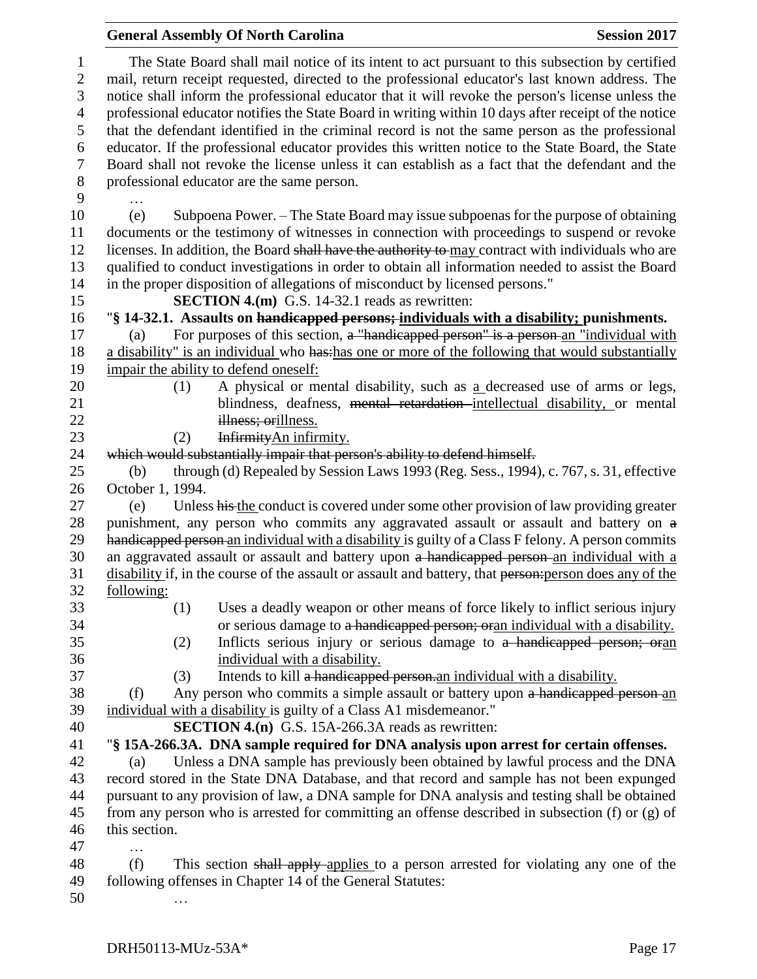|                                   | <b>General Assembly Of North Carolina</b><br><b>Session 2017</b>                                                                                                                                                                                                                                                                                                                                                                                                                    |  |
|-----------------------------------|-------------------------------------------------------------------------------------------------------------------------------------------------------------------------------------------------------------------------------------------------------------------------------------------------------------------------------------------------------------------------------------------------------------------------------------------------------------------------------------|--|
| $\mathbf{1}$<br>$\mathbf{2}$<br>3 | The State Board shall mail notice of its intent to act pursuant to this subsection by certified<br>mail, return receipt requested, directed to the professional educator's last known address. The<br>notice shall inform the professional educator that it will revoke the person's license unless the                                                                                                                                                                             |  |
| $\overline{4}$<br>5               | professional educator notifies the State Board in writing within 10 days after receipt of the notice<br>that the defendant identified in the criminal record is not the same person as the professional                                                                                                                                                                                                                                                                             |  |
| 6<br>$\boldsymbol{7}$             | educator. If the professional educator provides this written notice to the State Board, the State<br>Board shall not revoke the license unless it can establish as a fact that the defendant and the                                                                                                                                                                                                                                                                                |  |
| $8\,$<br>9                        | professional educator are the same person.                                                                                                                                                                                                                                                                                                                                                                                                                                          |  |
| 10<br>11<br>12<br>13<br>14        | Subpoena Power. – The State Board may issue subpoenas for the purpose of obtaining<br>(e)<br>documents or the testimony of witnesses in connection with proceedings to suspend or revoke<br>licenses. In addition, the Board shall have the authority to may contract with individuals who are<br>qualified to conduct investigations in order to obtain all information needed to assist the Board<br>in the proper disposition of allegations of misconduct by licensed persons." |  |
| 15                                | <b>SECTION 4.(m)</b> G.S. 14-32.1 reads as rewritten:                                                                                                                                                                                                                                                                                                                                                                                                                               |  |
| 16                                | "§ 14-32.1. Assaults on handicapped persons; individuals with a disability; punishments.                                                                                                                                                                                                                                                                                                                                                                                            |  |
| 17                                | For purposes of this section, a "handicapped person" is a person-an "individual with<br>(a)                                                                                                                                                                                                                                                                                                                                                                                         |  |
| 18<br>19                          | a disability" is an individual who has has one or more of the following that would substantially<br>impair the ability to defend oneself:                                                                                                                                                                                                                                                                                                                                           |  |
| 20                                | A physical or mental disability, such as a decreased use of arms or legs,<br>(1)                                                                                                                                                                                                                                                                                                                                                                                                    |  |
| 21                                | blindness, deafness, mental retardation intellectual disability, or mental                                                                                                                                                                                                                                                                                                                                                                                                          |  |
| 22                                | illness; orillness.                                                                                                                                                                                                                                                                                                                                                                                                                                                                 |  |
| 23                                | InfirmityAn infirmity.<br>(2)                                                                                                                                                                                                                                                                                                                                                                                                                                                       |  |
| 24                                | which would substantially impair that person's ability to defend himself.                                                                                                                                                                                                                                                                                                                                                                                                           |  |
| 25                                | through (d) Repealed by Session Laws 1993 (Reg. Sess., 1994), c. 767, s. 31, effective<br>(b)                                                                                                                                                                                                                                                                                                                                                                                       |  |
| 26                                | October 1, 1994.                                                                                                                                                                                                                                                                                                                                                                                                                                                                    |  |
| 27                                | Unless his the conduct is covered under some other provision of law providing greater<br>(e)                                                                                                                                                                                                                                                                                                                                                                                        |  |
| 28                                | punishment, any person who commits any aggravated assault or assault and battery on a                                                                                                                                                                                                                                                                                                                                                                                               |  |
| 29                                | handicapped person an individual with a disability is guilty of a Class F felony. A person commits                                                                                                                                                                                                                                                                                                                                                                                  |  |
| 30                                | an aggravated assault or assault and battery upon a handicapped person an individual with a                                                                                                                                                                                                                                                                                                                                                                                         |  |
| 31                                | disability if, in the course of the assault or assault and battery, that person: person does any of the                                                                                                                                                                                                                                                                                                                                                                             |  |
| 32                                | following:                                                                                                                                                                                                                                                                                                                                                                                                                                                                          |  |
| 33                                | Uses a deadly weapon or other means of force likely to inflict serious injury<br>(1)                                                                                                                                                                                                                                                                                                                                                                                                |  |
| 34                                | or serious damage to a handicapped person; or an individual with a disability.                                                                                                                                                                                                                                                                                                                                                                                                      |  |
| 35                                | Inflicts serious injury or serious damage to a handicapped person; oran<br>(2)                                                                                                                                                                                                                                                                                                                                                                                                      |  |
| 36                                | individual with a disability.                                                                                                                                                                                                                                                                                                                                                                                                                                                       |  |
| 37                                | Intends to kill a handicapped person an individual with a disability.<br>(3)                                                                                                                                                                                                                                                                                                                                                                                                        |  |
| 38                                | Any person who commits a simple assault or battery upon a handicapped person-an<br>(f)                                                                                                                                                                                                                                                                                                                                                                                              |  |
| 39                                | individual with a disability is guilty of a Class A1 misdemeanor."                                                                                                                                                                                                                                                                                                                                                                                                                  |  |
| 40                                | <b>SECTION 4.(n)</b> G.S. 15A-266.3A reads as rewritten:                                                                                                                                                                                                                                                                                                                                                                                                                            |  |
| 41                                | "§ 15A-266.3A. DNA sample required for DNA analysis upon arrest for certain offenses.                                                                                                                                                                                                                                                                                                                                                                                               |  |
| 42<br>43                          | Unless a DNA sample has previously been obtained by lawful process and the DNA<br>(a)                                                                                                                                                                                                                                                                                                                                                                                               |  |
| 44                                | record stored in the State DNA Database, and that record and sample has not been expunged<br>pursuant to any provision of law, a DNA sample for DNA analysis and testing shall be obtained                                                                                                                                                                                                                                                                                          |  |
| 45                                | from any person who is arrested for committing an offense described in subsection (f) or (g) of                                                                                                                                                                                                                                                                                                                                                                                     |  |
| 46                                | this section.                                                                                                                                                                                                                                                                                                                                                                                                                                                                       |  |
| 47                                |                                                                                                                                                                                                                                                                                                                                                                                                                                                                                     |  |
| 48                                | .<br>(f)<br>This section shall apply applies to a person arrested for violating any one of the                                                                                                                                                                                                                                                                                                                                                                                      |  |
| 49                                | following offenses in Chapter 14 of the General Statutes:                                                                                                                                                                                                                                                                                                                                                                                                                           |  |
| 50                                |                                                                                                                                                                                                                                                                                                                                                                                                                                                                                     |  |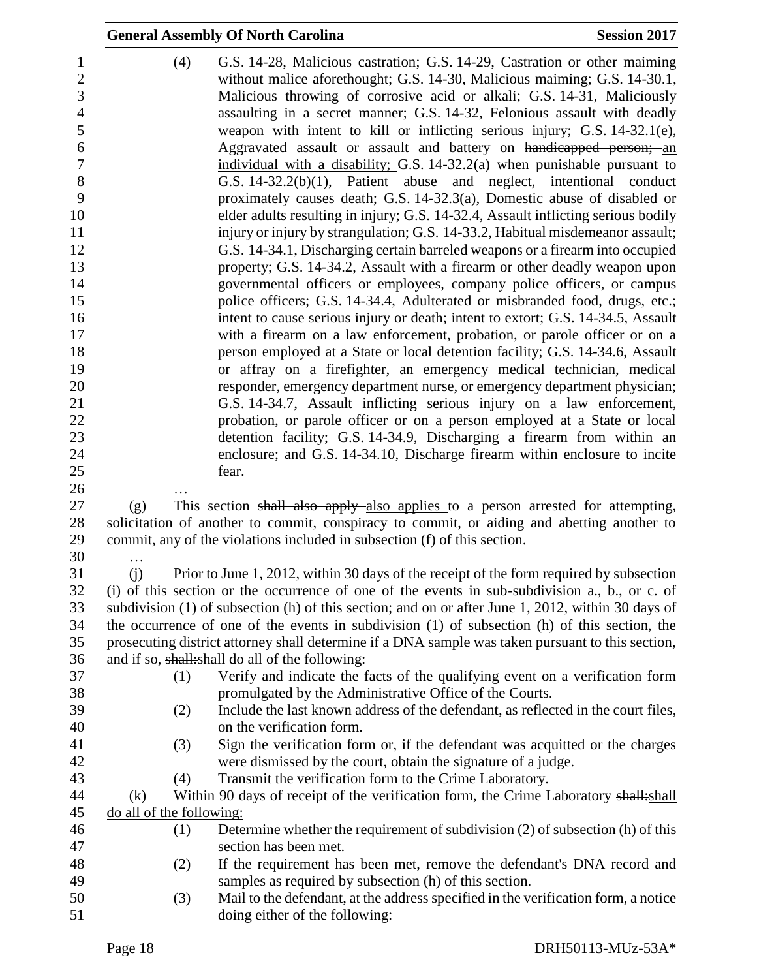|                          | <b>General Assembly Of North Carolina</b>                                                                                                                                                                                                                                                                                                                                                                                                                                                                                                                                                                               | <b>Session 2017</b> |
|--------------------------|-------------------------------------------------------------------------------------------------------------------------------------------------------------------------------------------------------------------------------------------------------------------------------------------------------------------------------------------------------------------------------------------------------------------------------------------------------------------------------------------------------------------------------------------------------------------------------------------------------------------------|---------------------|
| (4)                      | G.S. 14-28, Malicious castration; G.S. 14-29, Castration or other maiming<br>without malice aforethought; G.S. 14-30, Malicious maiming; G.S. 14-30.1,<br>Malicious throwing of corrosive acid or alkali; G.S. 14-31, Maliciously<br>assaulting in a secret manner; G.S. 14-32, Felonious assault with deadly<br>weapon with intent to kill or inflicting serious injury; G.S. 14-32.1(e),<br>Aggravated assault or assault and battery on handicapped person; an<br>individual with a disability; G.S. 14-32.2(a) when punishable pursuant to<br>G.S. $14-32.2(b)(1)$ , Patient abuse and neglect, intentional conduct |                     |
|                          | proximately causes death; G.S. 14-32.3(a), Domestic abuse of disabled or<br>elder adults resulting in injury; G.S. 14-32.4, Assault inflicting serious bodily<br>injury or injury by strangulation; G.S. 14-33.2, Habitual misdemeanor assault;<br>G.S. 14-34.1, Discharging certain barreled weapons or a firearm into occupied<br>property; G.S. 14-34.2, Assault with a firearm or other deadly weapon upon                                                                                                                                                                                                          |                     |
|                          | governmental officers or employees, company police officers, or campus                                                                                                                                                                                                                                                                                                                                                                                                                                                                                                                                                  |                     |
|                          | police officers; G.S. 14-34.4, Adulterated or misbranded food, drugs, etc.;                                                                                                                                                                                                                                                                                                                                                                                                                                                                                                                                             |                     |
|                          | intent to cause serious injury or death; intent to extort; G.S. 14-34.5, Assault                                                                                                                                                                                                                                                                                                                                                                                                                                                                                                                                        |                     |
|                          | with a firearm on a law enforcement, probation, or parole officer or on a<br>person employed at a State or local detention facility; G.S. 14-34.6, Assault                                                                                                                                                                                                                                                                                                                                                                                                                                                              |                     |
|                          | or affray on a firefighter, an emergency medical technician, medical                                                                                                                                                                                                                                                                                                                                                                                                                                                                                                                                                    |                     |
|                          | responder, emergency department nurse, or emergency department physician;                                                                                                                                                                                                                                                                                                                                                                                                                                                                                                                                               |                     |
|                          | G.S. 14-34.7, Assault inflicting serious injury on a law enforcement,                                                                                                                                                                                                                                                                                                                                                                                                                                                                                                                                                   |                     |
|                          | probation, or parole officer or on a person employed at a State or local                                                                                                                                                                                                                                                                                                                                                                                                                                                                                                                                                |                     |
|                          | detention facility; G.S. 14-34.9, Discharging a firearm from within an                                                                                                                                                                                                                                                                                                                                                                                                                                                                                                                                                  |                     |
|                          | enclosure; and G.S. 14-34.10, Discharge firearm within enclosure to incite                                                                                                                                                                                                                                                                                                                                                                                                                                                                                                                                              |                     |
|                          | fear.                                                                                                                                                                                                                                                                                                                                                                                                                                                                                                                                                                                                                   |                     |
|                          |                                                                                                                                                                                                                                                                                                                                                                                                                                                                                                                                                                                                                         |                     |
| (g)                      | This section shall also apply also applies to a person arrested for attempting,                                                                                                                                                                                                                                                                                                                                                                                                                                                                                                                                         |                     |
| .                        | solicitation of another to commit, conspiracy to commit, or aiding and abetting another to<br>commit, any of the violations included in subsection (f) of this section.                                                                                                                                                                                                                                                                                                                                                                                                                                                 |                     |
| (i)                      | Prior to June 1, 2012, within 30 days of the receipt of the form required by subsection                                                                                                                                                                                                                                                                                                                                                                                                                                                                                                                                 |                     |
|                          | (i) of this section or the occurrence of one of the events in sub-subdivision a., b., or c. of                                                                                                                                                                                                                                                                                                                                                                                                                                                                                                                          |                     |
|                          | subdivision (1) of subsection (h) of this section; and on or after June 1, 2012, within 30 days of                                                                                                                                                                                                                                                                                                                                                                                                                                                                                                                      |                     |
|                          | the occurrence of one of the events in subdivision (1) of subsection (h) of this section, the                                                                                                                                                                                                                                                                                                                                                                                                                                                                                                                           |                     |
|                          | prosecuting district attorney shall determine if a DNA sample was taken pursuant to this section,                                                                                                                                                                                                                                                                                                                                                                                                                                                                                                                       |                     |
|                          | and if so, shall: shall do all of the following:                                                                                                                                                                                                                                                                                                                                                                                                                                                                                                                                                                        |                     |
| (1)                      | Verify and indicate the facts of the qualifying event on a verification form                                                                                                                                                                                                                                                                                                                                                                                                                                                                                                                                            |                     |
|                          | promulgated by the Administrative Office of the Courts.                                                                                                                                                                                                                                                                                                                                                                                                                                                                                                                                                                 |                     |
| (2)                      | Include the last known address of the defendant, as reflected in the court files,                                                                                                                                                                                                                                                                                                                                                                                                                                                                                                                                       |                     |
|                          | on the verification form.                                                                                                                                                                                                                                                                                                                                                                                                                                                                                                                                                                                               |                     |
| (3)                      | Sign the verification form or, if the defendant was acquitted or the charges<br>were dismissed by the court, obtain the signature of a judge.                                                                                                                                                                                                                                                                                                                                                                                                                                                                           |                     |
| (4)                      | Transmit the verification form to the Crime Laboratory.                                                                                                                                                                                                                                                                                                                                                                                                                                                                                                                                                                 |                     |
| (k)                      | Within 90 days of receipt of the verification form, the Crime Laboratory shall: shall                                                                                                                                                                                                                                                                                                                                                                                                                                                                                                                                   |                     |
| do all of the following: |                                                                                                                                                                                                                                                                                                                                                                                                                                                                                                                                                                                                                         |                     |
| (1)                      | Determine whether the requirement of subdivision (2) of subsection (h) of this                                                                                                                                                                                                                                                                                                                                                                                                                                                                                                                                          |                     |
|                          | section has been met.                                                                                                                                                                                                                                                                                                                                                                                                                                                                                                                                                                                                   |                     |
| (2)                      | If the requirement has been met, remove the defendant's DNA record and                                                                                                                                                                                                                                                                                                                                                                                                                                                                                                                                                  |                     |
|                          | samples as required by subsection (h) of this section.                                                                                                                                                                                                                                                                                                                                                                                                                                                                                                                                                                  |                     |
| (3)                      | Mail to the defendant, at the address specified in the verification form, a notice                                                                                                                                                                                                                                                                                                                                                                                                                                                                                                                                      |                     |
|                          | doing either of the following:                                                                                                                                                                                                                                                                                                                                                                                                                                                                                                                                                                                          |                     |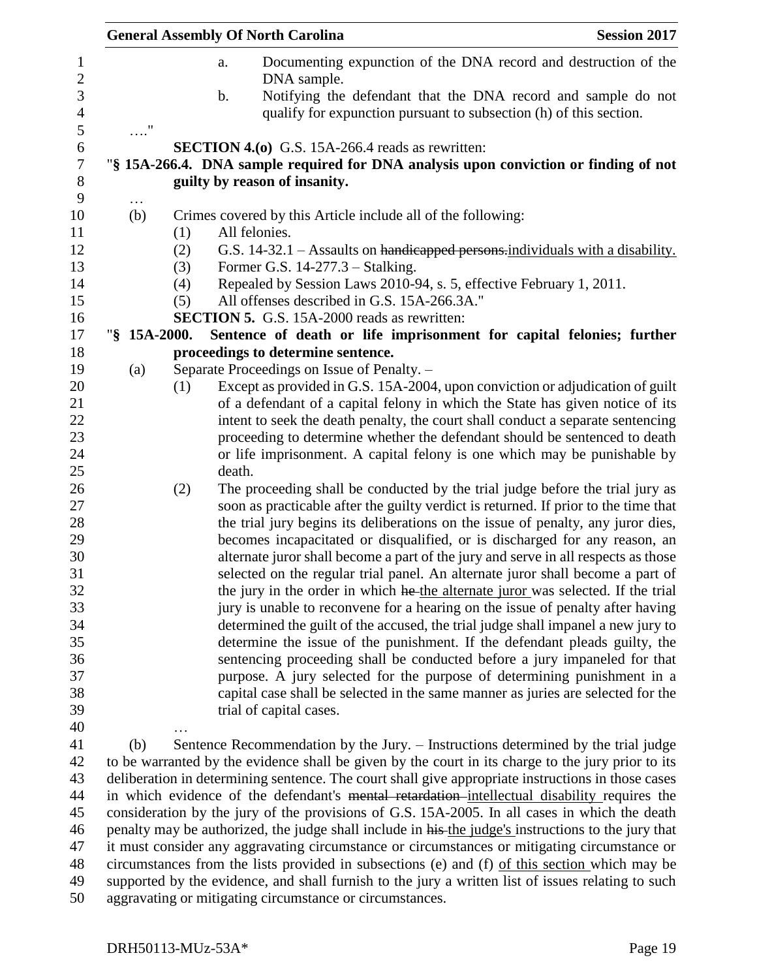|              |     | <b>General Assembly Of North Carolina</b>                                                                                                                   | <b>Session 2017</b> |
|--------------|-----|-------------------------------------------------------------------------------------------------------------------------------------------------------------|---------------------|
|              |     | Documenting expunction of the DNA record and destruction of the<br>a.<br>DNA sample.<br>Notifying the defendant that the DNA record and sample do not<br>b. |                     |
|              |     | qualify for expunction pursuant to subsection (h) of this section.                                                                                          |                     |
| $\ldots$ "   |     |                                                                                                                                                             |                     |
|              |     | <b>SECTION 4.(0)</b> G.S. 15A-266.4 reads as rewritten:                                                                                                     |                     |
|              |     | "§ 15A-266.4. DNA sample required for DNA analysis upon conviction or finding of not                                                                        |                     |
|              |     | guilty by reason of insanity.                                                                                                                               |                     |
| $\cdots$     |     |                                                                                                                                                             |                     |
| (b)          |     | Crimes covered by this Article include all of the following:                                                                                                |                     |
|              | (1) | All felonies.                                                                                                                                               |                     |
|              | (2) | G.S. 14-32.1 – Assaults on handicapped persons-individuals with a disability.                                                                               |                     |
|              | (3) | Former G.S. $14-277.3$ – Stalking.                                                                                                                          |                     |
|              | (4) | Repealed by Session Laws 2010-94, s. 5, effective February 1, 2011.                                                                                         |                     |
|              | (5) | All offenses described in G.S. 15A-266.3A."                                                                                                                 |                     |
| "§ 15A-2000. |     | <b>SECTION 5.</b> G.S. 15A-2000 reads as rewritten:                                                                                                         |                     |
|              |     | Sentence of death or life imprisonment for capital felonies; further<br>proceedings to determine sentence.                                                  |                     |
| (a)          |     | Separate Proceedings on Issue of Penalty. -                                                                                                                 |                     |
|              | (1) | Except as provided in G.S. 15A-2004, upon conviction or adjudication of guilt                                                                               |                     |
|              |     | of a defendant of a capital felony in which the State has given notice of its                                                                               |                     |
|              |     | intent to seek the death penalty, the court shall conduct a separate sentencing                                                                             |                     |
|              |     | proceeding to determine whether the defendant should be sentenced to death                                                                                  |                     |
|              |     | or life imprisonment. A capital felony is one which may be punishable by                                                                                    |                     |
|              |     | death.                                                                                                                                                      |                     |
|              | (2) | The proceeding shall be conducted by the trial judge before the trial jury as                                                                               |                     |
|              |     | soon as practicable after the guilty verdict is returned. If prior to the time that                                                                         |                     |
|              |     | the trial jury begins its deliberations on the issue of penalty, any juror dies,                                                                            |                     |
|              |     | becomes incapacitated or disqualified, or is discharged for any reason, an                                                                                  |                     |
|              |     | alternate juror shall become a part of the jury and serve in all respects as those                                                                          |                     |
|              |     | selected on the regular trial panel. An alternate juror shall become a part of                                                                              |                     |
|              |     | the jury in the order in which he the alternate juror was selected. If the trial                                                                            |                     |
|              |     | jury is unable to reconvene for a hearing on the issue of penalty after having                                                                              |                     |
|              |     | determined the guilt of the accused, the trial judge shall impanel a new jury to                                                                            |                     |
|              |     | determine the issue of the punishment. If the defendant pleads guilty, the                                                                                  |                     |
|              |     | sentencing proceeding shall be conducted before a jury impaneled for that<br>purpose. A jury selected for the purpose of determining punishment in a        |                     |
|              |     | capital case shall be selected in the same manner as juries are selected for the                                                                            |                     |
|              |     | trial of capital cases.                                                                                                                                     |                     |
|              |     |                                                                                                                                                             |                     |
| (b)          |     | Sentence Recommendation by the Jury. – Instructions determined by the trial judge                                                                           |                     |
|              |     | to be warranted by the evidence shall be given by the court in its charge to the jury prior to its                                                          |                     |
|              |     | deliberation in determining sentence. The court shall give appropriate instructions in those cases                                                          |                     |
|              |     | in which evidence of the defendant's mental retardation-intellectual disability requires the                                                                |                     |
|              |     | consideration by the jury of the provisions of G.S. 15A-2005. In all cases in which the death                                                               |                     |
|              |     | penalty may be authorized, the judge shall include in his the judge's instructions to the jury that                                                         |                     |
|              |     | it must consider any aggravating circumstance or circumstances or mitigating circumstance or                                                                |                     |
|              |     | circumstances from the lists provided in subsections (e) and (f) of this section which may be                                                               |                     |
|              |     | supported by the evidence, and shall furnish to the jury a written list of issues relating to such                                                          |                     |
|              |     | aggravating or mitigating circumstance or circumstances.                                                                                                    |                     |
|              |     |                                                                                                                                                             |                     |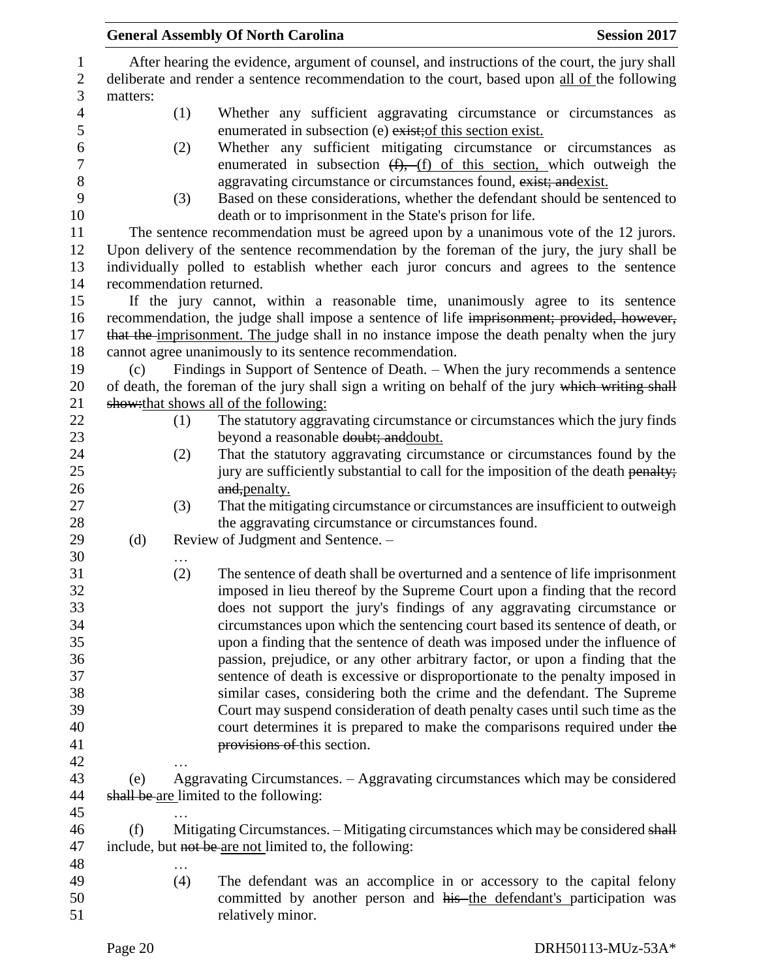|                |          |     | <b>General Assembly Of North Carolina</b>                                                                                                                | <b>Session 2017</b> |  |
|----------------|----------|-----|----------------------------------------------------------------------------------------------------------------------------------------------------------|---------------------|--|
| $\mathbf{1}$   |          |     | After hearing the evidence, argument of counsel, and instructions of the court, the jury shall                                                           |                     |  |
| $\sqrt{2}$     |          |     | deliberate and render a sentence recommendation to the court, based upon all of the following                                                            |                     |  |
| 3              | matters: |     |                                                                                                                                                          |                     |  |
| $\overline{4}$ |          | (1) | Whether any sufficient aggravating circumstance or circumstances as                                                                                      |                     |  |
| $\mathfrak s$  |          |     | enumerated in subsection (e) exist; of this section exist.                                                                                               |                     |  |
| 6              |          | (2) | Whether any sufficient mitigating circumstance or circumstances as                                                                                       |                     |  |
| $\tau$         |          |     | enumerated in subsection $(f)$ , $(f)$ of this section, which outweigh the                                                                               |                     |  |
| 8              |          |     | aggravating circumstance or circumstances found, exist; and exist.                                                                                       |                     |  |
| 9              |          | (3) | Based on these considerations, whether the defendant should be sentenced to                                                                              |                     |  |
| 10             |          |     | death or to imprisonment in the State's prison for life.                                                                                                 |                     |  |
| 11             |          |     | The sentence recommendation must be agreed upon by a unanimous vote of the 12 jurors.                                                                    |                     |  |
| 12             |          |     | Upon delivery of the sentence recommendation by the foreman of the jury, the jury shall be                                                               |                     |  |
| 13             |          |     | individually polled to establish whether each juror concurs and agrees to the sentence                                                                   |                     |  |
| 14             |          |     | recommendation returned.                                                                                                                                 |                     |  |
| 15             |          |     | If the jury cannot, within a reasonable time, unanimously agree to its sentence                                                                          |                     |  |
| 16<br>17       |          |     | recommendation, the judge shall impose a sentence of life imprisonment; provided, however,                                                               |                     |  |
| 18             |          |     | that the imprisonment. The judge shall in no instance impose the death penalty when the jury<br>cannot agree unanimously to its sentence recommendation. |                     |  |
| 19             | (c)      |     | Findings in Support of Sentence of Death. - When the jury recommends a sentence                                                                          |                     |  |
| 20             |          |     | of death, the foreman of the jury shall sign a writing on behalf of the jury which writing shall                                                         |                     |  |
| 21             |          |     | show: that shows all of the following:                                                                                                                   |                     |  |
| 22             |          | (1) | The statutory aggravating circumstance or circumstances which the jury finds                                                                             |                     |  |
| 23             |          |     | beyond a reasonable doubt; and doubt.                                                                                                                    |                     |  |
| 24             |          | (2) | That the statutory aggravating circumstance or circumstances found by the                                                                                |                     |  |
| 25             |          |     | jury are sufficiently substantial to call for the imposition of the death penalty;                                                                       |                     |  |
| 26             |          |     | and, penalty.                                                                                                                                            |                     |  |
| 27             |          | (3) | That the mitigating circumstance or circumstances are insufficient to outweigh                                                                           |                     |  |
| 28             |          |     | the aggravating circumstance or circumstances found.                                                                                                     |                     |  |
| 29             | (d)      |     | Review of Judgment and Sentence. -                                                                                                                       |                     |  |
| 30             |          | .   |                                                                                                                                                          |                     |  |
| 31             |          | (2) | The sentence of death shall be overturned and a sentence of life imprisonment                                                                            |                     |  |
| 32             |          |     | imposed in lieu thereof by the Supreme Court upon a finding that the record                                                                              |                     |  |
| 33             |          |     | does not support the jury's findings of any aggravating circumstance or                                                                                  |                     |  |
| 34             |          |     | circumstances upon which the sentencing court based its sentence of death, or                                                                            |                     |  |
| 35             |          |     | upon a finding that the sentence of death was imposed under the influence of                                                                             |                     |  |
| 36             |          |     | passion, prejudice, or any other arbitrary factor, or upon a finding that the                                                                            |                     |  |
| 37             |          |     | sentence of death is excessive or disproportionate to the penalty imposed in                                                                             |                     |  |
| 38             |          |     | similar cases, considering both the crime and the defendant. The Supreme                                                                                 |                     |  |
| 39             |          |     | Court may suspend consideration of death penalty cases until such time as the                                                                            |                     |  |
| 40             |          |     | court determines it is prepared to make the comparisons required under the                                                                               |                     |  |
| 41             |          |     | provisions of this section.                                                                                                                              |                     |  |
| 42             |          |     |                                                                                                                                                          |                     |  |
| 43             | (e)      |     | Aggravating Circumstances. – Aggravating circumstances which may be considered                                                                           |                     |  |
| 44             |          |     | shall be are limited to the following:                                                                                                                   |                     |  |
| 45             |          |     |                                                                                                                                                          |                     |  |
| 46             | (f)      |     | Mitigating Circumstances. - Mitigating circumstances which may be considered shall                                                                       |                     |  |
| 47             |          |     | include, but not be are not limited to, the following:                                                                                                   |                     |  |
| 48             |          | .   |                                                                                                                                                          |                     |  |
| 49             |          | (4) | The defendant was an accomplice in or accessory to the capital felony                                                                                    |                     |  |
| 50             |          |     | committed by another person and his the defendant's participation was                                                                                    |                     |  |
| 51             |          |     | relatively minor.                                                                                                                                        |                     |  |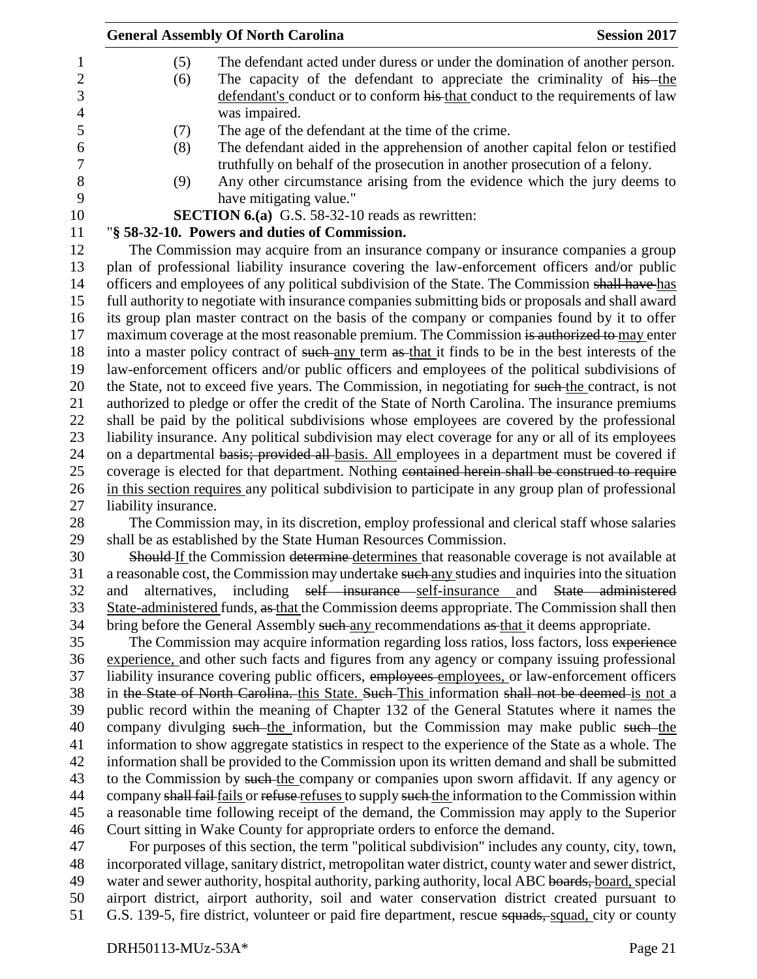|                      | <b>General Assembly Of North Carolina</b>                                                              | <b>Session 2017</b> |
|----------------------|--------------------------------------------------------------------------------------------------------|---------------------|
| (5)                  | The defendant acted under duress or under the domination of another person.                            |                     |
| (6)                  | The capacity of the defendant to appreciate the criminality of his-the                                 |                     |
|                      | defendant's conduct or to conform his that conduct to the requirements of law                          |                     |
|                      | was impaired.                                                                                          |                     |
| (7)                  | The age of the defendant at the time of the crime.                                                     |                     |
| (8)                  | The defendant aided in the apprehension of another capital felon or testified                          |                     |
|                      | truthfully on behalf of the prosecution in another prosecution of a felony.                            |                     |
| (9)                  | Any other circumstance arising from the evidence which the jury deems to                               |                     |
|                      | have mitigating value."                                                                                |                     |
|                      | <b>SECTION 6.(a)</b> G.S. 58-32-10 reads as rewritten:                                                 |                     |
|                      | "§ 58-32-10. Powers and duties of Commission.                                                          |                     |
|                      | The Commission may acquire from an insurance company or insurance companies a group                    |                     |
|                      | plan of professional liability insurance covering the law-enforcement officers and/or public           |                     |
|                      | officers and employees of any political subdivision of the State. The Commission shall have has        |                     |
|                      | full authority to negotiate with insurance companies submitting bids or proposals and shall award      |                     |
|                      | its group plan master contract on the basis of the company or companies found by it to offer           |                     |
|                      | maximum coverage at the most reasonable premium. The Commission is authorized to may enter             |                     |
|                      | into a master policy contract of such any term as that it finds to be in the best interests of the     |                     |
|                      | law-enforcement officers and/or public officers and employees of the political subdivisions of         |                     |
|                      | the State, not to exceed five years. The Commission, in negotiating for such the contract, is not      |                     |
|                      | authorized to pledge or offer the credit of the State of North Carolina. The insurance premiums        |                     |
|                      | shall be paid by the political subdivisions whose employees are covered by the professional            |                     |
|                      | liability insurance. Any political subdivision may elect coverage for any or all of its employees      |                     |
|                      | on a departmental basis; provided all basis. All employees in a department must be covered if          |                     |
|                      | coverage is elected for that department. Nothing contained herein shall be construed to require        |                     |
|                      | in this section requires any political subdivision to participate in any group plan of professional    |                     |
| liability insurance. |                                                                                                        |                     |
|                      | The Commission may, in its discretion, employ professional and clerical staff whose salaries           |                     |
|                      | shall be as established by the State Human Resources Commission.                                       |                     |
|                      | Should If the Commission determine determines that reasonable coverage is not available at             |                     |
|                      | a reasonable cost, the Commission may undertake such any studies and inquiries into the situation      |                     |
| and                  | alternatives, including self insurance self-insurance and State administered                           |                     |
|                      | State-administered funds, as that the Commission deems appropriate. The Commission shall then          |                     |
|                      | bring before the General Assembly such any recommendations as that it deems appropriate.               |                     |
|                      | The Commission may acquire information regarding loss ratios, loss factors, loss experience            |                     |
|                      | experience, and other such facts and figures from any agency or company issuing professional           |                     |
|                      | liability insurance covering public officers, employees employees, or law-enforcement officers         |                     |
|                      | in the State of North Carolina. this State. Such This information shall not be deemed is not a         |                     |
|                      | public record within the meaning of Chapter 132 of the General Statutes where it names the             |                     |
|                      | company divulging such the information, but the Commission may make public such the                    |                     |
|                      | information to show aggregate statistics in respect to the experience of the State as a whole. The     |                     |
|                      | information shall be provided to the Commission upon its written demand and shall be submitted         |                     |
|                      | to the Commission by such the company or companies upon sworn affidavit. If any agency or              |                     |
|                      | company shall fail fails or refuse refuses to supply such the information to the Commission within     |                     |
|                      | a reasonable time following receipt of the demand, the Commission may apply to the Superior            |                     |
|                      | Court sitting in Wake County for appropriate orders to enforce the demand.                             |                     |
|                      | For purposes of this section, the term "political subdivision" includes any county, city, town,        |                     |
|                      | incorporated village, sanitary district, metropolitan water district, county water and sewer district, |                     |
|                      | water and sewer authority, hospital authority, parking authority, local ABC boards, board, special     |                     |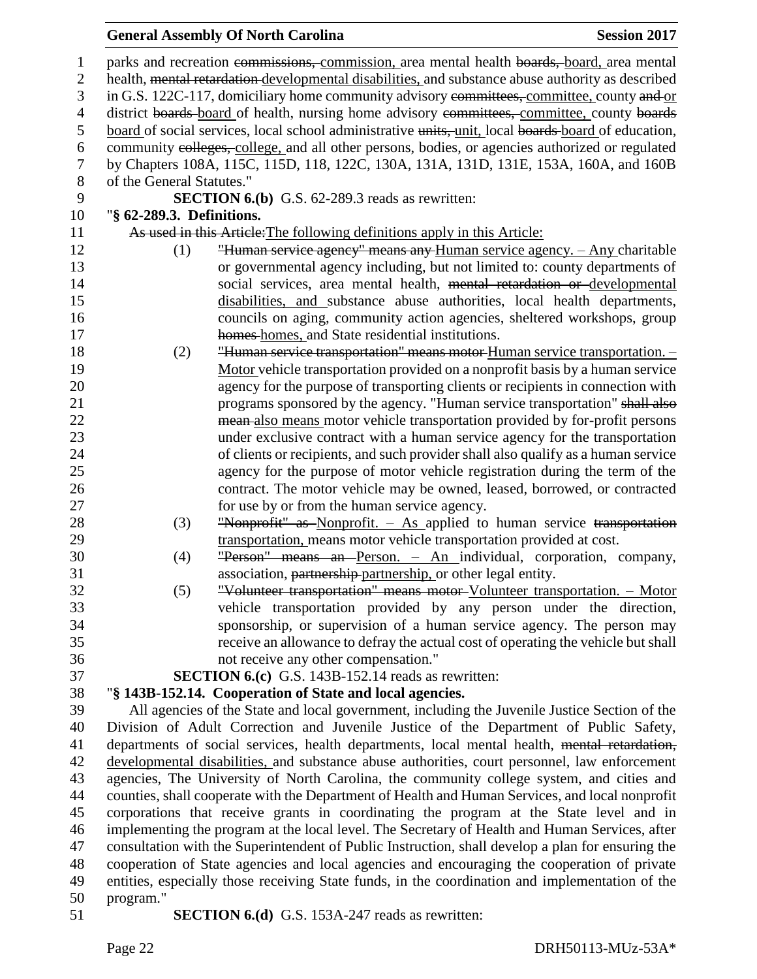| 1                | parks and recreation commissions, commission, area mental health boards, board, area mental         |  |  |
|------------------|-----------------------------------------------------------------------------------------------------|--|--|
| $\mathbf{2}$     | health, mental retardation-developmental disabilities, and substance abuse authority as described   |  |  |
| 3                | in G.S. 122C-117, domiciliary home community advisory committees, committee, county and or          |  |  |
| $\overline{4}$   | district boards-board of health, nursing home advisory committees, committee, county boards         |  |  |
| 5                | board of social services, local school administrative units, unit, local boards board of education, |  |  |
| 6                | community colleges, college, and all other persons, bodies, or agencies authorized or regulated     |  |  |
| $\boldsymbol{7}$ | by Chapters 108A, 115C, 115D, 118, 122C, 130A, 131A, 131D, 131E, 153A, 160A, and 160B               |  |  |
| $8\,$            | of the General Statutes."                                                                           |  |  |
| 9                | <b>SECTION 6.(b)</b> G.S. 62-289.3 reads as rewritten:                                              |  |  |
| 10               | "§ 62-289.3. Definitions.                                                                           |  |  |
| 11               | As used in this Article: The following definitions apply in this Article:                           |  |  |
| 12               | "Human service agency" means any Human service agency. - Any charitable<br>(1)                      |  |  |
| 13               | or governmental agency including, but not limited to: county departments of                         |  |  |
| 14               | social services, area mental health, mental retardation or developmental                            |  |  |
| 15               | disabilities, and substance abuse authorities, local health departments,                            |  |  |
| 16               | councils on aging, community action agencies, sheltered workshops, group                            |  |  |
| 17               | homes-homes, and State residential institutions.                                                    |  |  |
| 18               | "Human service transportation" means motor Human service transportation. -<br>(2)                   |  |  |
| 19               | Motor vehicle transportation provided on a nonprofit basis by a human service                       |  |  |
| 20               | agency for the purpose of transporting clients or recipients in connection with                     |  |  |
| 21               | programs sponsored by the agency. "Human service transportation" shall also                         |  |  |
| 22               | mean-also means motor vehicle transportation provided by for-profit persons                         |  |  |
| 23               | under exclusive contract with a human service agency for the transportation                         |  |  |
| 24               | of clients or recipients, and such provider shall also qualify as a human service                   |  |  |
| 25               | agency for the purpose of motor vehicle registration during the term of the                         |  |  |
| 26               | contract. The motor vehicle may be owned, leased, borrowed, or contracted                           |  |  |
| 27               | for use by or from the human service agency.                                                        |  |  |
| 28               | "Nonprofit" as Nonprofit. - As applied to human service transportation<br>(3)                       |  |  |
| 29               | transportation, means motor vehicle transportation provided at cost.                                |  |  |
| 30               | "Person" means an Person. - An individual, corporation, company,<br>(4)                             |  |  |
| 31               | association, partnership-partnership, or other legal entity.                                        |  |  |
| 32               | "Volunteer transportation" means motor Volunteer transportation. - Motor<br>(5)                     |  |  |
| 33               | vehicle transportation provided by any person under the direction,                                  |  |  |
| 34               | sponsorship, or supervision of a human service agency. The person may                               |  |  |
| 35               | receive an allowance to defray the actual cost of operating the vehicle but shall                   |  |  |
| 36               | not receive any other compensation."                                                                |  |  |
| 37               | <b>SECTION 6.(c)</b> G.S. 143B-152.14 reads as rewritten:                                           |  |  |
| 38               | "§ 143B-152.14. Cooperation of State and local agencies.                                            |  |  |
| 39               | All agencies of the State and local government, including the Juvenile Justice Section of the       |  |  |
| 40               | Division of Adult Correction and Juvenile Justice of the Department of Public Safety,               |  |  |
| 41               | departments of social services, health departments, local mental health, mental retardation,        |  |  |
| 42               | developmental disabilities, and substance abuse authorities, court personnel, law enforcement       |  |  |
| 43               | agencies, The University of North Carolina, the community college system, and cities and            |  |  |
| 44               | counties, shall cooperate with the Department of Health and Human Services, and local nonprofit     |  |  |
| 45               | corporations that receive grants in coordinating the program at the State level and in              |  |  |
| 46               | implementing the program at the local level. The Secretary of Health and Human Services, after      |  |  |
| 47               | consultation with the Superintendent of Public Instruction, shall develop a plan for ensuring the   |  |  |
| 48               | cooperation of State agencies and local agencies and encouraging the cooperation of private         |  |  |
| 49               | entities, especially those receiving State funds, in the coordination and implementation of the     |  |  |
| 50               | program."                                                                                           |  |  |
| 51               | <b>SECTION 6.(d)</b> G.S. 153A-247 reads as rewritten:                                              |  |  |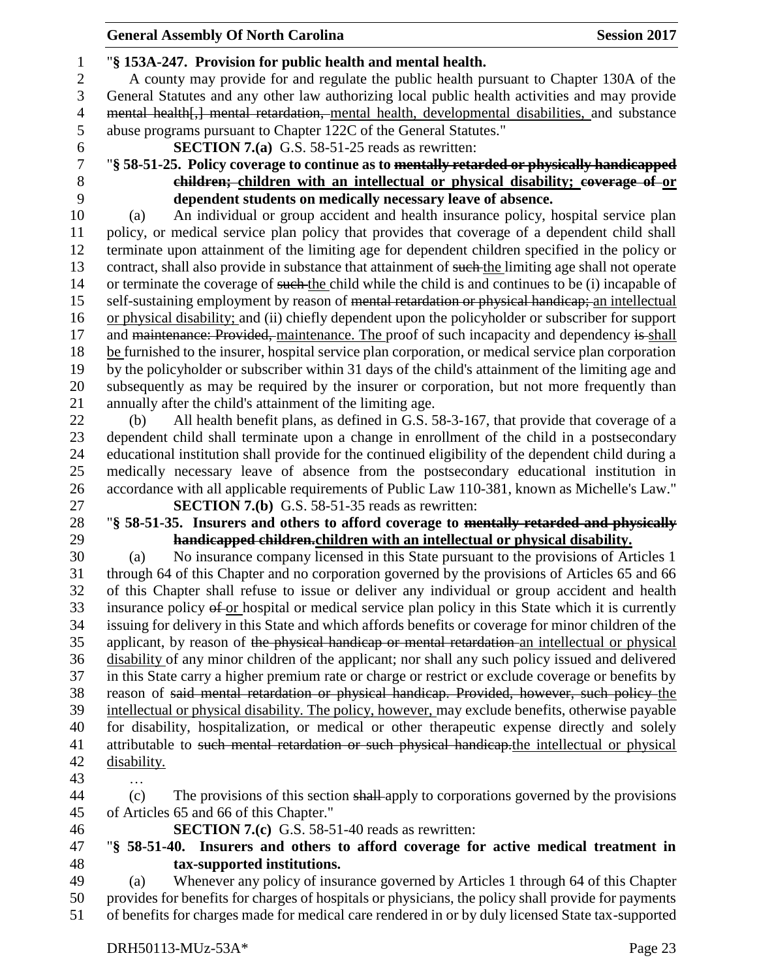#### "**§ 153A-247. Provision for public health and mental health.** A county may provide for and regulate the public health pursuant to Chapter 130A of the General Statutes and any other law authorizing local public health activities and may provide mental health[,] mental retardation, mental health, developmental disabilities, and substance abuse programs pursuant to Chapter 122C of the General Statutes." **SECTION 7.(a)** G.S. 58-51-25 reads as rewritten: "**§ 58-51-25. Policy coverage to continue as to mentally retarded or physically handicapped children;** children with an intellectual or physical disability; coverage of or **dependent students on medically necessary leave of absence.** (a) An individual or group accident and health insurance policy, hospital service plan policy, or medical service plan policy that provides that coverage of a dependent child shall terminate upon attainment of the limiting age for dependent children specified in the policy or 13 contract, shall also provide in substance that attainment of such the limiting age shall not operate or terminate the coverage of such the child while the child is and continues to be (i) incapable of 15 self-sustaining employment by reason of <del>mental retardation or physical handicap;</del> an intellectual or physical disability; and (ii) chiefly dependent upon the policyholder or subscriber for support 17 and maintenance: Provided, maintenance. The proof of such incapacity and dependency is shall be furnished to the insurer, hospital service plan corporation, or medical service plan corporation by the policyholder or subscriber within 31 days of the child's attainment of the limiting age and subsequently as may be required by the insurer or corporation, but not more frequently than annually after the child's attainment of the limiting age. (b) All health benefit plans, as defined in G.S. 58-3-167, that provide that coverage of a dependent child shall terminate upon a change in enrollment of the child in a postsecondary educational institution shall provide for the continued eligibility of the dependent child during a medically necessary leave of absence from the postsecondary educational institution in accordance with all applicable requirements of Public Law 110-381, known as Michelle's Law." **SECTION 7.(b)** G.S. 58-51-35 reads as rewritten: "**§ 58-51-35. Insurers and others to afford coverage to mentally retarded and physically handicapped children.children with an intellectual or physical disability.** (a) No insurance company licensed in this State pursuant to the provisions of Articles 1 through 64 of this Chapter and no corporation governed by the provisions of Articles 65 and 66 of this Chapter shall refuse to issue or deliver any individual or group accident and health 33 insurance policy of or hospital or medical service plan policy in this State which it is currently issuing for delivery in this State and which affords benefits or coverage for minor children of the 35 applicant, by reason of the physical handicap or mental retardation an intellectual or physical disability of any minor children of the applicant; nor shall any such policy issued and delivered in this State carry a higher premium rate or charge or restrict or exclude coverage or benefits by reason of said mental retardation or physical handicap. Provided, however, such policy the intellectual or physical disability. The policy, however, may exclude benefits, otherwise payable for disability, hospitalization, or medical or other therapeutic expense directly and solely 41 attributable to such mental retardation or such physical handicap.the intellectual or physical disability. … (c) The provisions of this section shall apply to corporations governed by the provisions of Articles 65 and 66 of this Chapter." **SECTION 7.(c)** G.S. 58-51-40 reads as rewritten:

 "**§ 58-51-40. Insurers and others to afford coverage for active medical treatment in tax-supported institutions.**

 (a) Whenever any policy of insurance governed by Articles 1 through 64 of this Chapter provides for benefits for charges of hospitals or physicians, the policy shall provide for payments of benefits for charges made for medical care rendered in or by duly licensed State tax-supported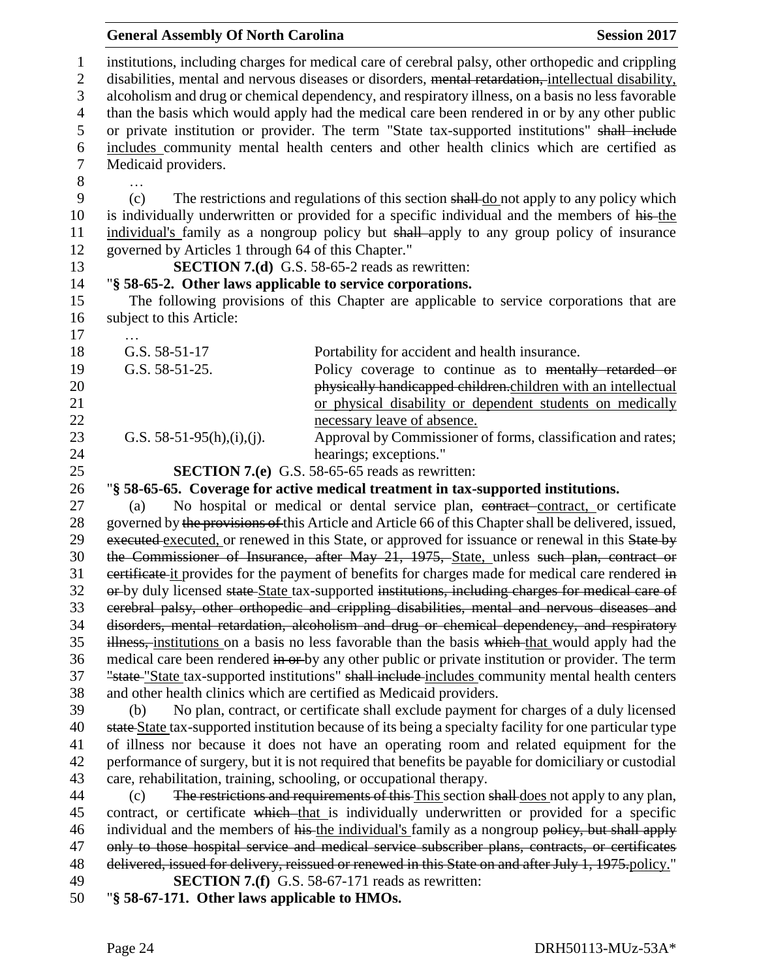|                                     | <b>General Assembly Of North Carolina</b>                           |                                                                                                                                                                                                                                                                                                                 | <b>Session 2017</b> |
|-------------------------------------|---------------------------------------------------------------------|-----------------------------------------------------------------------------------------------------------------------------------------------------------------------------------------------------------------------------------------------------------------------------------------------------------------|---------------------|
| $\mathbf{1}$<br>$\overline{2}$<br>3 |                                                                     | institutions, including charges for medical care of cerebral palsy, other orthopedic and crippling<br>disabilities, mental and nervous diseases or disorders, mental retardation, intellectual disability,<br>alcoholism and drug or chemical dependency, and respiratory illness, on a basis no less favorable |                     |
| $\overline{4}$                      |                                                                     | than the basis which would apply had the medical care been rendered in or by any other public                                                                                                                                                                                                                   |                     |
| 5                                   |                                                                     | or private institution or provider. The term "State tax-supported institutions" shall include                                                                                                                                                                                                                   |                     |
| 6                                   |                                                                     | includes community mental health centers and other health clinics which are certified as                                                                                                                                                                                                                        |                     |
| $\tau$                              | Medicaid providers.                                                 |                                                                                                                                                                                                                                                                                                                 |                     |
| 8                                   |                                                                     |                                                                                                                                                                                                                                                                                                                 |                     |
| 9                                   | (c)                                                                 | The restrictions and regulations of this section shall do not apply to any policy which                                                                                                                                                                                                                         |                     |
| 10<br>11                            |                                                                     | is individually underwritten or provided for a specific individual and the members of his-the<br>individual's family as a nongroup policy but shall apply to any group policy of insurance                                                                                                                      |                     |
| 12                                  | governed by Articles 1 through 64 of this Chapter."                 |                                                                                                                                                                                                                                                                                                                 |                     |
| 13                                  |                                                                     | <b>SECTION 7.(d)</b> G.S. 58-65-2 reads as rewritten:                                                                                                                                                                                                                                                           |                     |
| 14                                  | "§ 58-65-2. Other laws applicable to service corporations.          |                                                                                                                                                                                                                                                                                                                 |                     |
| 15<br>16                            | subject to this Article:                                            | The following provisions of this Chapter are applicable to service corporations that are                                                                                                                                                                                                                        |                     |
| 17                                  | G.S. 58-51-17                                                       |                                                                                                                                                                                                                                                                                                                 |                     |
| 18<br>19                            | G.S. 58-51-25.                                                      | Portability for accident and health insurance.<br>Policy coverage to continue as to mentally retarded or                                                                                                                                                                                                        |                     |
| 20                                  |                                                                     | physically handicapped children.children with an intellectual                                                                                                                                                                                                                                                   |                     |
| 21                                  |                                                                     | or physical disability or dependent students on medically                                                                                                                                                                                                                                                       |                     |
| 22                                  |                                                                     | necessary leave of absence.                                                                                                                                                                                                                                                                                     |                     |
| 23                                  | G.S. $58-51-95(h),(i),(j)$ .                                        | Approval by Commissioner of forms, classification and rates;                                                                                                                                                                                                                                                    |                     |
| 24                                  |                                                                     | hearings; exceptions."                                                                                                                                                                                                                                                                                          |                     |
| 25                                  |                                                                     | <b>SECTION 7.(e)</b> G.S. 58-65-65 reads as rewritten:                                                                                                                                                                                                                                                          |                     |
| 26                                  |                                                                     | "§ 58-65-65. Coverage for active medical treatment in tax-supported institutions.                                                                                                                                                                                                                               |                     |
| 27                                  | (a)                                                                 | No hospital or medical or dental service plan, contract-contract, or certificate                                                                                                                                                                                                                                |                     |
| 28                                  |                                                                     | governed by the provisions of this Article and Article 66 of this Chapter shall be delivered, issued,                                                                                                                                                                                                           |                     |
| 29                                  |                                                                     | executed executed, or renewed in this State, or approved for issuance or renewal in this State by                                                                                                                                                                                                               |                     |
| 30                                  |                                                                     | the Commissioner of Insurance, after May 21, 1975, State, unless such plan, contract or                                                                                                                                                                                                                         |                     |
| 31                                  |                                                                     | eertificate it provides for the payment of benefits for charges made for medical care rendered in                                                                                                                                                                                                               |                     |
| 32                                  |                                                                     | or-by duly licensed state State tax-supported institutions, including charges for medical care of                                                                                                                                                                                                               |                     |
| 33<br>34                            |                                                                     | cerebral palsy, other orthopedic and crippling disabilities, mental and nervous diseases and<br>disorders, mental retardation, alcoholism and drug or chemical dependency, and respiratory                                                                                                                      |                     |
| 35                                  |                                                                     | illness, institutions on a basis no less favorable than the basis which that would apply had the                                                                                                                                                                                                                |                     |
| 36                                  |                                                                     | medical care been rendered in or by any other public or private institution or provider. The term                                                                                                                                                                                                               |                     |
| 37                                  |                                                                     | "state "State tax-supported institutions" shall include includes community mental health centers                                                                                                                                                                                                                |                     |
| 38                                  | and other health clinics which are certified as Medicaid providers. |                                                                                                                                                                                                                                                                                                                 |                     |
| 39                                  | (b)                                                                 | No plan, contract, or certificate shall exclude payment for charges of a duly licensed                                                                                                                                                                                                                          |                     |
| 40                                  |                                                                     | state State tax-supported institution because of its being a specialty facility for one particular type                                                                                                                                                                                                         |                     |
| 41                                  |                                                                     | of illness nor because it does not have an operating room and related equipment for the                                                                                                                                                                                                                         |                     |
| 42                                  |                                                                     | performance of surgery, but it is not required that benefits be payable for domiciliary or custodial                                                                                                                                                                                                            |                     |
| 43                                  | care, rehabilitation, training, schooling, or occupational therapy. |                                                                                                                                                                                                                                                                                                                 |                     |
| 44                                  | (c)                                                                 | The restrictions and requirements of this This section shall does not apply to any plan,                                                                                                                                                                                                                        |                     |
| 45                                  |                                                                     | contract, or certificate which that is individually underwritten or provided for a specific                                                                                                                                                                                                                     |                     |
| 46                                  |                                                                     | individual and the members of his-the individual's family as a nongroup policy, but shall apply                                                                                                                                                                                                                 |                     |
| 47                                  |                                                                     | only to those hospital service and medical service subscriber plans, contracts, or certificates                                                                                                                                                                                                                 |                     |
| 48                                  |                                                                     | delivered, issued for delivery, reissued or renewed in this State on and after July 1, 1975-policy."                                                                                                                                                                                                            |                     |
| 49                                  |                                                                     | <b>SECTION 7.(f)</b> G.S. 58-67-171 reads as rewritten:                                                                                                                                                                                                                                                         |                     |
| 50                                  | "§ 58-67-171. Other laws applicable to HMOs.                        |                                                                                                                                                                                                                                                                                                                 |                     |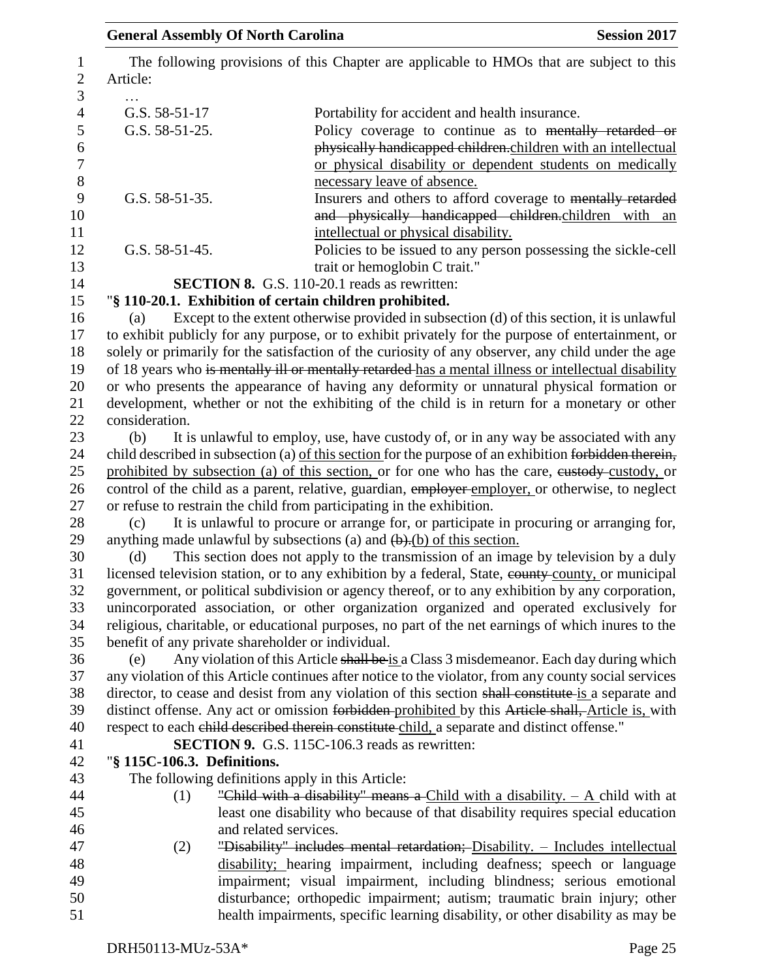| <b>General Assembly Of North Carolina</b> | <b>Session 2017</b>                                                                                                                                                                                                 |
|-------------------------------------------|---------------------------------------------------------------------------------------------------------------------------------------------------------------------------------------------------------------------|
| Article:                                  | The following provisions of this Chapter are applicable to HMOs that are subject to this                                                                                                                            |
|                                           |                                                                                                                                                                                                                     |
| G.S. 58-51-17                             | Portability for accident and health insurance.                                                                                                                                                                      |
| G.S. 58-51-25.                            | Policy coverage to continue as to mentally retarded or<br>physically handicapped children.children with an intellectual<br>or physical disability or dependent students on medically<br>necessary leave of absence. |
| G.S. 58-51-35.                            | Insurers and others to afford coverage to mentally retarded<br>and physically handicapped children.children with an                                                                                                 |
| G.S. 58-51-45.                            | intellectual or physical disability.<br>Policies to be issued to any person possessing the sickle-cell<br>trait or hemoglobin C trait."                                                                             |
|                                           | SECTION 8. G.S. 110-20.1 reads as rewritten:                                                                                                                                                                        |
|                                           | "§ 110-20.1. Exhibition of certain children prohibited.                                                                                                                                                             |
| (a)                                       | Except to the extent otherwise provided in subsection (d) of this section, it is unlawful                                                                                                                           |
|                                           | to exhibit publicly for any purpose, or to exhibit privately for the purpose of entertainment, or                                                                                                                   |
|                                           | solely or primarily for the satisfaction of the curiosity of any observer, any child under the age                                                                                                                  |
|                                           | of 18 years who is mentally ill or mentally retarded-has a mental illness or intellectual disability                                                                                                                |
|                                           | or who presents the appearance of having any deformity or unnatural physical formation or                                                                                                                           |
|                                           | development, whether or not the exhibiting of the child is in return for a monetary or other                                                                                                                        |
| consideration.                            |                                                                                                                                                                                                                     |
| (b)                                       | It is unlawful to employ, use, have custody of, or in any way be associated with any                                                                                                                                |
|                                           | child described in subsection (a) of this section for the purpose of an exhibition forbidden therein,                                                                                                               |
|                                           | prohibited by subsection (a) of this section, or for one who has the care, eustody-custody, or                                                                                                                      |
|                                           | control of the child as a parent, relative, guardian, employer employer, or otherwise, to neglect                                                                                                                   |
|                                           | or refuse to restrain the child from participating in the exhibition.                                                                                                                                               |
| (c)                                       | It is unlawful to procure or arrange for, or participate in procuring or arranging for,                                                                                                                             |
|                                           | anything made unlawful by subsections (a) and $\left(\frac{b}{c}\right)$ of this section.                                                                                                                           |
| (d)                                       | This section does not apply to the transmission of an image by television by a duly                                                                                                                                 |
|                                           | licensed television station, or to any exhibition by a federal, State, eounty-county, or municipal                                                                                                                  |
|                                           | government, or political subdivision or agency thereof, or to any exhibition by any corporation,                                                                                                                    |
|                                           | unincorporated association, or other organization organized and operated exclusively for                                                                                                                            |
|                                           | religious, charitable, or educational purposes, no part of the net earnings of which inures to the                                                                                                                  |
|                                           | benefit of any private shareholder or individual.                                                                                                                                                                   |
| (e)                                       | Any violation of this Article shall be is a Class 3 misdemeanor. Each day during which                                                                                                                              |
|                                           | any violation of this Article continues after notice to the violator, from any county social services<br>director, to cease and desist from any violation of this section shall constitute is a separate and        |
|                                           | distinct offense. Any act or omission forbidden prohibited by this Article shall, Article is, with                                                                                                                  |
|                                           | respect to each child described therein constitute child, a separate and distinct offense."                                                                                                                         |
|                                           | <b>SECTION 9.</b> G.S. 115C-106.3 reads as rewritten:                                                                                                                                                               |
| "§ 115C-106.3. Definitions.               |                                                                                                                                                                                                                     |
|                                           | The following definitions apply in this Article:                                                                                                                                                                    |
| (1)                                       | "Child with a disability" means a Child with a disability. $- A$ child with at                                                                                                                                      |
|                                           | least one disability who because of that disability requires special education                                                                                                                                      |
|                                           | and related services.                                                                                                                                                                                               |
| (2)                                       | "Disability" includes mental retardation; Disability. - Includes intellectual                                                                                                                                       |
|                                           | disability; hearing impairment, including deafness; speech or language                                                                                                                                              |
|                                           | impairment; visual impairment, including blindness; serious emotional                                                                                                                                               |
|                                           | disturbance; orthopedic impairment; autism; traumatic brain injury; other                                                                                                                                           |
|                                           | health impairments, specific learning disability, or other disability as may be                                                                                                                                     |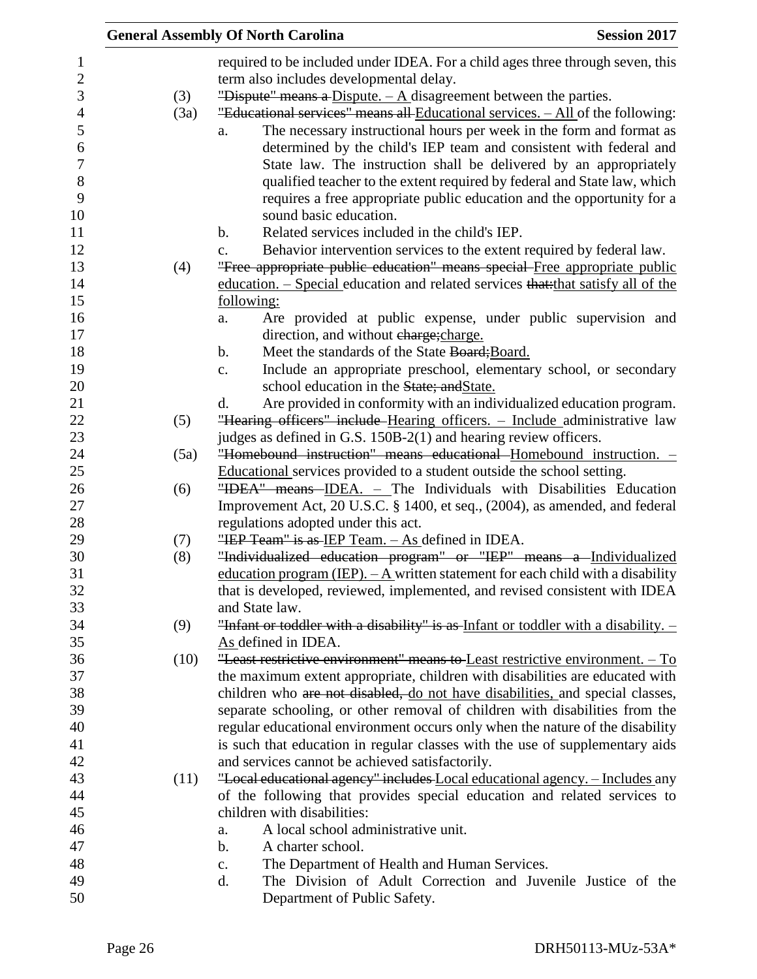|                |      | <b>Session 2017</b><br><b>General Assembly Of North Carolina</b>                                                                           |
|----------------|------|--------------------------------------------------------------------------------------------------------------------------------------------|
| $\mathbf{1}$   |      | required to be included under IDEA. For a child ages three through seven, this                                                             |
| $\sqrt{2}$     |      | term also includes developmental delay.                                                                                                    |
| 3              | (3)  | "Dispute" means a Dispute. $-\mathbf{A}$ disagreement between the parties.                                                                 |
| $\overline{4}$ | (3a) | "Educational services" means all Educational services. - All of the following:                                                             |
| 5              |      | The necessary instructional hours per week in the form and format as<br>a.                                                                 |
| 6              |      | determined by the child's IEP team and consistent with federal and                                                                         |
| $\overline{7}$ |      | State law. The instruction shall be delivered by an appropriately                                                                          |
| $8\,$          |      | qualified teacher to the extent required by federal and State law, which                                                                   |
| 9              |      | requires a free appropriate public education and the opportunity for a                                                                     |
| 10             |      | sound basic education.                                                                                                                     |
| 11             |      | Related services included in the child's IEP.<br>$\mathbf b$ .                                                                             |
| 12             |      | Behavior intervention services to the extent required by federal law.<br>c.                                                                |
| 13             | (4)  | "Free appropriate public education" means special Free appropriate public                                                                  |
| 14             |      | education. – Special education and related services that that satisfy all of the                                                           |
| 15             |      | following:                                                                                                                                 |
| 16             |      | Are provided at public expense, under public supervision and<br>a.                                                                         |
| 17             |      | direction, and without charge; charge.                                                                                                     |
| 18             |      | Meet the standards of the State Board; Board.<br>$\mathbf b$ .                                                                             |
| 19             |      | Include an appropriate preschool, elementary school, or secondary<br>c.                                                                    |
| 20             |      | school education in the State; and State.                                                                                                  |
| 21             |      | Are provided in conformity with an individualized education program.<br>d.                                                                 |
| 22             | (5)  | "Hearing officers" include Hearing officers. - Include administrative law                                                                  |
| 23             |      | judges as defined in G.S. 150B-2(1) and hearing review officers.<br>"Homebound instruction" means educational Homebound instruction. -     |
| 24<br>25       | (5a) |                                                                                                                                            |
| 26             | (6)  | Educational services provided to a student outside the school setting.<br>"IDEA" means IDEA. - The Individuals with Disabilities Education |
| 27             |      | Improvement Act, 20 U.S.C. § 1400, et seq., (2004), as amended, and federal                                                                |
| 28             |      | regulations adopted under this act.                                                                                                        |
| 29             | (7)  | "IEP Team" is as IEP Team. $-$ As defined in IDEA.                                                                                         |
| 30             | (8)  | "Individualized education program" or "IEP" means a Individualized                                                                         |
| 31             |      | education program (IEP). $-A$ written statement for each child with a disability                                                           |
| 32             |      | that is developed, reviewed, implemented, and revised consistent with IDEA                                                                 |
| 33             |      | and State law.                                                                                                                             |
| 34             | (9)  | "Infant or toddler with a disability" is as Infant or toddler with a disability. -                                                         |
| 35             |      | As defined in IDEA.                                                                                                                        |
| 36             | (10) | "Least restrictive environment" means to Least restrictive environment. - To                                                               |
| 37             |      | the maximum extent appropriate, children with disabilities are educated with                                                               |
| 38             |      | children who are not disabled, do not have disabilities, and special classes,                                                              |
| 39             |      | separate schooling, or other removal of children with disabilities from the                                                                |
| 40             |      | regular educational environment occurs only when the nature of the disability                                                              |
| 41             |      | is such that education in regular classes with the use of supplementary aids                                                               |
| 42             |      | and services cannot be achieved satisfactorily.                                                                                            |
| 43             | (11) | "Local educational agency" includes Local educational agency. - Includes any                                                               |
| 44             |      | of the following that provides special education and related services to                                                                   |
| 45             |      | children with disabilities:                                                                                                                |
| 46             |      | A local school administrative unit.<br>a.                                                                                                  |
| 47<br>48       |      | A charter school.<br>b.                                                                                                                    |
| 49             |      | The Department of Health and Human Services.<br>$\mathbf{c}$ .<br>The Division of Adult Correction and Juvenile Justice of the<br>d.       |
| 50             |      | Department of Public Safety.                                                                                                               |
|                |      |                                                                                                                                            |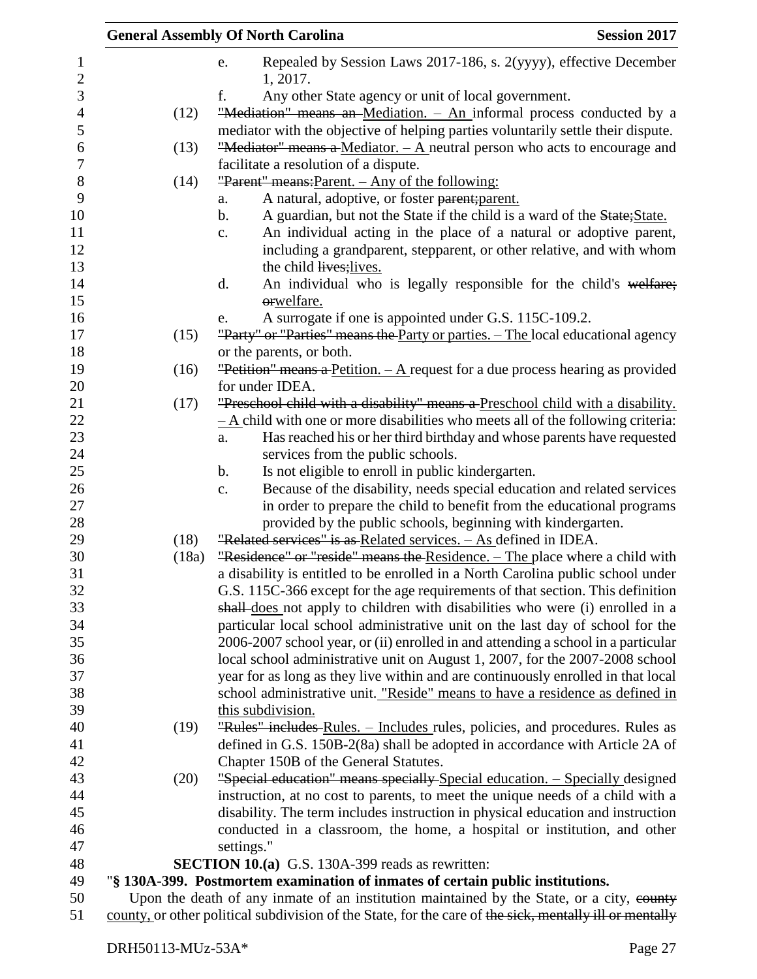| Repealed by Session Laws 2017-186, s. 2(yyyy), effective December<br>e.<br>1, 2017.<br>f.<br>Any other State agency or unit of local government.<br>"Mediation" means an Mediation. - An informal process conducted by a<br>(12)<br>mediator with the objective of helping parties voluntarily settle their dispute.<br>"Mediator" means a Mediator. $-\mathbf{A}$ neutral person who acts to encourage and<br>(13)<br>facilitate a resolution of a dispute.<br>"Parent" means: Parent. - Any of the following:<br>(14)<br>A natural, adoptive, or foster parent; parent.<br>a.<br>A guardian, but not the State if the child is a ward of the State; State.<br>$\mathbf b$ .<br>An individual acting in the place of a natural or adoptive parent,<br>$\mathbf{c}$ .<br>including a grandparent, stepparent, or other relative, and with whom<br>the child lives; lives.<br>An individual who is legally responsible for the child's welfare;<br>d.<br>orwelfare.<br>A surrogate if one is appointed under G.S. 115C-109.2.<br>e.<br>"Party" or "Parties" means the Party or parties. - The local educational agency<br>(15)<br>or the parents, or both.<br>"Petition" means a Petition. $- A$ request for a due process hearing as provided<br>(16)<br>for under IDEA.<br>"Preschool child with a disability" means a Preschool child with a disability.<br>(17)<br>$-\underline{A}$ child with one or more disabilities who meets all of the following criteria:<br>Has reached his or her third birthday and whose parents have requested<br>a.<br>services from the public schools.<br>Is not eligible to enroll in public kindergarten.<br>b.<br>Because of the disability, needs special education and related services<br>c.<br>in order to prepare the child to benefit from the educational programs<br>provided by the public schools, beginning with kindergarten.<br>"Related services" is as Related services. $-$ As defined in IDEA.<br>(18)<br>"Residence" or "reside" means the Residence. - The place where a child with<br>(18a)<br>a disability is entitled to be enrolled in a North Carolina public school under<br>G.S. 115C-366 except for the age requirements of that section. This definition<br>shall does not apply to children with disabilities who were (i) enrolled in a<br>particular local school administrative unit on the last day of school for the<br>2006-2007 school year, or (ii) enrolled in and attending a school in a particular<br>local school administrative unit on August 1, 2007, for the 2007-2008 school<br>year for as long as they live within and are continuously enrolled in that local<br>school administrative unit. "Reside" means to have a residence as defined in<br>this subdivision.<br>"Rules" includes-Rules. - Includes rules, policies, and procedures. Rules as<br>(19)<br>defined in G.S. 150B-2(8a) shall be adopted in accordance with Article 2A of<br>Chapter 150B of the General Statutes.<br>"Special education" means specially Special education. - Specially designed<br>(20)<br>instruction, at no cost to parents, to meet the unique needs of a child with a<br>disability. The term includes instruction in physical education and instruction<br>conducted in a classroom, the home, a hospital or institution, and other<br>settings."<br><b>SECTION 10.(a)</b> G.S. 130A-399 reads as rewritten:<br>"§ 130A-399. Postmortem examination of inmates of certain public institutions. |                       | <b>General Assembly Of North Carolina</b> | <b>Session 2017</b> |
|-------------------------------------------------------------------------------------------------------------------------------------------------------------------------------------------------------------------------------------------------------------------------------------------------------------------------------------------------------------------------------------------------------------------------------------------------------------------------------------------------------------------------------------------------------------------------------------------------------------------------------------------------------------------------------------------------------------------------------------------------------------------------------------------------------------------------------------------------------------------------------------------------------------------------------------------------------------------------------------------------------------------------------------------------------------------------------------------------------------------------------------------------------------------------------------------------------------------------------------------------------------------------------------------------------------------------------------------------------------------------------------------------------------------------------------------------------------------------------------------------------------------------------------------------------------------------------------------------------------------------------------------------------------------------------------------------------------------------------------------------------------------------------------------------------------------------------------------------------------------------------------------------------------------------------------------------------------------------------------------------------------------------------------------------------------------------------------------------------------------------------------------------------------------------------------------------------------------------------------------------------------------------------------------------------------------------------------------------------------------------------------------------------------------------------------------------------------------------------------------------------------------------------------------------------------------------------------------------------------------------------------------------------------------------------------------------------------------------------------------------------------------------------------------------------------------------------------------------------------------------------------------------------------------------------------------------------------------------------------------------------------------------------------------------------------------------------------------------------------------------------------------------------------------------------------------------------------------------------------------------------------------------------------------------------------------------------------------------------------------------------------------------------------------------------------------------------------------------------|-----------------------|-------------------------------------------|---------------------|
|                                                                                                                                                                                                                                                                                                                                                                                                                                                                                                                                                                                                                                                                                                                                                                                                                                                                                                                                                                                                                                                                                                                                                                                                                                                                                                                                                                                                                                                                                                                                                                                                                                                                                                                                                                                                                                                                                                                                                                                                                                                                                                                                                                                                                                                                                                                                                                                                                                                                                                                                                                                                                                                                                                                                                                                                                                                                                                                                                                                                                                                                                                                                                                                                                                                                                                                                                                                                                                                                               | 1<br>$\boldsymbol{2}$ |                                           |                     |
|                                                                                                                                                                                                                                                                                                                                                                                                                                                                                                                                                                                                                                                                                                                                                                                                                                                                                                                                                                                                                                                                                                                                                                                                                                                                                                                                                                                                                                                                                                                                                                                                                                                                                                                                                                                                                                                                                                                                                                                                                                                                                                                                                                                                                                                                                                                                                                                                                                                                                                                                                                                                                                                                                                                                                                                                                                                                                                                                                                                                                                                                                                                                                                                                                                                                                                                                                                                                                                                                               | 3                     |                                           |                     |
|                                                                                                                                                                                                                                                                                                                                                                                                                                                                                                                                                                                                                                                                                                                                                                                                                                                                                                                                                                                                                                                                                                                                                                                                                                                                                                                                                                                                                                                                                                                                                                                                                                                                                                                                                                                                                                                                                                                                                                                                                                                                                                                                                                                                                                                                                                                                                                                                                                                                                                                                                                                                                                                                                                                                                                                                                                                                                                                                                                                                                                                                                                                                                                                                                                                                                                                                                                                                                                                                               | $\overline{4}$        |                                           |                     |
|                                                                                                                                                                                                                                                                                                                                                                                                                                                                                                                                                                                                                                                                                                                                                                                                                                                                                                                                                                                                                                                                                                                                                                                                                                                                                                                                                                                                                                                                                                                                                                                                                                                                                                                                                                                                                                                                                                                                                                                                                                                                                                                                                                                                                                                                                                                                                                                                                                                                                                                                                                                                                                                                                                                                                                                                                                                                                                                                                                                                                                                                                                                                                                                                                                                                                                                                                                                                                                                                               | 5                     |                                           |                     |
|                                                                                                                                                                                                                                                                                                                                                                                                                                                                                                                                                                                                                                                                                                                                                                                                                                                                                                                                                                                                                                                                                                                                                                                                                                                                                                                                                                                                                                                                                                                                                                                                                                                                                                                                                                                                                                                                                                                                                                                                                                                                                                                                                                                                                                                                                                                                                                                                                                                                                                                                                                                                                                                                                                                                                                                                                                                                                                                                                                                                                                                                                                                                                                                                                                                                                                                                                                                                                                                                               | 6                     |                                           |                     |
|                                                                                                                                                                                                                                                                                                                                                                                                                                                                                                                                                                                                                                                                                                                                                                                                                                                                                                                                                                                                                                                                                                                                                                                                                                                                                                                                                                                                                                                                                                                                                                                                                                                                                                                                                                                                                                                                                                                                                                                                                                                                                                                                                                                                                                                                                                                                                                                                                                                                                                                                                                                                                                                                                                                                                                                                                                                                                                                                                                                                                                                                                                                                                                                                                                                                                                                                                                                                                                                                               | $\overline{7}$        |                                           |                     |
|                                                                                                                                                                                                                                                                                                                                                                                                                                                                                                                                                                                                                                                                                                                                                                                                                                                                                                                                                                                                                                                                                                                                                                                                                                                                                                                                                                                                                                                                                                                                                                                                                                                                                                                                                                                                                                                                                                                                                                                                                                                                                                                                                                                                                                                                                                                                                                                                                                                                                                                                                                                                                                                                                                                                                                                                                                                                                                                                                                                                                                                                                                                                                                                                                                                                                                                                                                                                                                                                               | $8\,$                 |                                           |                     |
|                                                                                                                                                                                                                                                                                                                                                                                                                                                                                                                                                                                                                                                                                                                                                                                                                                                                                                                                                                                                                                                                                                                                                                                                                                                                                                                                                                                                                                                                                                                                                                                                                                                                                                                                                                                                                                                                                                                                                                                                                                                                                                                                                                                                                                                                                                                                                                                                                                                                                                                                                                                                                                                                                                                                                                                                                                                                                                                                                                                                                                                                                                                                                                                                                                                                                                                                                                                                                                                                               | 9                     |                                           |                     |
|                                                                                                                                                                                                                                                                                                                                                                                                                                                                                                                                                                                                                                                                                                                                                                                                                                                                                                                                                                                                                                                                                                                                                                                                                                                                                                                                                                                                                                                                                                                                                                                                                                                                                                                                                                                                                                                                                                                                                                                                                                                                                                                                                                                                                                                                                                                                                                                                                                                                                                                                                                                                                                                                                                                                                                                                                                                                                                                                                                                                                                                                                                                                                                                                                                                                                                                                                                                                                                                                               | 10                    |                                           |                     |
|                                                                                                                                                                                                                                                                                                                                                                                                                                                                                                                                                                                                                                                                                                                                                                                                                                                                                                                                                                                                                                                                                                                                                                                                                                                                                                                                                                                                                                                                                                                                                                                                                                                                                                                                                                                                                                                                                                                                                                                                                                                                                                                                                                                                                                                                                                                                                                                                                                                                                                                                                                                                                                                                                                                                                                                                                                                                                                                                                                                                                                                                                                                                                                                                                                                                                                                                                                                                                                                                               |                       |                                           |                     |
|                                                                                                                                                                                                                                                                                                                                                                                                                                                                                                                                                                                                                                                                                                                                                                                                                                                                                                                                                                                                                                                                                                                                                                                                                                                                                                                                                                                                                                                                                                                                                                                                                                                                                                                                                                                                                                                                                                                                                                                                                                                                                                                                                                                                                                                                                                                                                                                                                                                                                                                                                                                                                                                                                                                                                                                                                                                                                                                                                                                                                                                                                                                                                                                                                                                                                                                                                                                                                                                                               | 12                    |                                           |                     |
|                                                                                                                                                                                                                                                                                                                                                                                                                                                                                                                                                                                                                                                                                                                                                                                                                                                                                                                                                                                                                                                                                                                                                                                                                                                                                                                                                                                                                                                                                                                                                                                                                                                                                                                                                                                                                                                                                                                                                                                                                                                                                                                                                                                                                                                                                                                                                                                                                                                                                                                                                                                                                                                                                                                                                                                                                                                                                                                                                                                                                                                                                                                                                                                                                                                                                                                                                                                                                                                                               | 13                    |                                           |                     |
|                                                                                                                                                                                                                                                                                                                                                                                                                                                                                                                                                                                                                                                                                                                                                                                                                                                                                                                                                                                                                                                                                                                                                                                                                                                                                                                                                                                                                                                                                                                                                                                                                                                                                                                                                                                                                                                                                                                                                                                                                                                                                                                                                                                                                                                                                                                                                                                                                                                                                                                                                                                                                                                                                                                                                                                                                                                                                                                                                                                                                                                                                                                                                                                                                                                                                                                                                                                                                                                                               |                       |                                           |                     |
|                                                                                                                                                                                                                                                                                                                                                                                                                                                                                                                                                                                                                                                                                                                                                                                                                                                                                                                                                                                                                                                                                                                                                                                                                                                                                                                                                                                                                                                                                                                                                                                                                                                                                                                                                                                                                                                                                                                                                                                                                                                                                                                                                                                                                                                                                                                                                                                                                                                                                                                                                                                                                                                                                                                                                                                                                                                                                                                                                                                                                                                                                                                                                                                                                                                                                                                                                                                                                                                                               |                       |                                           |                     |
|                                                                                                                                                                                                                                                                                                                                                                                                                                                                                                                                                                                                                                                                                                                                                                                                                                                                                                                                                                                                                                                                                                                                                                                                                                                                                                                                                                                                                                                                                                                                                                                                                                                                                                                                                                                                                                                                                                                                                                                                                                                                                                                                                                                                                                                                                                                                                                                                                                                                                                                                                                                                                                                                                                                                                                                                                                                                                                                                                                                                                                                                                                                                                                                                                                                                                                                                                                                                                                                                               | 16                    |                                           |                     |
|                                                                                                                                                                                                                                                                                                                                                                                                                                                                                                                                                                                                                                                                                                                                                                                                                                                                                                                                                                                                                                                                                                                                                                                                                                                                                                                                                                                                                                                                                                                                                                                                                                                                                                                                                                                                                                                                                                                                                                                                                                                                                                                                                                                                                                                                                                                                                                                                                                                                                                                                                                                                                                                                                                                                                                                                                                                                                                                                                                                                                                                                                                                                                                                                                                                                                                                                                                                                                                                                               | 17                    |                                           |                     |
|                                                                                                                                                                                                                                                                                                                                                                                                                                                                                                                                                                                                                                                                                                                                                                                                                                                                                                                                                                                                                                                                                                                                                                                                                                                                                                                                                                                                                                                                                                                                                                                                                                                                                                                                                                                                                                                                                                                                                                                                                                                                                                                                                                                                                                                                                                                                                                                                                                                                                                                                                                                                                                                                                                                                                                                                                                                                                                                                                                                                                                                                                                                                                                                                                                                                                                                                                                                                                                                                               | 18                    |                                           |                     |
|                                                                                                                                                                                                                                                                                                                                                                                                                                                                                                                                                                                                                                                                                                                                                                                                                                                                                                                                                                                                                                                                                                                                                                                                                                                                                                                                                                                                                                                                                                                                                                                                                                                                                                                                                                                                                                                                                                                                                                                                                                                                                                                                                                                                                                                                                                                                                                                                                                                                                                                                                                                                                                                                                                                                                                                                                                                                                                                                                                                                                                                                                                                                                                                                                                                                                                                                                                                                                                                                               | 19                    |                                           |                     |
|                                                                                                                                                                                                                                                                                                                                                                                                                                                                                                                                                                                                                                                                                                                                                                                                                                                                                                                                                                                                                                                                                                                                                                                                                                                                                                                                                                                                                                                                                                                                                                                                                                                                                                                                                                                                                                                                                                                                                                                                                                                                                                                                                                                                                                                                                                                                                                                                                                                                                                                                                                                                                                                                                                                                                                                                                                                                                                                                                                                                                                                                                                                                                                                                                                                                                                                                                                                                                                                                               | 20                    |                                           |                     |
|                                                                                                                                                                                                                                                                                                                                                                                                                                                                                                                                                                                                                                                                                                                                                                                                                                                                                                                                                                                                                                                                                                                                                                                                                                                                                                                                                                                                                                                                                                                                                                                                                                                                                                                                                                                                                                                                                                                                                                                                                                                                                                                                                                                                                                                                                                                                                                                                                                                                                                                                                                                                                                                                                                                                                                                                                                                                                                                                                                                                                                                                                                                                                                                                                                                                                                                                                                                                                                                                               | 21                    |                                           |                     |
|                                                                                                                                                                                                                                                                                                                                                                                                                                                                                                                                                                                                                                                                                                                                                                                                                                                                                                                                                                                                                                                                                                                                                                                                                                                                                                                                                                                                                                                                                                                                                                                                                                                                                                                                                                                                                                                                                                                                                                                                                                                                                                                                                                                                                                                                                                                                                                                                                                                                                                                                                                                                                                                                                                                                                                                                                                                                                                                                                                                                                                                                                                                                                                                                                                                                                                                                                                                                                                                                               | 22                    |                                           |                     |
|                                                                                                                                                                                                                                                                                                                                                                                                                                                                                                                                                                                                                                                                                                                                                                                                                                                                                                                                                                                                                                                                                                                                                                                                                                                                                                                                                                                                                                                                                                                                                                                                                                                                                                                                                                                                                                                                                                                                                                                                                                                                                                                                                                                                                                                                                                                                                                                                                                                                                                                                                                                                                                                                                                                                                                                                                                                                                                                                                                                                                                                                                                                                                                                                                                                                                                                                                                                                                                                                               | 23                    |                                           |                     |
|                                                                                                                                                                                                                                                                                                                                                                                                                                                                                                                                                                                                                                                                                                                                                                                                                                                                                                                                                                                                                                                                                                                                                                                                                                                                                                                                                                                                                                                                                                                                                                                                                                                                                                                                                                                                                                                                                                                                                                                                                                                                                                                                                                                                                                                                                                                                                                                                                                                                                                                                                                                                                                                                                                                                                                                                                                                                                                                                                                                                                                                                                                                                                                                                                                                                                                                                                                                                                                                                               | 24                    |                                           |                     |
|                                                                                                                                                                                                                                                                                                                                                                                                                                                                                                                                                                                                                                                                                                                                                                                                                                                                                                                                                                                                                                                                                                                                                                                                                                                                                                                                                                                                                                                                                                                                                                                                                                                                                                                                                                                                                                                                                                                                                                                                                                                                                                                                                                                                                                                                                                                                                                                                                                                                                                                                                                                                                                                                                                                                                                                                                                                                                                                                                                                                                                                                                                                                                                                                                                                                                                                                                                                                                                                                               | 25                    |                                           |                     |
|                                                                                                                                                                                                                                                                                                                                                                                                                                                                                                                                                                                                                                                                                                                                                                                                                                                                                                                                                                                                                                                                                                                                                                                                                                                                                                                                                                                                                                                                                                                                                                                                                                                                                                                                                                                                                                                                                                                                                                                                                                                                                                                                                                                                                                                                                                                                                                                                                                                                                                                                                                                                                                                                                                                                                                                                                                                                                                                                                                                                                                                                                                                                                                                                                                                                                                                                                                                                                                                                               | 26                    |                                           |                     |
|                                                                                                                                                                                                                                                                                                                                                                                                                                                                                                                                                                                                                                                                                                                                                                                                                                                                                                                                                                                                                                                                                                                                                                                                                                                                                                                                                                                                                                                                                                                                                                                                                                                                                                                                                                                                                                                                                                                                                                                                                                                                                                                                                                                                                                                                                                                                                                                                                                                                                                                                                                                                                                                                                                                                                                                                                                                                                                                                                                                                                                                                                                                                                                                                                                                                                                                                                                                                                                                                               | 27                    |                                           |                     |
|                                                                                                                                                                                                                                                                                                                                                                                                                                                                                                                                                                                                                                                                                                                                                                                                                                                                                                                                                                                                                                                                                                                                                                                                                                                                                                                                                                                                                                                                                                                                                                                                                                                                                                                                                                                                                                                                                                                                                                                                                                                                                                                                                                                                                                                                                                                                                                                                                                                                                                                                                                                                                                                                                                                                                                                                                                                                                                                                                                                                                                                                                                                                                                                                                                                                                                                                                                                                                                                                               | 28<br>29              |                                           |                     |
|                                                                                                                                                                                                                                                                                                                                                                                                                                                                                                                                                                                                                                                                                                                                                                                                                                                                                                                                                                                                                                                                                                                                                                                                                                                                                                                                                                                                                                                                                                                                                                                                                                                                                                                                                                                                                                                                                                                                                                                                                                                                                                                                                                                                                                                                                                                                                                                                                                                                                                                                                                                                                                                                                                                                                                                                                                                                                                                                                                                                                                                                                                                                                                                                                                                                                                                                                                                                                                                                               |                       |                                           |                     |
|                                                                                                                                                                                                                                                                                                                                                                                                                                                                                                                                                                                                                                                                                                                                                                                                                                                                                                                                                                                                                                                                                                                                                                                                                                                                                                                                                                                                                                                                                                                                                                                                                                                                                                                                                                                                                                                                                                                                                                                                                                                                                                                                                                                                                                                                                                                                                                                                                                                                                                                                                                                                                                                                                                                                                                                                                                                                                                                                                                                                                                                                                                                                                                                                                                                                                                                                                                                                                                                                               |                       |                                           |                     |
|                                                                                                                                                                                                                                                                                                                                                                                                                                                                                                                                                                                                                                                                                                                                                                                                                                                                                                                                                                                                                                                                                                                                                                                                                                                                                                                                                                                                                                                                                                                                                                                                                                                                                                                                                                                                                                                                                                                                                                                                                                                                                                                                                                                                                                                                                                                                                                                                                                                                                                                                                                                                                                                                                                                                                                                                                                                                                                                                                                                                                                                                                                                                                                                                                                                                                                                                                                                                                                                                               |                       |                                           |                     |
|                                                                                                                                                                                                                                                                                                                                                                                                                                                                                                                                                                                                                                                                                                                                                                                                                                                                                                                                                                                                                                                                                                                                                                                                                                                                                                                                                                                                                                                                                                                                                                                                                                                                                                                                                                                                                                                                                                                                                                                                                                                                                                                                                                                                                                                                                                                                                                                                                                                                                                                                                                                                                                                                                                                                                                                                                                                                                                                                                                                                                                                                                                                                                                                                                                                                                                                                                                                                                                                                               |                       |                                           |                     |
|                                                                                                                                                                                                                                                                                                                                                                                                                                                                                                                                                                                                                                                                                                                                                                                                                                                                                                                                                                                                                                                                                                                                                                                                                                                                                                                                                                                                                                                                                                                                                                                                                                                                                                                                                                                                                                                                                                                                                                                                                                                                                                                                                                                                                                                                                                                                                                                                                                                                                                                                                                                                                                                                                                                                                                                                                                                                                                                                                                                                                                                                                                                                                                                                                                                                                                                                                                                                                                                                               |                       |                                           |                     |
|                                                                                                                                                                                                                                                                                                                                                                                                                                                                                                                                                                                                                                                                                                                                                                                                                                                                                                                                                                                                                                                                                                                                                                                                                                                                                                                                                                                                                                                                                                                                                                                                                                                                                                                                                                                                                                                                                                                                                                                                                                                                                                                                                                                                                                                                                                                                                                                                                                                                                                                                                                                                                                                                                                                                                                                                                                                                                                                                                                                                                                                                                                                                                                                                                                                                                                                                                                                                                                                                               | 34                    |                                           |                     |
|                                                                                                                                                                                                                                                                                                                                                                                                                                                                                                                                                                                                                                                                                                                                                                                                                                                                                                                                                                                                                                                                                                                                                                                                                                                                                                                                                                                                                                                                                                                                                                                                                                                                                                                                                                                                                                                                                                                                                                                                                                                                                                                                                                                                                                                                                                                                                                                                                                                                                                                                                                                                                                                                                                                                                                                                                                                                                                                                                                                                                                                                                                                                                                                                                                                                                                                                                                                                                                                                               | 35                    |                                           |                     |
|                                                                                                                                                                                                                                                                                                                                                                                                                                                                                                                                                                                                                                                                                                                                                                                                                                                                                                                                                                                                                                                                                                                                                                                                                                                                                                                                                                                                                                                                                                                                                                                                                                                                                                                                                                                                                                                                                                                                                                                                                                                                                                                                                                                                                                                                                                                                                                                                                                                                                                                                                                                                                                                                                                                                                                                                                                                                                                                                                                                                                                                                                                                                                                                                                                                                                                                                                                                                                                                                               | 36<br>37              |                                           |                     |
|                                                                                                                                                                                                                                                                                                                                                                                                                                                                                                                                                                                                                                                                                                                                                                                                                                                                                                                                                                                                                                                                                                                                                                                                                                                                                                                                                                                                                                                                                                                                                                                                                                                                                                                                                                                                                                                                                                                                                                                                                                                                                                                                                                                                                                                                                                                                                                                                                                                                                                                                                                                                                                                                                                                                                                                                                                                                                                                                                                                                                                                                                                                                                                                                                                                                                                                                                                                                                                                                               |                       |                                           |                     |
|                                                                                                                                                                                                                                                                                                                                                                                                                                                                                                                                                                                                                                                                                                                                                                                                                                                                                                                                                                                                                                                                                                                                                                                                                                                                                                                                                                                                                                                                                                                                                                                                                                                                                                                                                                                                                                                                                                                                                                                                                                                                                                                                                                                                                                                                                                                                                                                                                                                                                                                                                                                                                                                                                                                                                                                                                                                                                                                                                                                                                                                                                                                                                                                                                                                                                                                                                                                                                                                                               | 38<br>39              |                                           |                     |
|                                                                                                                                                                                                                                                                                                                                                                                                                                                                                                                                                                                                                                                                                                                                                                                                                                                                                                                                                                                                                                                                                                                                                                                                                                                                                                                                                                                                                                                                                                                                                                                                                                                                                                                                                                                                                                                                                                                                                                                                                                                                                                                                                                                                                                                                                                                                                                                                                                                                                                                                                                                                                                                                                                                                                                                                                                                                                                                                                                                                                                                                                                                                                                                                                                                                                                                                                                                                                                                                               |                       |                                           |                     |
|                                                                                                                                                                                                                                                                                                                                                                                                                                                                                                                                                                                                                                                                                                                                                                                                                                                                                                                                                                                                                                                                                                                                                                                                                                                                                                                                                                                                                                                                                                                                                                                                                                                                                                                                                                                                                                                                                                                                                                                                                                                                                                                                                                                                                                                                                                                                                                                                                                                                                                                                                                                                                                                                                                                                                                                                                                                                                                                                                                                                                                                                                                                                                                                                                                                                                                                                                                                                                                                                               |                       |                                           |                     |
|                                                                                                                                                                                                                                                                                                                                                                                                                                                                                                                                                                                                                                                                                                                                                                                                                                                                                                                                                                                                                                                                                                                                                                                                                                                                                                                                                                                                                                                                                                                                                                                                                                                                                                                                                                                                                                                                                                                                                                                                                                                                                                                                                                                                                                                                                                                                                                                                                                                                                                                                                                                                                                                                                                                                                                                                                                                                                                                                                                                                                                                                                                                                                                                                                                                                                                                                                                                                                                                                               | 42                    |                                           |                     |
|                                                                                                                                                                                                                                                                                                                                                                                                                                                                                                                                                                                                                                                                                                                                                                                                                                                                                                                                                                                                                                                                                                                                                                                                                                                                                                                                                                                                                                                                                                                                                                                                                                                                                                                                                                                                                                                                                                                                                                                                                                                                                                                                                                                                                                                                                                                                                                                                                                                                                                                                                                                                                                                                                                                                                                                                                                                                                                                                                                                                                                                                                                                                                                                                                                                                                                                                                                                                                                                                               |                       |                                           |                     |
|                                                                                                                                                                                                                                                                                                                                                                                                                                                                                                                                                                                                                                                                                                                                                                                                                                                                                                                                                                                                                                                                                                                                                                                                                                                                                                                                                                                                                                                                                                                                                                                                                                                                                                                                                                                                                                                                                                                                                                                                                                                                                                                                                                                                                                                                                                                                                                                                                                                                                                                                                                                                                                                                                                                                                                                                                                                                                                                                                                                                                                                                                                                                                                                                                                                                                                                                                                                                                                                                               |                       |                                           |                     |
|                                                                                                                                                                                                                                                                                                                                                                                                                                                                                                                                                                                                                                                                                                                                                                                                                                                                                                                                                                                                                                                                                                                                                                                                                                                                                                                                                                                                                                                                                                                                                                                                                                                                                                                                                                                                                                                                                                                                                                                                                                                                                                                                                                                                                                                                                                                                                                                                                                                                                                                                                                                                                                                                                                                                                                                                                                                                                                                                                                                                                                                                                                                                                                                                                                                                                                                                                                                                                                                                               |                       |                                           |                     |
|                                                                                                                                                                                                                                                                                                                                                                                                                                                                                                                                                                                                                                                                                                                                                                                                                                                                                                                                                                                                                                                                                                                                                                                                                                                                                                                                                                                                                                                                                                                                                                                                                                                                                                                                                                                                                                                                                                                                                                                                                                                                                                                                                                                                                                                                                                                                                                                                                                                                                                                                                                                                                                                                                                                                                                                                                                                                                                                                                                                                                                                                                                                                                                                                                                                                                                                                                                                                                                                                               | 45                    |                                           |                     |
|                                                                                                                                                                                                                                                                                                                                                                                                                                                                                                                                                                                                                                                                                                                                                                                                                                                                                                                                                                                                                                                                                                                                                                                                                                                                                                                                                                                                                                                                                                                                                                                                                                                                                                                                                                                                                                                                                                                                                                                                                                                                                                                                                                                                                                                                                                                                                                                                                                                                                                                                                                                                                                                                                                                                                                                                                                                                                                                                                                                                                                                                                                                                                                                                                                                                                                                                                                                                                                                                               | 46<br>47              |                                           |                     |
|                                                                                                                                                                                                                                                                                                                                                                                                                                                                                                                                                                                                                                                                                                                                                                                                                                                                                                                                                                                                                                                                                                                                                                                                                                                                                                                                                                                                                                                                                                                                                                                                                                                                                                                                                                                                                                                                                                                                                                                                                                                                                                                                                                                                                                                                                                                                                                                                                                                                                                                                                                                                                                                                                                                                                                                                                                                                                                                                                                                                                                                                                                                                                                                                                                                                                                                                                                                                                                                                               | 48                    |                                           |                     |
|                                                                                                                                                                                                                                                                                                                                                                                                                                                                                                                                                                                                                                                                                                                                                                                                                                                                                                                                                                                                                                                                                                                                                                                                                                                                                                                                                                                                                                                                                                                                                                                                                                                                                                                                                                                                                                                                                                                                                                                                                                                                                                                                                                                                                                                                                                                                                                                                                                                                                                                                                                                                                                                                                                                                                                                                                                                                                                                                                                                                                                                                                                                                                                                                                                                                                                                                                                                                                                                                               | 49                    |                                           |                     |
|                                                                                                                                                                                                                                                                                                                                                                                                                                                                                                                                                                                                                                                                                                                                                                                                                                                                                                                                                                                                                                                                                                                                                                                                                                                                                                                                                                                                                                                                                                                                                                                                                                                                                                                                                                                                                                                                                                                                                                                                                                                                                                                                                                                                                                                                                                                                                                                                                                                                                                                                                                                                                                                                                                                                                                                                                                                                                                                                                                                                                                                                                                                                                                                                                                                                                                                                                                                                                                                                               |                       |                                           |                     |
| Upon the death of any inmate of an institution maintained by the State, or a city, eounty<br>county, or other political subdivision of the State, for the care of the sick, mentally ill or mentally                                                                                                                                                                                                                                                                                                                                                                                                                                                                                                                                                                                                                                                                                                                                                                                                                                                                                                                                                                                                                                                                                                                                                                                                                                                                                                                                                                                                                                                                                                                                                                                                                                                                                                                                                                                                                                                                                                                                                                                                                                                                                                                                                                                                                                                                                                                                                                                                                                                                                                                                                                                                                                                                                                                                                                                                                                                                                                                                                                                                                                                                                                                                                                                                                                                                          | 50<br>51              |                                           |                     |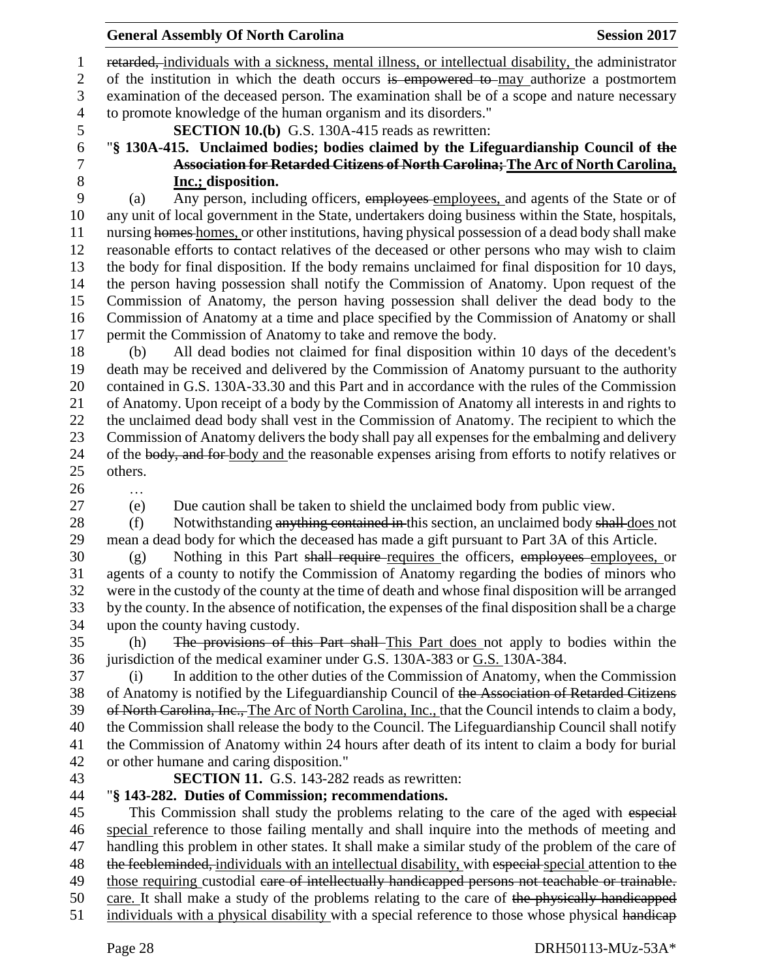retarded, individuals with a sickness, mental illness, or intellectual disability, the administrator 2 of the institution in which the death occurs is empowered to may authorize a postmortem examination of the deceased person. The examination shall be of a scope and nature necessary to promote knowledge of the human organism and its disorders."

- 
- **SECTION 10.(b)** G.S. 130A-415 reads as rewritten:
- 

# "**§ 130A-415. Unclaimed bodies; bodies claimed by the Lifeguardianship Council of the Association for Retarded Citizens of North Carolina; The Arc of North Carolina,**

**Inc.; disposition.**<br>9 (a) Any person, inclu- (a) Any person, including officers, employees employees, and agents of the State or of any unit of local government in the State, undertakers doing business within the State, hospitals, nursing homes homes, or other institutions, having physical possession of a dead body shall make reasonable efforts to contact relatives of the deceased or other persons who may wish to claim the body for final disposition. If the body remains unclaimed for final disposition for 10 days, the person having possession shall notify the Commission of Anatomy. Upon request of the Commission of Anatomy, the person having possession shall deliver the dead body to the Commission of Anatomy at a time and place specified by the Commission of Anatomy or shall permit the Commission of Anatomy to take and remove the body.

 (b) All dead bodies not claimed for final disposition within 10 days of the decedent's death may be received and delivered by the Commission of Anatomy pursuant to the authority contained in G.S. 130A-33.30 and this Part and in accordance with the rules of the Commission of Anatomy. Upon receipt of a body by the Commission of Anatomy all interests in and rights to the unclaimed dead body shall vest in the Commission of Anatomy. The recipient to which the Commission of Anatomy delivers the body shall pay all expenses for the embalming and delivery 24 of the body, and for body and the reasonable expenses arising from efforts to notify relatives or others.

- …
- 

(e) Due caution shall be taken to shield the unclaimed body from public view.

28 (f) Notwithstanding anything contained in this section, an unclaimed body shall does not mean a dead body for which the deceased has made a gift pursuant to Part 3A of this Article.

 (g) Nothing in this Part shall require requires the officers, employees employees, or agents of a county to notify the Commission of Anatomy regarding the bodies of minors who were in the custody of the county at the time of death and whose final disposition will be arranged by the county. In the absence of notification, the expenses of the final disposition shall be a charge upon the county having custody.

 (h) The provisions of this Part shall This Part does not apply to bodies within the jurisdiction of the medical examiner under G.S. 130A-383 or G.S. 130A-384.

 (i) In addition to the other duties of the Commission of Anatomy, when the Commission of Anatomy is notified by the Lifeguardianship Council of the Association of Retarded Citizens 39 of North Carolina, Inc., The Arc of North Carolina, Inc., that the Council intends to claim a body, the Commission shall release the body to the Council. The Lifeguardianship Council shall notify the Commission of Anatomy within 24 hours after death of its intent to claim a body for burial or other humane and caring disposition."

# **SECTION 11.** G.S. 143-282 reads as rewritten:

# "**§ 143-282. Duties of Commission; recommendations.**

45 This Commission shall study the problems relating to the care of the aged with especial special reference to those failing mentally and shall inquire into the methods of meeting and handling this problem in other states. It shall make a similar study of the problem of the care of 48 the feebleminded, individuals with an intellectual disability, with especial special attention to the 49 those requiring custodial eare of intellectually handicapped persons not teachable or trainable. care. It shall make a study of the problems relating to the care of the physically handicapped 51 individuals with a physical disability with a special reference to those whose physical handicap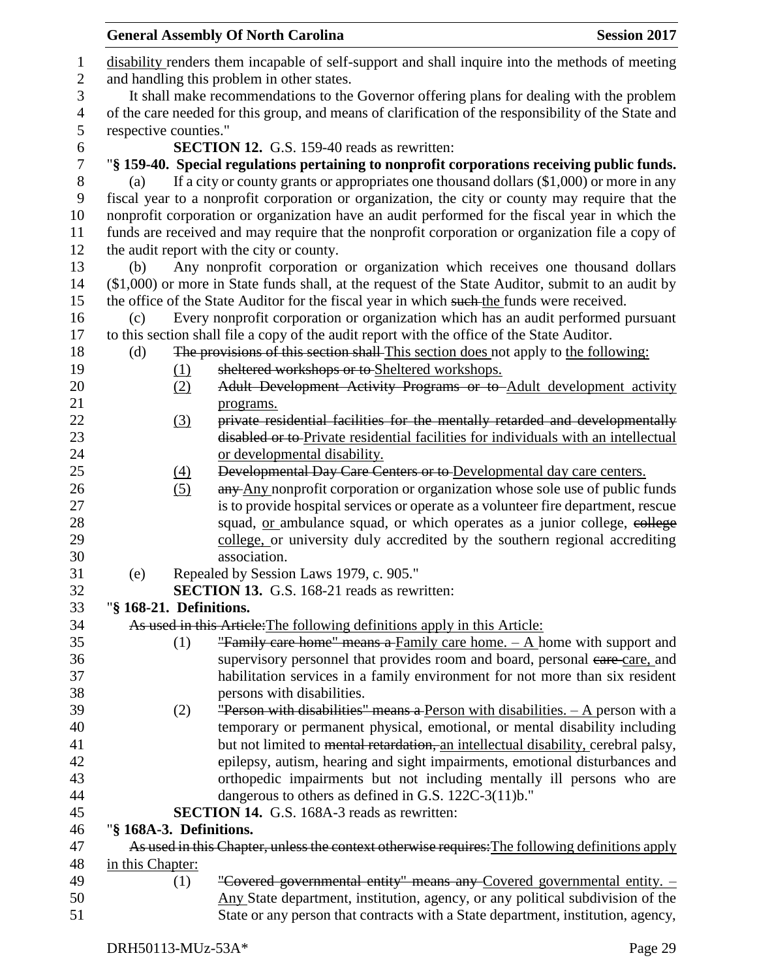|     |                         | <b>General Assembly Of North Carolina</b>                                                            | <b>Session 2017</b> |
|-----|-------------------------|------------------------------------------------------------------------------------------------------|---------------------|
|     |                         | disability renders them incapable of self-support and shall inquire into the methods of meeting      |                     |
|     |                         | and handling this problem in other states.                                                           |                     |
|     |                         | It shall make recommendations to the Governor offering plans for dealing with the problem            |                     |
|     |                         | of the care needed for this group, and means of clarification of the responsibility of the State and |                     |
|     | respective counties."   |                                                                                                      |                     |
|     |                         | <b>SECTION 12.</b> G.S. 159-40 reads as rewritten:                                                   |                     |
|     |                         | "§ 159-40. Special regulations pertaining to nonprofit corporations receiving public funds.          |                     |
| (a) |                         | If a city or county grants or appropriates one thousand dollars (\$1,000) or more in any             |                     |
|     |                         | fiscal year to a nonprofit corporation or organization, the city or county may require that the      |                     |
|     |                         | nonprofit corporation or organization have an audit performed for the fiscal year in which the       |                     |
|     |                         | funds are received and may require that the nonprofit corporation or organization file a copy of     |                     |
|     |                         | the audit report with the city or county.                                                            |                     |
| (b) |                         | Any nonprofit corporation or organization which receives one thousand dollars                        |                     |
|     |                         | (\$1,000) or more in State funds shall, at the request of the State Auditor, submit to an audit by   |                     |
|     |                         | the office of the State Auditor for the fiscal year in which such the funds were received.           |                     |
| (c) |                         | Every nonprofit corporation or organization which has an audit performed pursuant                    |                     |
|     |                         | to this section shall file a copy of the audit report with the office of the State Auditor.          |                     |
| (d) |                         | The provisions of this section shall-This section does not apply to the following:                   |                     |
|     | (1)                     | sheltered workshops or to Sheltered workshops.                                                       |                     |
|     | (2)                     | Adult Development Activity Programs or to Adult development activity                                 |                     |
|     |                         | programs.                                                                                            |                     |
|     | (3)                     | private residential facilities for the mentally retarded and developmentally                         |                     |
|     |                         | disabled or to-Private residential facilities for individuals with an intellectual                   |                     |
|     |                         | or developmental disability.                                                                         |                     |
|     | (4)                     | Developmental Day Care Centers or to Developmental day care centers.                                 |                     |
|     | (5)                     | any Any nonprofit corporation or organization whose sole use of public funds                         |                     |
|     |                         | is to provide hospital services or operate as a volunteer fire department, rescue                    |                     |
|     |                         | squad, <u>or</u> ambulance squad, or which operates as a junior college, college                     |                     |
|     |                         | college, or university duly accredited by the southern regional accrediting                          |                     |
|     |                         | association.                                                                                         |                     |
| (e) |                         | Repealed by Session Laws 1979, c. 905."                                                              |                     |
|     |                         | <b>SECTION 13.</b> G.S. 168-21 reads as rewritten:                                                   |                     |
|     | "§ 168-21. Definitions. |                                                                                                      |                     |
|     |                         | As used in this Article: The following definitions apply in this Article:                            |                     |
|     | (1)                     | "Family care home" means a Family care home. - A home with support and                               |                     |
|     |                         | supervisory personnel that provides room and board, personal eare-care, and                          |                     |
|     |                         | habilitation services in a family environment for not more than six resident                         |                     |
|     |                         | persons with disabilities.                                                                           |                     |
|     | (2)                     | <b>"Person with disabilities" means a Person with disabilities.</b> $-$ A person with a              |                     |
|     |                         | temporary or permanent physical, emotional, or mental disability including                           |                     |
|     |                         | but not limited to mental retardation, an intellectual disability, cerebral palsy,                   |                     |
|     |                         | epilepsy, autism, hearing and sight impairments, emotional disturbances and                          |                     |
|     |                         | orthopedic impairments but not including mentally ill persons who are                                |                     |
|     |                         | dangerous to others as defined in G.S. 122C-3(11)b."                                                 |                     |
|     |                         | <b>SECTION 14.</b> G.S. 168A-3 reads as rewritten:                                                   |                     |
|     | "§ 168A-3. Definitions. |                                                                                                      |                     |
|     |                         | As used in this Chapter, unless the context otherwise requires: The following definitions apply      |                     |
|     | in this Chapter:        |                                                                                                      |                     |
|     | (1)                     | "Covered governmental entity" means any Covered governmental entity. -                               |                     |
|     |                         | Any State department, institution, agency, or any political subdivision of the                       |                     |
|     |                         | State or any person that contracts with a State department, institution, agency,                     |                     |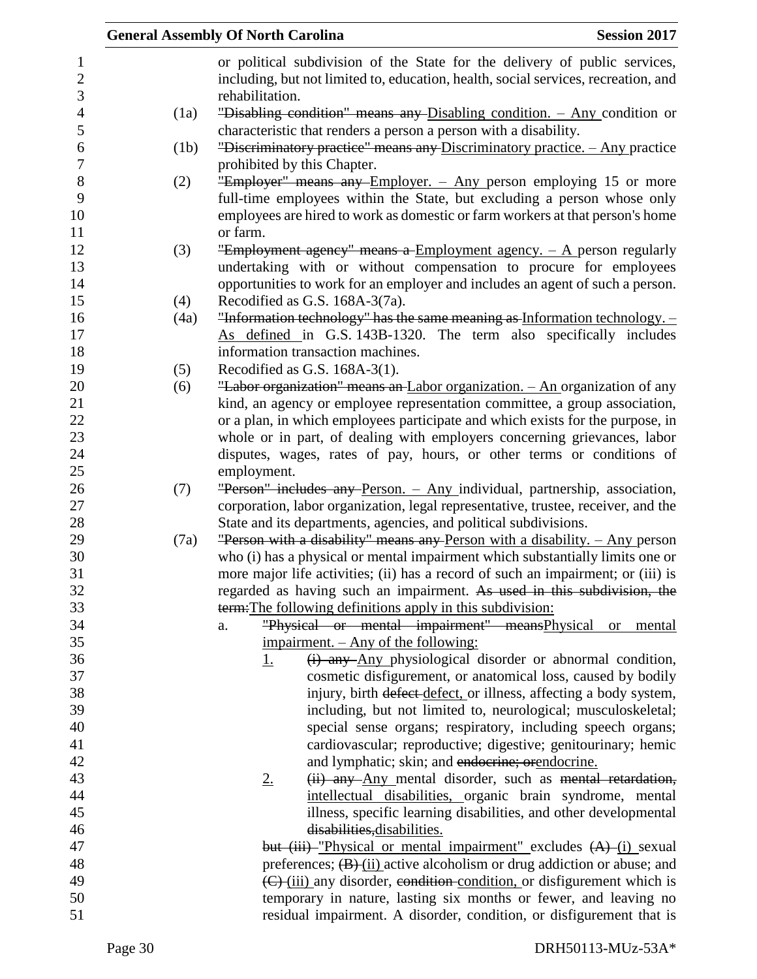|      | <b>General Assembly Of North Carolina</b><br><b>Session 2017</b>                                                                                         |
|------|----------------------------------------------------------------------------------------------------------------------------------------------------------|
|      | or political subdivision of the State for the delivery of public services,                                                                               |
|      | including, but not limited to, education, health, social services, recreation, and                                                                       |
|      | rehabilitation.                                                                                                                                          |
| (1a) | "Disabling condition" means any Disabling condition. - Any condition or                                                                                  |
|      | characteristic that renders a person a person with a disability.                                                                                         |
| (1b) | "Discriminatory practice" means any Discriminatory practice. - Any practice                                                                              |
|      | prohibited by this Chapter.                                                                                                                              |
| (2)  | "Employer" means any Employer. - Any person employing 15 or more                                                                                         |
|      | full-time employees within the State, but excluding a person whose only                                                                                  |
|      | employees are hired to work as domestic or farm workers at that person's home                                                                            |
|      | or farm.                                                                                                                                                 |
| (3)  | "Employment agency" means a Employment agency. $-$ A person regularly                                                                                    |
|      | undertaking with or without compensation to procure for employees                                                                                        |
|      | opportunities to work for an employer and includes an agent of such a person.                                                                            |
| (4)  | Recodified as G.S. 168A-3(7a).                                                                                                                           |
| (4a) | "Information technology" has the same meaning as Information technology. $-$                                                                             |
|      | As defined in G.S. 143B-1320. The term also specifically includes                                                                                        |
|      | information transaction machines.                                                                                                                        |
| (5)  | Recodified as G.S. 168A-3(1).                                                                                                                            |
| (6)  | "Labor organization" means an Labor organization. - An organization of any<br>kind, an agency or employee representation committee, a group association, |
|      | or a plan, in which employees participate and which exists for the purpose, in                                                                           |
|      | whole or in part, of dealing with employers concerning grievances, labor                                                                                 |
|      | disputes, wages, rates of pay, hours, or other terms or conditions of                                                                                    |
|      | employment.                                                                                                                                              |
| (7)  | "Person" includes any Person. - Any individual, partnership, association,                                                                                |
|      | corporation, labor organization, legal representative, trustee, receiver, and the                                                                        |
|      | State and its departments, agencies, and political subdivisions.                                                                                         |
| (7a) | "Person with a disability" means any Person with a disability. $-$ Any person                                                                            |
|      | who (i) has a physical or mental impairment which substantially limits one or                                                                            |
|      | more major life activities; (ii) has a record of such an impairment; or (iii) is                                                                         |
|      | regarded as having such an impairment. As used in this subdivision, the                                                                                  |
|      | term: The following definitions apply in this subdivision:                                                                                               |
|      | "Physical or mental impairment" meansPhysical or mental<br>a.                                                                                            |
|      | <u>impairment. – Any of the following:</u>                                                                                                               |
|      | (i) any Any physiological disorder or abnormal condition,<br><u>1.</u>                                                                                   |
|      | cosmetic disfigurement, or anatomical loss, caused by bodily                                                                                             |
|      | injury, birth defect defect, or illness, affecting a body system,                                                                                        |
|      | including, but not limited to, neurological; musculoskeletal;                                                                                            |
|      | special sense organs; respiratory, including speech organs;                                                                                              |
|      | cardiovascular; reproductive; digestive; genitourinary; hemic                                                                                            |
|      | and lymphatic; skin; and endocrine; orendocrine.                                                                                                         |
|      | (ii) any Any mental disorder, such as mental retardation,<br>2.                                                                                          |
|      | intellectual disabilities, organic brain syndrome, mental                                                                                                |
|      | illness, specific learning disabilities, and other developmental                                                                                         |
|      | disabilities, disabilities.                                                                                                                              |
|      | but (iii)-"Physical or mental impairment" excludes (A)-(i) sexual<br>preferences; $(B)$ (ii) active alcoholism or drug addiction or abuse; and           |
|      | (C) (iii) any disorder, condition condition, or disfigurement which is                                                                                   |
|      | temporary in nature, lasting six months or fewer, and leaving no                                                                                         |
|      | residual impairment. A disorder, condition, or disfigurement that is                                                                                     |
|      |                                                                                                                                                          |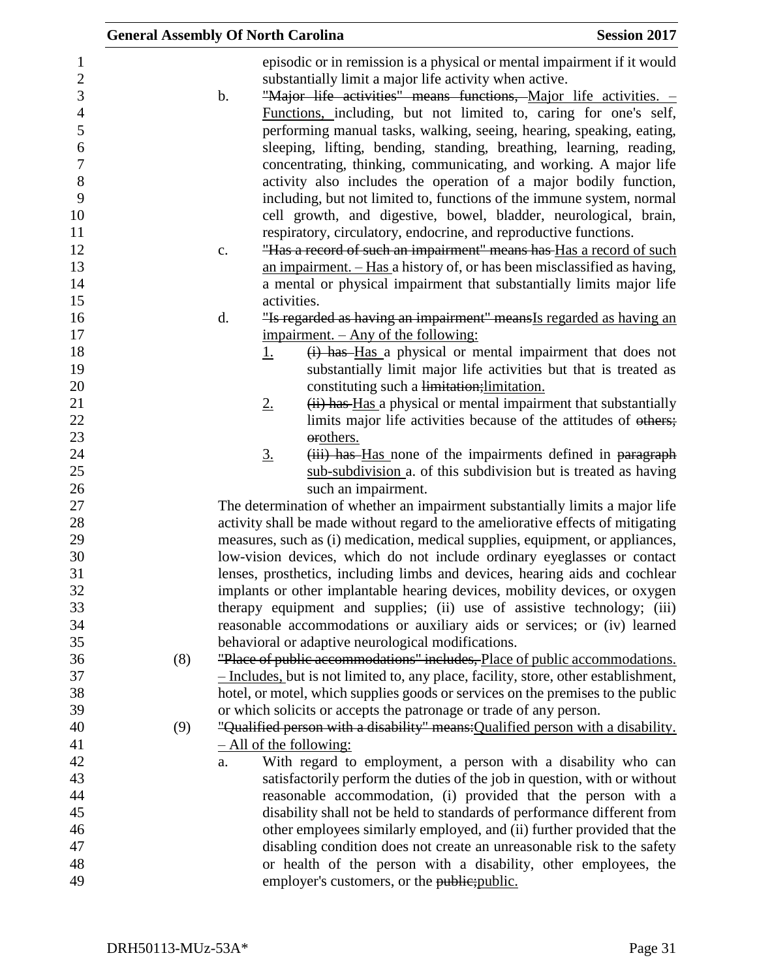|     | <b>General Assembly Of North Carolina</b>                                                                                                                                                                                                                                                                                                                                                                                                                                                                                                                                                                                                                                                                                                                                                                                                                              | <b>Session 2017</b> |
|-----|------------------------------------------------------------------------------------------------------------------------------------------------------------------------------------------------------------------------------------------------------------------------------------------------------------------------------------------------------------------------------------------------------------------------------------------------------------------------------------------------------------------------------------------------------------------------------------------------------------------------------------------------------------------------------------------------------------------------------------------------------------------------------------------------------------------------------------------------------------------------|---------------------|
|     | episodic or in remission is a physical or mental impairment if it would<br>substantially limit a major life activity when active.<br>"Major life activities" means functions, Major life activities. -<br>b.<br>Functions, including, but not limited to, caring for one's self,<br>performing manual tasks, walking, seeing, hearing, speaking, eating,<br>sleeping, lifting, bending, standing, breathing, learning, reading,<br>concentrating, thinking, communicating, and working. A major life<br>activity also includes the operation of a major bodily function,<br>including, but not limited to, functions of the immune system, normal<br>cell growth, and digestive, bowel, bladder, neurological, brain,<br>respiratory, circulatory, endocrine, and reproductive functions.<br>"Has a record of such an impairment" means has Has a record of such<br>c. |                     |
|     | an impairment. $-$ Has a history of, or has been misclassified as having,<br>a mental or physical impairment that substantially limits major life                                                                                                                                                                                                                                                                                                                                                                                                                                                                                                                                                                                                                                                                                                                      |                     |
|     | activities.                                                                                                                                                                                                                                                                                                                                                                                                                                                                                                                                                                                                                                                                                                                                                                                                                                                            |                     |
|     | d.<br>"Is regarded as having an impairment" means Is regarded as having an                                                                                                                                                                                                                                                                                                                                                                                                                                                                                                                                                                                                                                                                                                                                                                                             |                     |
|     | impairment. – Any of the following:                                                                                                                                                                                                                                                                                                                                                                                                                                                                                                                                                                                                                                                                                                                                                                                                                                    |                     |
|     | (i) has Has a physical or mental impairment that does not<br><u>1.</u>                                                                                                                                                                                                                                                                                                                                                                                                                                                                                                                                                                                                                                                                                                                                                                                                 |                     |
|     | substantially limit major life activities but that is treated as                                                                                                                                                                                                                                                                                                                                                                                                                                                                                                                                                                                                                                                                                                                                                                                                       |                     |
|     | constituting such a limitation; limitation.                                                                                                                                                                                                                                                                                                                                                                                                                                                                                                                                                                                                                                                                                                                                                                                                                            |                     |
|     | (ii) has Has a physical or mental impairment that substantially<br>$2_{\cdot}$                                                                                                                                                                                                                                                                                                                                                                                                                                                                                                                                                                                                                                                                                                                                                                                         |                     |
|     | limits major life activities because of the attitudes of others;                                                                                                                                                                                                                                                                                                                                                                                                                                                                                                                                                                                                                                                                                                                                                                                                       |                     |
|     | orothers.                                                                                                                                                                                                                                                                                                                                                                                                                                                                                                                                                                                                                                                                                                                                                                                                                                                              |                     |
|     | (iii) has Has none of the impairments defined in paragraph<br><u>3.</u>                                                                                                                                                                                                                                                                                                                                                                                                                                                                                                                                                                                                                                                                                                                                                                                                |                     |
|     | sub-subdivision a. of this subdivision but is treated as having<br>such an impairment.                                                                                                                                                                                                                                                                                                                                                                                                                                                                                                                                                                                                                                                                                                                                                                                 |                     |
|     | The determination of whether an impairment substantially limits a major life                                                                                                                                                                                                                                                                                                                                                                                                                                                                                                                                                                                                                                                                                                                                                                                           |                     |
|     | activity shall be made without regard to the ameliorative effects of mitigating                                                                                                                                                                                                                                                                                                                                                                                                                                                                                                                                                                                                                                                                                                                                                                                        |                     |
|     | measures, such as (i) medication, medical supplies, equipment, or appliances,                                                                                                                                                                                                                                                                                                                                                                                                                                                                                                                                                                                                                                                                                                                                                                                          |                     |
|     | low-vision devices, which do not include ordinary eyeglasses or contact                                                                                                                                                                                                                                                                                                                                                                                                                                                                                                                                                                                                                                                                                                                                                                                                |                     |
|     | lenses, prosthetics, including limbs and devices, hearing aids and cochlear                                                                                                                                                                                                                                                                                                                                                                                                                                                                                                                                                                                                                                                                                                                                                                                            |                     |
|     | implants or other implantable hearing devices, mobility devices, or oxygen                                                                                                                                                                                                                                                                                                                                                                                                                                                                                                                                                                                                                                                                                                                                                                                             |                     |
|     | therapy equipment and supplies; (ii) use of assistive technology; (iii)                                                                                                                                                                                                                                                                                                                                                                                                                                                                                                                                                                                                                                                                                                                                                                                                |                     |
|     | reasonable accommodations or auxiliary aids or services; or (iv) learned                                                                                                                                                                                                                                                                                                                                                                                                                                                                                                                                                                                                                                                                                                                                                                                               |                     |
|     | behavioral or adaptive neurological modifications.                                                                                                                                                                                                                                                                                                                                                                                                                                                                                                                                                                                                                                                                                                                                                                                                                     |                     |
| (8) | "Place of public accommodations" includes, Place of public accommodations.                                                                                                                                                                                                                                                                                                                                                                                                                                                                                                                                                                                                                                                                                                                                                                                             |                     |
|     | - Includes, but is not limited to, any place, facility, store, other establishment,                                                                                                                                                                                                                                                                                                                                                                                                                                                                                                                                                                                                                                                                                                                                                                                    |                     |
|     | hotel, or motel, which supplies goods or services on the premises to the public                                                                                                                                                                                                                                                                                                                                                                                                                                                                                                                                                                                                                                                                                                                                                                                        |                     |
|     | or which solicits or accepts the patronage or trade of any person.                                                                                                                                                                                                                                                                                                                                                                                                                                                                                                                                                                                                                                                                                                                                                                                                     |                     |
| (9) | "Qualified person with a disability" means: Qualified person with a disability.                                                                                                                                                                                                                                                                                                                                                                                                                                                                                                                                                                                                                                                                                                                                                                                        |                     |
|     | $-$ All of the following:<br>With regard to employment, a person with a disability who can                                                                                                                                                                                                                                                                                                                                                                                                                                                                                                                                                                                                                                                                                                                                                                             |                     |
|     | a.<br>satisfactorily perform the duties of the job in question, with or without                                                                                                                                                                                                                                                                                                                                                                                                                                                                                                                                                                                                                                                                                                                                                                                        |                     |
|     | reasonable accommodation, (i) provided that the person with a                                                                                                                                                                                                                                                                                                                                                                                                                                                                                                                                                                                                                                                                                                                                                                                                          |                     |
|     | disability shall not be held to standards of performance different from                                                                                                                                                                                                                                                                                                                                                                                                                                                                                                                                                                                                                                                                                                                                                                                                |                     |
|     | other employees similarly employed, and (ii) further provided that the                                                                                                                                                                                                                                                                                                                                                                                                                                                                                                                                                                                                                                                                                                                                                                                                 |                     |
|     | disabling condition does not create an unreasonable risk to the safety                                                                                                                                                                                                                                                                                                                                                                                                                                                                                                                                                                                                                                                                                                                                                                                                 |                     |
|     | or health of the person with a disability, other employees, the                                                                                                                                                                                                                                                                                                                                                                                                                                                                                                                                                                                                                                                                                                                                                                                                        |                     |
|     | employer's customers, or the public; public.                                                                                                                                                                                                                                                                                                                                                                                                                                                                                                                                                                                                                                                                                                                                                                                                                           |                     |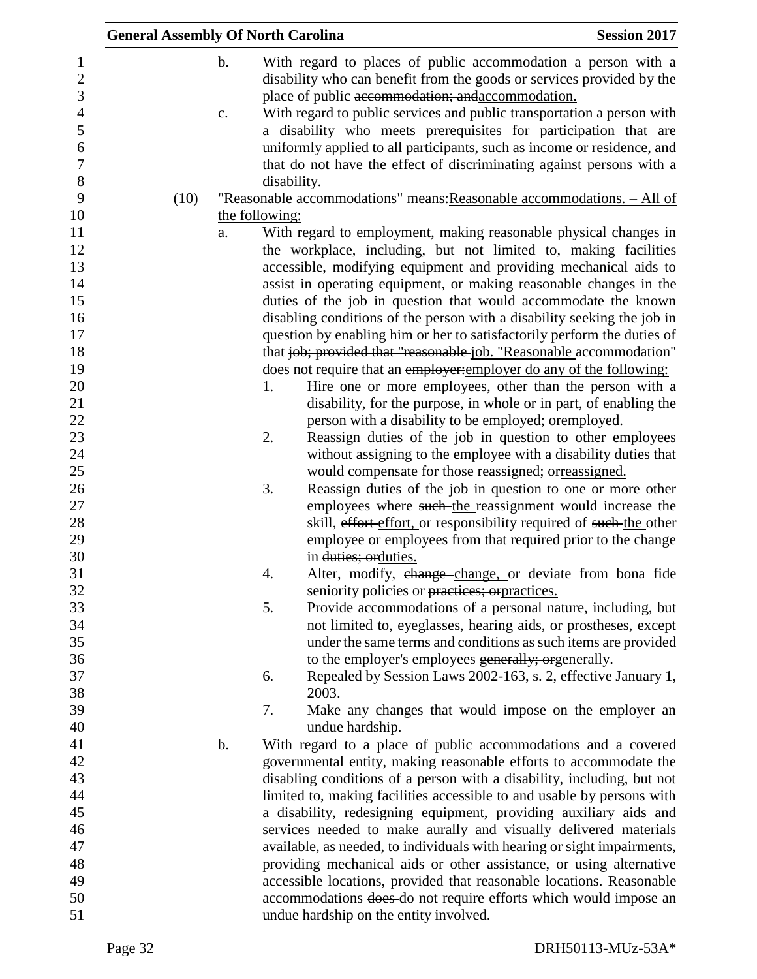| <b>General Assembly Of North Carolina</b> |               |                | <b>Session 2017</b>                                                                                                                        |
|-------------------------------------------|---------------|----------------|--------------------------------------------------------------------------------------------------------------------------------------------|
|                                           | $\mathbf b$ . |                | With regard to places of public accommodation a person with a<br>disability who can benefit from the goods or services provided by the     |
|                                           | c.            |                | place of public accommodation; and accommodation.<br>With regard to public services and public transportation a person with                |
|                                           |               |                | a disability who meets prerequisites for participation that are<br>uniformly applied to all participants, such as income or residence, and |
|                                           |               | disability.    | that do not have the effect of discriminating against persons with a                                                                       |
| (10)                                      |               |                | "Reasonable accommodations" means: Reasonable accommodations. - All of                                                                     |
|                                           |               | the following: |                                                                                                                                            |
|                                           | a.            |                | With regard to employment, making reasonable physical changes in                                                                           |
|                                           |               |                | the workplace, including, but not limited to, making facilities                                                                            |
|                                           |               |                | accessible, modifying equipment and providing mechanical aids to                                                                           |
|                                           |               |                | assist in operating equipment, or making reasonable changes in the                                                                         |
|                                           |               |                | duties of the job in question that would accommodate the known                                                                             |
|                                           |               |                | disabling conditions of the person with a disability seeking the job in                                                                    |
|                                           |               |                | question by enabling him or her to satisfactorily perform the duties of                                                                    |
|                                           |               |                | that job; provided that "reasonable job. "Reasonable accommodation"                                                                        |
|                                           |               |                | does not require that an employer: employer do any of the following:                                                                       |
|                                           |               | 1.             | Hire one or more employees, other than the person with a                                                                                   |
|                                           |               |                | disability, for the purpose, in whole or in part, of enabling the                                                                          |
|                                           |               |                | person with a disability to be employed; orgmployed.                                                                                       |
|                                           |               | 2.             | Reassign duties of the job in question to other employees                                                                                  |
|                                           |               |                | without assigning to the employee with a disability duties that                                                                            |
|                                           |               |                | would compensate for those reassigned; orreassigned.                                                                                       |
|                                           |               | 3.             | Reassign duties of the job in question to one or more other                                                                                |
|                                           |               |                | employees where such-the reassignment would increase the                                                                                   |
|                                           |               |                | skill, effort effort, or responsibility required of such-the other                                                                         |
|                                           |               |                | employee or employees from that required prior to the change                                                                               |
|                                           |               |                | in duties; orduties.                                                                                                                       |
|                                           |               | 4.             | Alter, modify, change change, or deviate from bona fide                                                                                    |
|                                           |               |                | seniority policies or practices; or practices.                                                                                             |
|                                           |               | 5.             | Provide accommodations of a personal nature, including, but                                                                                |
|                                           |               |                | not limited to, eyeglasses, hearing aids, or prostheses, except                                                                            |
|                                           |               |                | under the same terms and conditions as such items are provided                                                                             |
|                                           |               |                | to the employer's employees generally; orgenerally.                                                                                        |
|                                           |               | 6.             | Repealed by Session Laws 2002-163, s. 2, effective January 1,                                                                              |
|                                           |               |                | 2003.                                                                                                                                      |
|                                           |               | 7.             | Make any changes that would impose on the employer an                                                                                      |
|                                           |               |                | undue hardship.                                                                                                                            |
|                                           | b.            |                | With regard to a place of public accommodations and a covered                                                                              |
|                                           |               |                | governmental entity, making reasonable efforts to accommodate the                                                                          |
|                                           |               |                | disabling conditions of a person with a disability, including, but not                                                                     |
|                                           |               |                | limited to, making facilities accessible to and usable by persons with                                                                     |
|                                           |               |                | a disability, redesigning equipment, providing auxiliary aids and                                                                          |
|                                           |               |                | services needed to make aurally and visually delivered materials                                                                           |
|                                           |               |                | available, as needed, to individuals with hearing or sight impairments,                                                                    |
|                                           |               |                | providing mechanical aids or other assistance, or using alternative                                                                        |
|                                           |               |                | accessible locations, provided that reasonable locations. Reasonable                                                                       |
|                                           |               |                | accommodations does do not require efforts which would impose an                                                                           |
|                                           |               |                | undue hardship on the entity involved.                                                                                                     |